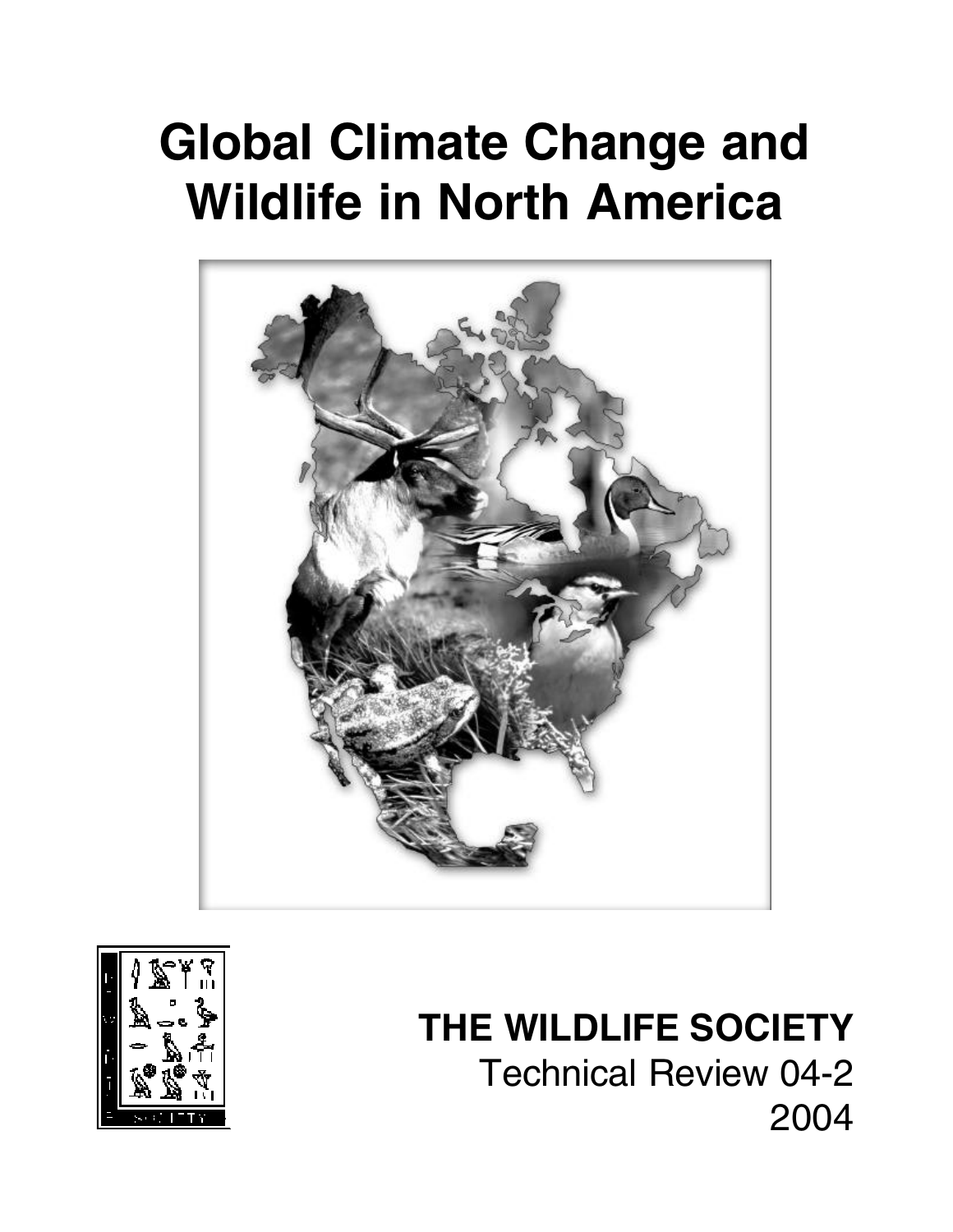# **Global Climate Change and Wildlife in North America**





# **THE WILDLIFE SOCIETY**

Technical Review 04-2 2004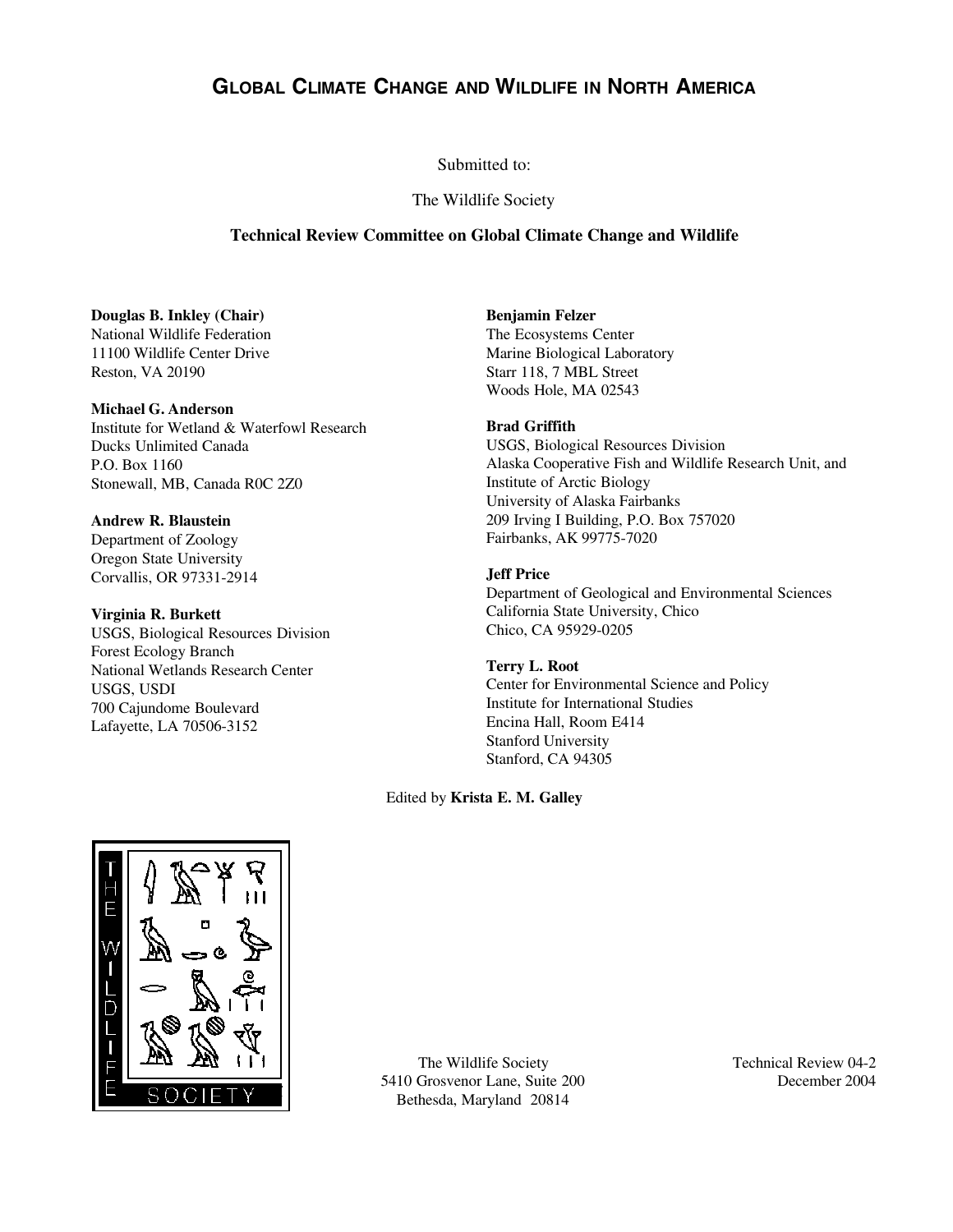## **GLOBAL CLIMATE CHANGE AND WILDLIFE IN NORTH AMERICA**

#### Submitted to:

#### The Wildlife Society

#### **Technical Review Committee on Global Climate Change and Wildlife**

#### **Douglas B. Inkley (Chair)**

National Wildlife Federation 11100 Wildlife Center Drive Reston, VA 20190

#### **Michael G. Anderson**

Institute for Wetland & Waterfowl Research Ducks Unlimited Canada P.O. Box 1160 Stonewall, MB, Canada R0C 2Z0

#### **Andrew R. Blaustein**

Department of Zoology Oregon State University Corvallis, OR 97331-2914

#### **Virginia R. Burkett**

USGS, Biological Resources Division Forest Ecology Branch National Wetlands Research Center USGS, USDI 700 Cajundome Boulevard Lafayette, LA 70506-3152

#### **Benjamin Felzer**

The Ecosystems Center Marine Biological Laboratory Starr 118, 7 MBL Street Woods Hole, MA 02543

#### **Brad Griffith**

USGS, Biological Resources Division Alaska Cooperative Fish and Wildlife Research Unit, and Institute of Arctic Biology University of Alaska Fairbanks 209 Irving I Building, P.O. Box 757020 Fairbanks, AK 99775-7020

#### **Jeff Price**

Department of Geological and Environmental Sciences California State University, Chico Chico, CA 95929-0205

#### **Terry L. Root**

Center for Environmental Science and Policy Institute for International Studies Encina Hall, Room E414 Stanford University Stanford, CA 94305

#### Edited by **Krista E. M. Galley**



The Wildlife Society 5410 Grosvenor Lane, Suite 200 Bethesda, Maryland 20814

Technical Review 04-2 December 2004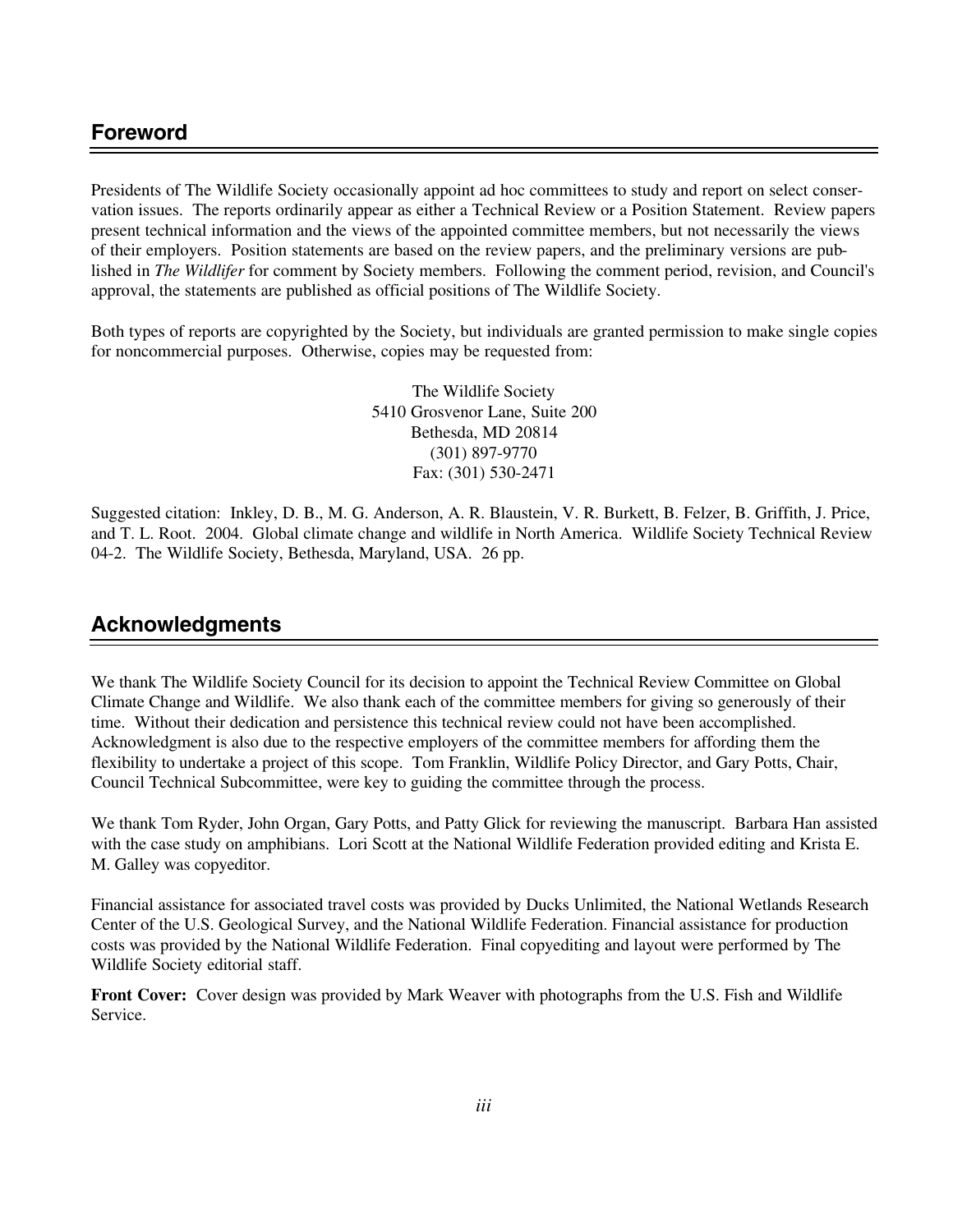Presidents of The Wildlife Society occasionally appoint ad hoc committees to study and report on select conservation issues. The reports ordinarily appear as either a Technical Review or a Position Statement. Review papers present technical information and the views of the appointed committee members, but not necessarily the views of their employers. Position statements are based on the review papers, and the preliminary versions are published in *The Wildlifer* for comment by Society members. Following the comment period, revision, and Council's approval, the statements are published as official positions of The Wildlife Society.

Both types of reports are copyrighted by the Society, but individuals are granted permission to make single copies for noncommercial purposes. Otherwise, copies may be requested from:

> The Wildlife Society 5410 Grosvenor Lane, Suite 200 Bethesda, MD 20814 (301) 897-9770 Fax: (301) 530-2471

Suggested citation: Inkley, D. B., M. G. Anderson, A. R. Blaustein, V. R. Burkett, B. Felzer, B. Griffith, J. Price, and T. L. Root. 2004. Global climate change and wildlife in North America. Wildlife Society Technical Review 04-2. The Wildlife Society, Bethesda, Maryland, USA. 26 pp.

## **Acknowledgments**

We thank The Wildlife Society Council for its decision to appoint the Technical Review Committee on Global Climate Change and Wildlife. We also thank each of the committee members for giving so generously of their time. Without their dedication and persistence this technical review could not have been accomplished. Acknowledgment is also due to the respective employers of the committee members for affording them the flexibility to undertake a project of this scope. Tom Franklin, Wildlife Policy Director, and Gary Potts, Chair, Council Technical Subcommittee, were key to guiding the committee through the process.

We thank Tom Ryder, John Organ, Gary Potts, and Patty Glick for reviewing the manuscript. Barbara Han assisted with the case study on amphibians. Lori Scott at the National Wildlife Federation provided editing and Krista E. M. Galley was copyeditor.

Financial assistance for associated travel costs was provided by Ducks Unlimited, the National Wetlands Research Center of the U.S. Geological Survey, and the National Wildlife Federation. Financial assistance for production costs was provided by the National Wildlife Federation. Final copyediting and layout were performed by The Wildlife Society editorial staff.

**Front Cover:** Cover design was provided by Mark Weaver with photographs from the U.S. Fish and Wildlife Service.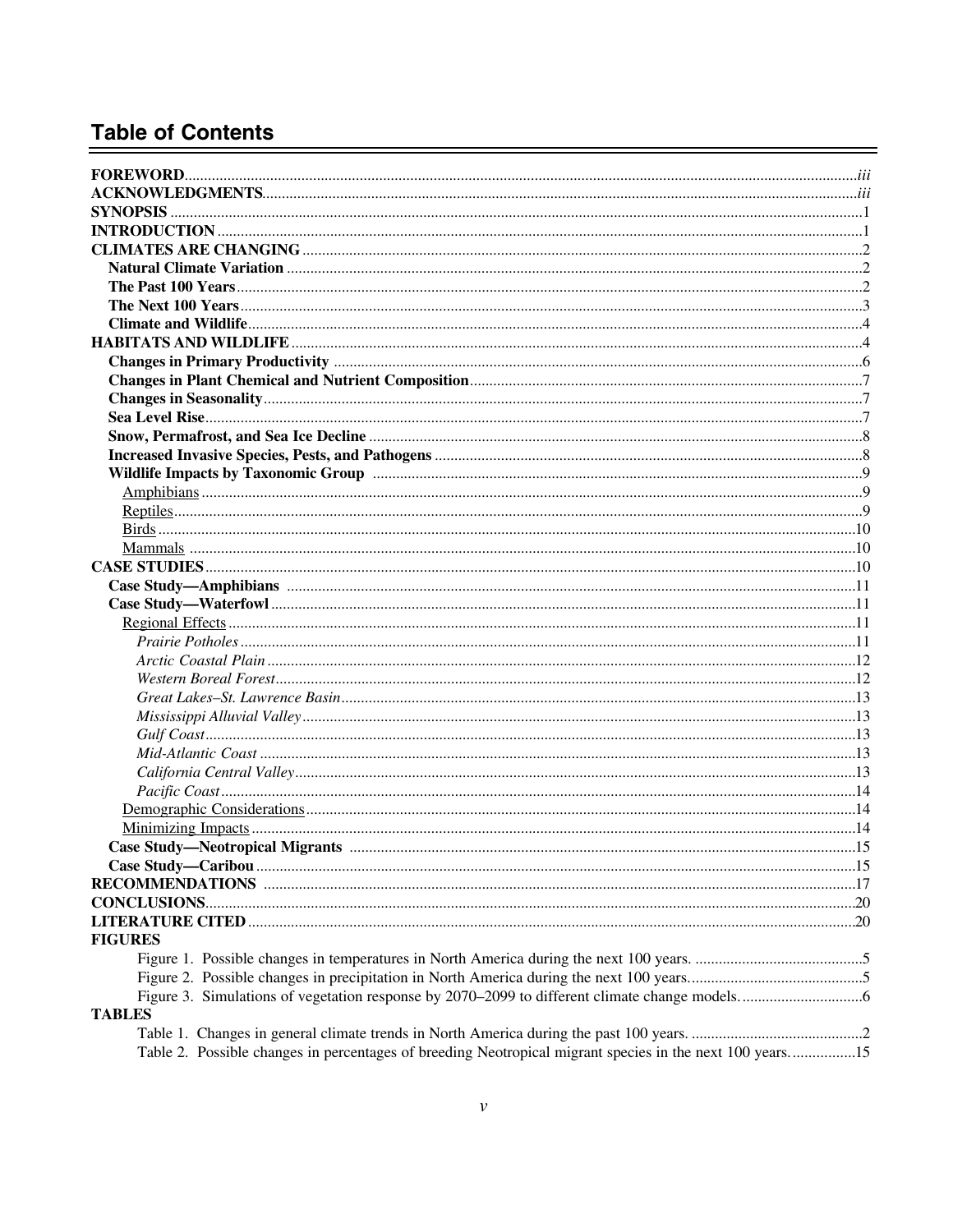## **Table of Contents**

| <b>FIGURES</b>                                                                                           |  |
|----------------------------------------------------------------------------------------------------------|--|
|                                                                                                          |  |
|                                                                                                          |  |
|                                                                                                          |  |
| <b>TABLES</b>                                                                                            |  |
|                                                                                                          |  |
| Table 2. Possible changes in percentages of breeding Neotropical migrant species in the next 100 years15 |  |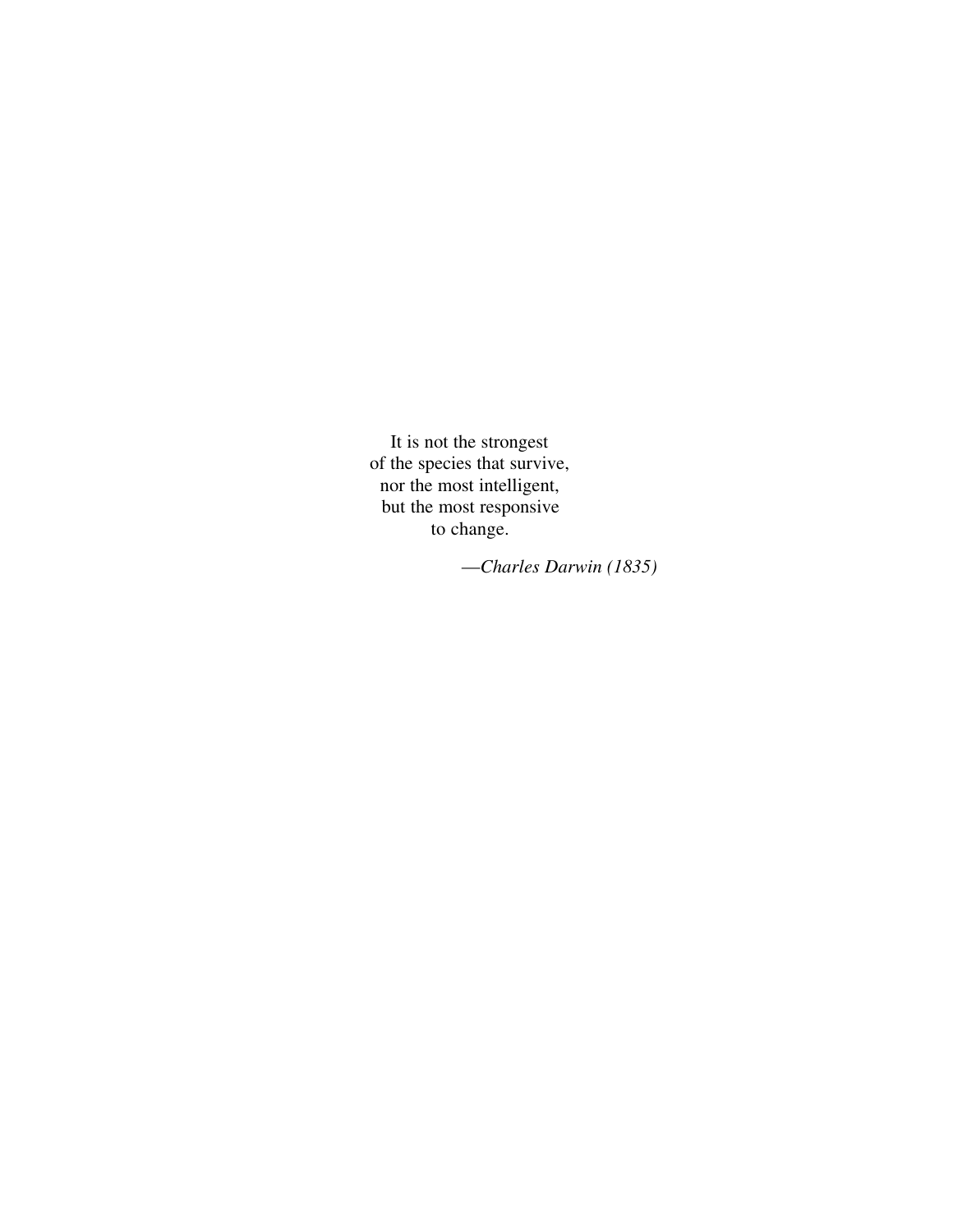It is not the strongest of the species that survive, nor the most intelligent, but the most responsive to change.

—*Charles Darwin (1835)*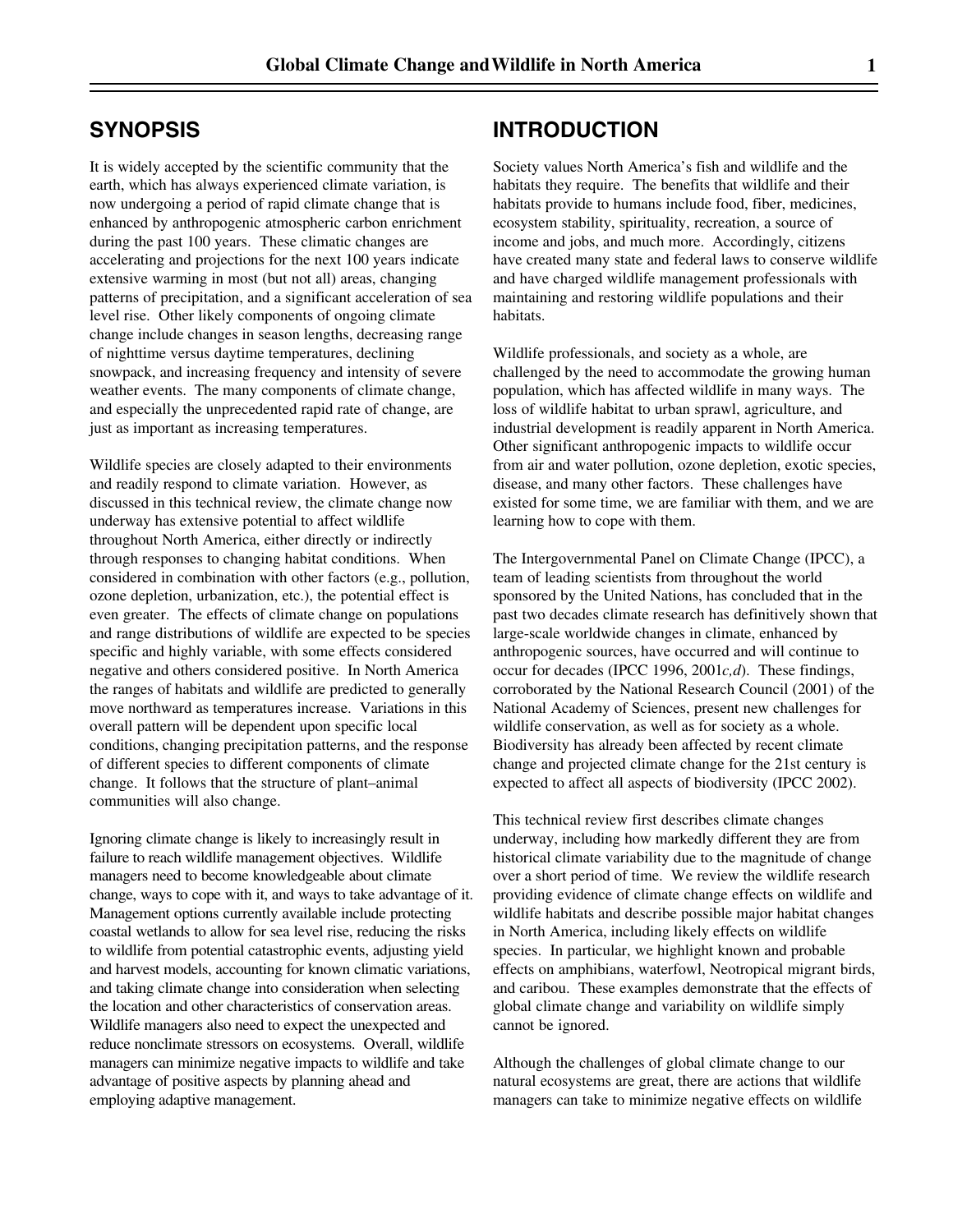### **SYNOPSIS**

It is widely accepted by the scientific community that the earth, which has always experienced climate variation, is now undergoing a period of rapid climate change that is enhanced by anthropogenic atmospheric carbon enrichment during the past 100 years. These climatic changes are accelerating and projections for the next 100 years indicate extensive warming in most (but not all) areas, changing patterns of precipitation, and a significant acceleration of sea level rise. Other likely components of ongoing climate change include changes in season lengths, decreasing range of nighttime versus daytime temperatures, declining snowpack, and increasing frequency and intensity of severe weather events. The many components of climate change, and especially the unprecedented rapid rate of change, are just as important as increasing temperatures.

Wildlife species are closely adapted to their environments and readily respond to climate variation. However, as discussed in this technical review, the climate change now underway has extensive potential to affect wildlife throughout North America, either directly or indirectly through responses to changing habitat conditions. When considered in combination with other factors (e.g., pollution, ozone depletion, urbanization, etc.), the potential effect is even greater. The effects of climate change on populations and range distributions of wildlife are expected to be species specific and highly variable, with some effects considered negative and others considered positive. In North America the ranges of habitats and wildlife are predicted to generally move northward as temperatures increase. Variations in this overall pattern will be dependent upon specific local conditions, changing precipitation patterns, and the response of different species to different components of climate change. It follows that the structure of plant–animal communities will also change.

Ignoring climate change is likely to increasingly result in failure to reach wildlife management objectives. Wildlife managers need to become knowledgeable about climate change, ways to cope with it, and ways to take advantage of it. Management options currently available include protecting coastal wetlands to allow for sea level rise, reducing the risks to wildlife from potential catastrophic events, adjusting yield and harvest models, accounting for known climatic variations, and taking climate change into consideration when selecting the location and other characteristics of conservation areas. Wildlife managers also need to expect the unexpected and reduce nonclimate stressors on ecosystems. Overall, wildlife managers can minimize negative impacts to wildlife and take advantage of positive aspects by planning ahead and employing adaptive management.

## **INTRODUCTION**

Society values North America's fish and wildlife and the habitats they require. The benefits that wildlife and their habitats provide to humans include food, fiber, medicines, ecosystem stability, spirituality, recreation, a source of income and jobs, and much more. Accordingly, citizens have created many state and federal laws to conserve wildlife and have charged wildlife management professionals with maintaining and restoring wildlife populations and their habitats.

Wildlife professionals, and society as a whole, are challenged by the need to accommodate the growing human population, which has affected wildlife in many ways. The loss of wildlife habitat to urban sprawl, agriculture, and industrial development is readily apparent in North America. Other significant anthropogenic impacts to wildlife occur from air and water pollution, ozone depletion, exotic species, disease, and many other factors. These challenges have existed for some time, we are familiar with them, and we are learning how to cope with them.

The Intergovernmental Panel on Climate Change (IPCC), a team of leading scientists from throughout the world sponsored by the United Nations, has concluded that in the past two decades climate research has definitively shown that large-scale worldwide changes in climate, enhanced by anthropogenic sources, have occurred and will continue to occur for decades (IPCC 1996, 2001*c,d*). These findings, corroborated by the National Research Council (2001) of the National Academy of Sciences, present new challenges for wildlife conservation, as well as for society as a whole. Biodiversity has already been affected by recent climate change and projected climate change for the 21st century is expected to affect all aspects of biodiversity (IPCC 2002).

This technical review first describes climate changes underway, including how markedly different they are from historical climate variability due to the magnitude of change over a short period of time. We review the wildlife research providing evidence of climate change effects on wildlife and wildlife habitats and describe possible major habitat changes in North America, including likely effects on wildlife species. In particular, we highlight known and probable effects on amphibians, waterfowl, Neotropical migrant birds, and caribou. These examples demonstrate that the effects of global climate change and variability on wildlife simply cannot be ignored.

Although the challenges of global climate change to our natural ecosystems are great, there are actions that wildlife managers can take to minimize negative effects on wildlife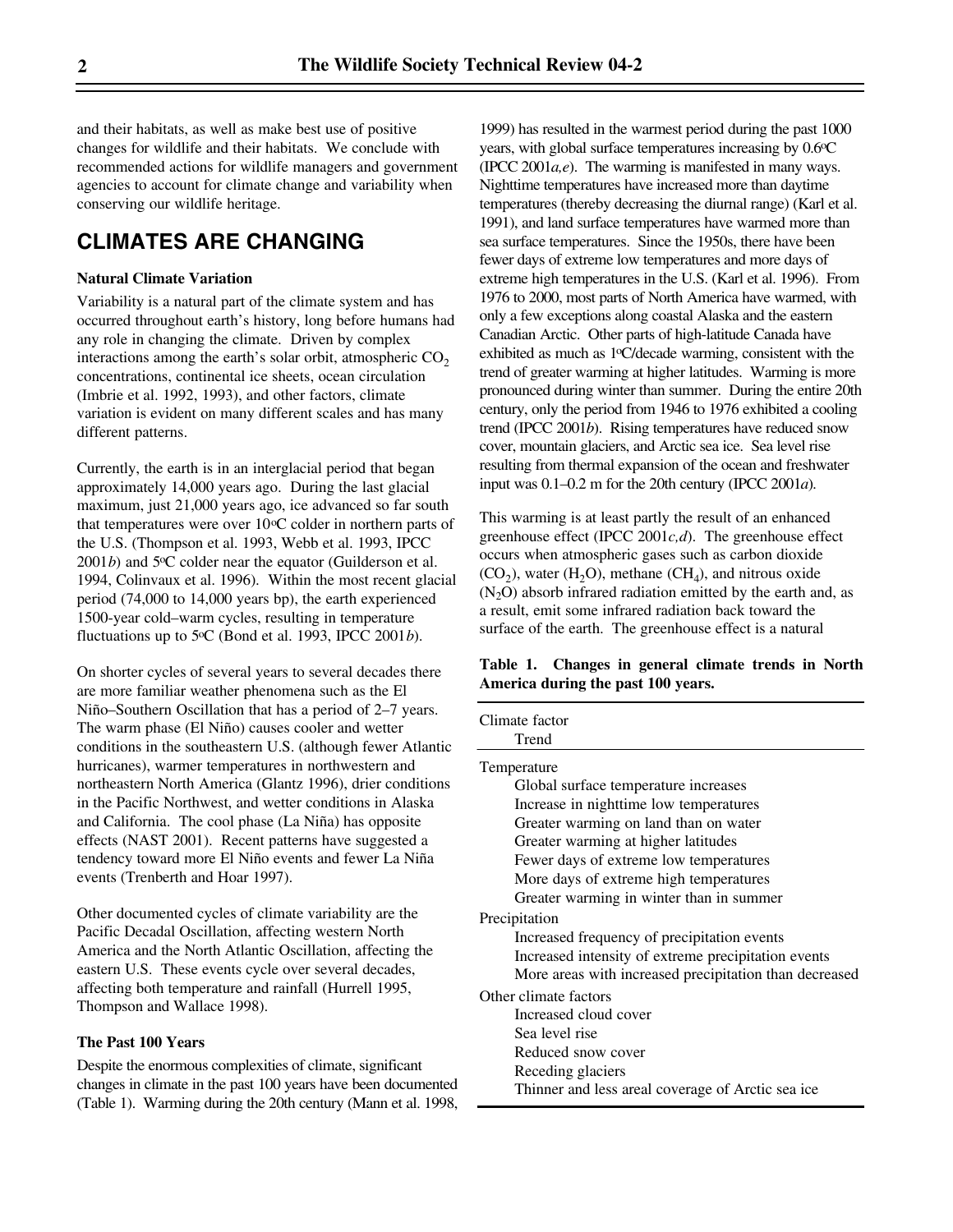and their habitats, as well as make best use of positive changes for wildlife and their habitats. We conclude with recommended actions for wildlife managers and government agencies to account for climate change and variability when conserving our wildlife heritage.

## **CLIMATES ARE CHANGING**

#### **Natural Climate Variation**

Variability is a natural part of the climate system and has occurred throughout earth's history, long before humans had any role in changing the climate. Driven by complex interactions among the earth's solar orbit, atmospheric  $CO<sub>2</sub>$ concentrations, continental ice sheets, ocean circulation (Imbrie et al. 1992, 1993), and other factors, climate variation is evident on many different scales and has many different patterns.

Currently, the earth is in an interglacial period that began approximately 14,000 years ago. During the last glacial maximum, just 21,000 years ago, ice advanced so far south that temperatures were over  $10^{\circ}$ C colder in northern parts of the U.S. (Thompson et al. 1993, Webb et al. 1993, IPCC  $2001b$ ) and  $5^{\circ}$ C colder near the equator (Guilderson et al. 1994, Colinvaux et al. 1996). Within the most recent glacial period (74,000 to 14,000 years bp), the earth experienced 1500-year cold–warm cycles, resulting in temperature fluctuations up to 5 $\mathrm{C}$  (Bond et al. 1993, IPCC 2001*b*).

On shorter cycles of several years to several decades there are more familiar weather phenomena such as the El Niño–Southern Oscillation that has a period of 2–7 years. The warm phase (El Niño) causes cooler and wetter conditions in the southeastern U.S. (although fewer Atlantic hurricanes), warmer temperatures in northwestern and northeastern North America (Glantz 1996), drier conditions in the Pacific Northwest, and wetter conditions in Alaska and California. The cool phase (La Niña) has opposite effects (NAST 2001). Recent patterns have suggested a tendency toward more El Niño events and fewer La Niña events (Trenberth and Hoar 1997).

Other documented cycles of climate variability are the Pacific Decadal Oscillation, affecting western North America and the North Atlantic Oscillation, affecting the eastern U.S. These events cycle over several decades, affecting both temperature and rainfall (Hurrell 1995, Thompson and Wallace 1998).

#### **The Past 100 Years**

Despite the enormous complexities of climate, significant changes in climate in the past 100 years have been documented (Table 1). Warming during the 20th century (Mann et al. 1998, 1999) has resulted in the warmest period during the past 1000 years, with global surface temperatures increasing by 0.6oC (IPCC 2001*a,e*). The warming is manifested in many ways. Nighttime temperatures have increased more than daytime temperatures (thereby decreasing the diurnal range) (Karl et al. 1991), and land surface temperatures have warmed more than sea surface temperatures. Since the 1950s, there have been fewer days of extreme low temperatures and more days of extreme high temperatures in the U.S. (Karl et al. 1996). From 1976 to 2000, most parts of North America have warmed, with only a few exceptions along coastal Alaska and the eastern Canadian Arctic. Other parts of high-latitude Canada have exhibited as much as 1oC/decade warming, consistent with the trend of greater warming at higher latitudes. Warming is more pronounced during winter than summer. During the entire 20th century, only the period from 1946 to 1976 exhibited a cooling trend (IPCC 2001*b*). Rising temperatures have reduced snow cover, mountain glaciers, and Arctic sea ice. Sea level rise resulting from thermal expansion of the ocean and freshwater input was 0.1–0.2 m for the 20th century (IPCC 2001*a*).

This warming is at least partly the result of an enhanced greenhouse effect (IPCC 2001*c,d*). The greenhouse effect occurs when atmospheric gases such as carbon dioxide  $(CO_2)$ , water  $(H_2O)$ , methane  $(CH_4)$ , and nitrous oxide  $(N<sub>2</sub>O)$  absorb infrared radiation emitted by the earth and, as a result, emit some infrared radiation back toward the surface of the earth. The greenhouse effect is a natural

#### **Table 1. Changes in general climate trends in North America during the past 100 years.**

| Temperature                                            |  |  |
|--------------------------------------------------------|--|--|
| Global surface temperature increases                   |  |  |
| Increase in nighttime low temperatures                 |  |  |
| Greater warming on land than on water                  |  |  |
| Greater warming at higher latitudes                    |  |  |
| Fewer days of extreme low temperatures                 |  |  |
| More days of extreme high temperatures                 |  |  |
| Greater warming in winter than in summer               |  |  |
| Precipitation                                          |  |  |
| Increased frequency of precipitation events            |  |  |
| Increased intensity of extreme precipitation events    |  |  |
| More areas with increased precipitation than decreased |  |  |
| Other climate factors                                  |  |  |
| Increased cloud cover                                  |  |  |
| Sea level rise                                         |  |  |
| Reduced snow cover                                     |  |  |
| Receding glaciers                                      |  |  |
| Thinner and less areal coverage of Arctic sea ice      |  |  |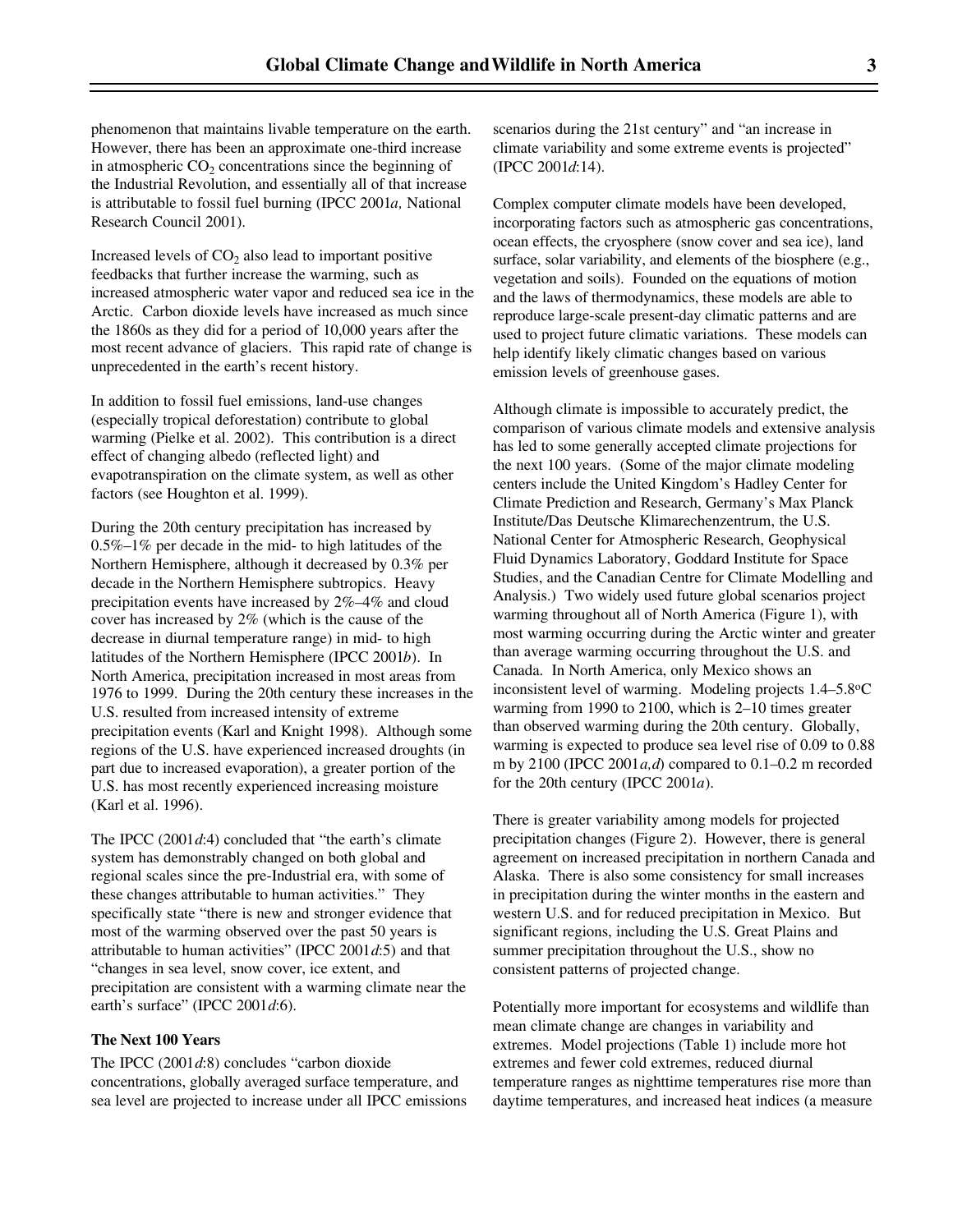phenomenon that maintains livable temperature on the earth. However, there has been an approximate one-third increase in atmospheric  $CO_2$  concentrations since the beginning of the Industrial Revolution, and essentially all of that increase is attributable to fossil fuel burning (IPCC 2001*a,* National Research Council 2001).

Increased levels of  $CO<sub>2</sub>$  also lead to important positive feedbacks that further increase the warming, such as increased atmospheric water vapor and reduced sea ice in the Arctic. Carbon dioxide levels have increased as much since the 1860s as they did for a period of 10,000 years after the most recent advance of glaciers. This rapid rate of change is unprecedented in the earth's recent history.

In addition to fossil fuel emissions, land-use changes (especially tropical deforestation) contribute to global warming (Pielke et al. 2002). This contribution is a direct effect of changing albedo (reflected light) and evapotranspiration on the climate system, as well as other factors (see Houghton et al. 1999).

During the 20th century precipitation has increased by 0.5%–1% per decade in the mid- to high latitudes of the Northern Hemisphere, although it decreased by 0.3% per decade in the Northern Hemisphere subtropics. Heavy precipitation events have increased by 2%–4% and cloud cover has increased by 2% (which is the cause of the decrease in diurnal temperature range) in mid- to high latitudes of the Northern Hemisphere (IPCC 2001*b*). In North America, precipitation increased in most areas from 1976 to 1999. During the 20th century these increases in the U.S. resulted from increased intensity of extreme precipitation events (Karl and Knight 1998). Although some regions of the U.S. have experienced increased droughts (in part due to increased evaporation), a greater portion of the U.S. has most recently experienced increasing moisture (Karl et al. 1996).

The IPCC (2001*d*:4) concluded that "the earth's climate system has demonstrably changed on both global and regional scales since the pre-Industrial era, with some of these changes attributable to human activities." They specifically state "there is new and stronger evidence that most of the warming observed over the past 50 years is attributable to human activities" (IPCC 2001*d*:5) and that "changes in sea level, snow cover, ice extent, and precipitation are consistent with a warming climate near the earth's surface" (IPCC 2001*d*:6).

#### **The Next 100 Years**

The IPCC (2001*d*:8) concludes "carbon dioxide concentrations, globally averaged surface temperature, and sea level are projected to increase under all IPCC emissions scenarios during the 21st century" and "an increase in climate variability and some extreme events is projected" (IPCC 2001*d*:14).

Complex computer climate models have been developed, incorporating factors such as atmospheric gas concentrations, ocean effects, the cryosphere (snow cover and sea ice), land surface, solar variability, and elements of the biosphere (e.g., vegetation and soils). Founded on the equations of motion and the laws of thermodynamics, these models are able to reproduce large-scale present-day climatic patterns and are used to project future climatic variations. These models can help identify likely climatic changes based on various emission levels of greenhouse gases.

Although climate is impossible to accurately predict, the comparison of various climate models and extensive analysis has led to some generally accepted climate projections for the next 100 years. (Some of the major climate modeling centers include the United Kingdom's Hadley Center for Climate Prediction and Research, Germany's Max Planck Institute/Das Deutsche Klimarechenzentrum, the U.S. National Center for Atmospheric Research, Geophysical Fluid Dynamics Laboratory, Goddard Institute for Space Studies, and the Canadian Centre for Climate Modelling and Analysis.) Two widely used future global scenarios project warming throughout all of North America (Figure 1), with most warming occurring during the Arctic winter and greater than average warming occurring throughout the U.S. and Canada. In North America, only Mexico shows an inconsistent level of warming. Modeling projects 1.4–5.8oC warming from 1990 to 2100, which is 2–10 times greater than observed warming during the 20th century. Globally, warming is expected to produce sea level rise of 0.09 to 0.88 m by 2100 (IPCC 2001*a,d*) compared to 0.1–0.2 m recorded for the 20th century (IPCC 2001*a*).

There is greater variability among models for projected precipitation changes (Figure 2). However, there is general agreement on increased precipitation in northern Canada and Alaska. There is also some consistency for small increases in precipitation during the winter months in the eastern and western U.S. and for reduced precipitation in Mexico. But significant regions, including the U.S. Great Plains and summer precipitation throughout the U.S., show no consistent patterns of projected change.

Potentially more important for ecosystems and wildlife than mean climate change are changes in variability and extremes. Model projections (Table 1) include more hot extremes and fewer cold extremes, reduced diurnal temperature ranges as nighttime temperatures rise more than daytime temperatures, and increased heat indices (a measure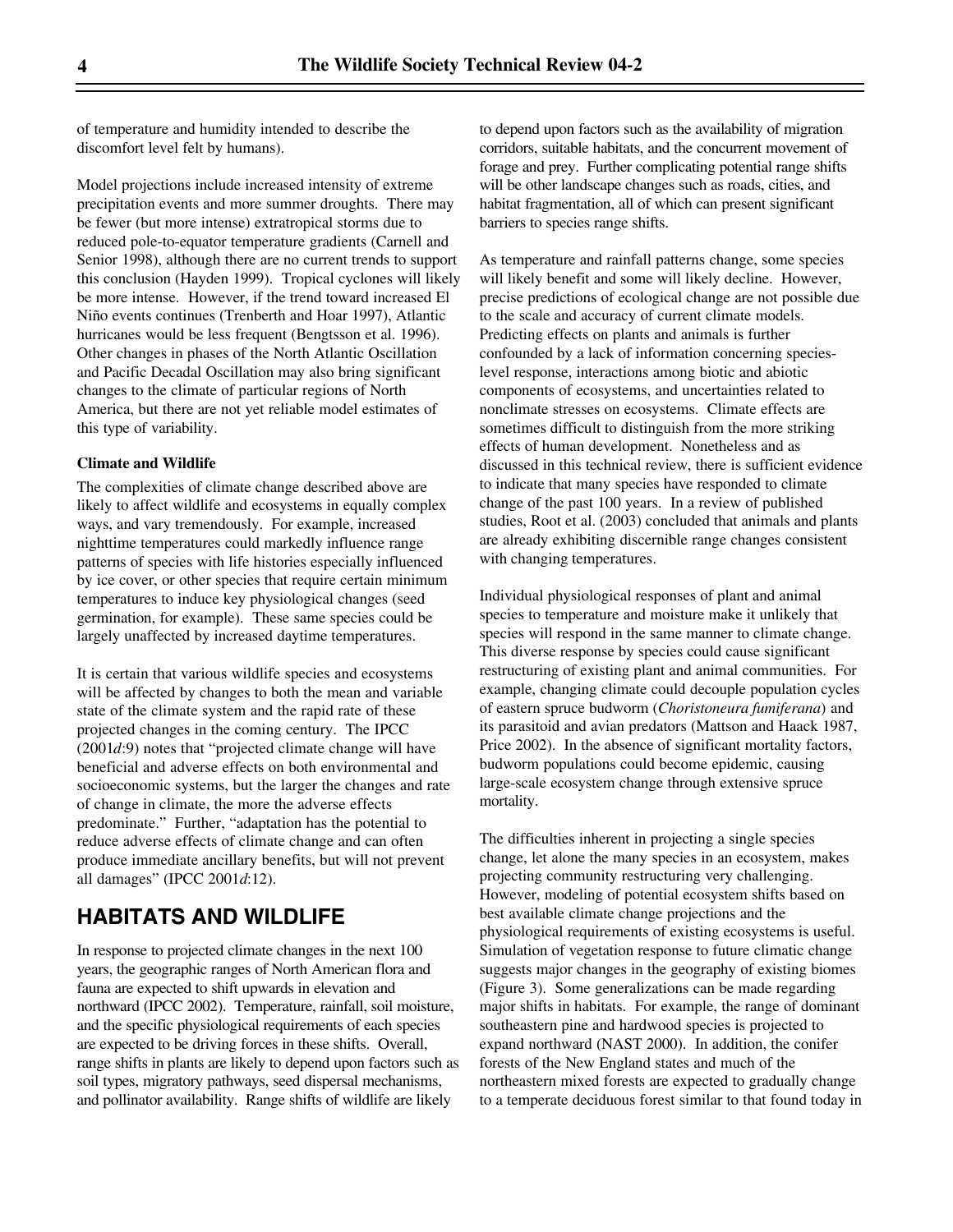of temperature and humidity intended to describe the discomfort level felt by humans).

Model projections include increased intensity of extreme precipitation events and more summer droughts. There may be fewer (but more intense) extratropical storms due to reduced pole-to-equator temperature gradients (Carnell and Senior 1998), although there are no current trends to support this conclusion (Hayden 1999). Tropical cyclones will likely be more intense. However, if the trend toward increased El Niño events continues (Trenberth and Hoar 1997), Atlantic hurricanes would be less frequent (Bengtsson et al. 1996). Other changes in phases of the North Atlantic Oscillation and Pacific Decadal Oscillation may also bring significant changes to the climate of particular regions of North America, but there are not yet reliable model estimates of this type of variability.

#### **Climate and Wildlife**

The complexities of climate change described above are likely to affect wildlife and ecosystems in equally complex ways, and vary tremendously. For example, increased nighttime temperatures could markedly influence range patterns of species with life histories especially influenced by ice cover, or other species that require certain minimum temperatures to induce key physiological changes (seed germination, for example). These same species could be largely unaffected by increased daytime temperatures.

It is certain that various wildlife species and ecosystems will be affected by changes to both the mean and variable state of the climate system and the rapid rate of these projected changes in the coming century. The IPCC (2001*d*:9) notes that "projected climate change will have beneficial and adverse effects on both environmental and socioeconomic systems, but the larger the changes and rate of change in climate, the more the adverse effects predominate." Further, "adaptation has the potential to reduce adverse effects of climate change and can often produce immediate ancillary benefits, but will not prevent all damages" (IPCC 2001*d*:12).

## **HABITATS AND WILDLIFE**

In response to projected climate changes in the next 100 years, the geographic ranges of North American flora and fauna are expected to shift upwards in elevation and northward (IPCC 2002). Temperature, rainfall, soil moisture, and the specific physiological requirements of each species are expected to be driving forces in these shifts. Overall, range shifts in plants are likely to depend upon factors such as soil types, migratory pathways, seed dispersal mechanisms, and pollinator availability. Range shifts of wildlife are likely

to depend upon factors such as the availability of migration corridors, suitable habitats, and the concurrent movement of forage and prey. Further complicating potential range shifts will be other landscape changes such as roads, cities, and habitat fragmentation, all of which can present significant barriers to species range shifts.

As temperature and rainfall patterns change, some species will likely benefit and some will likely decline. However, precise predictions of ecological change are not possible due to the scale and accuracy of current climate models. Predicting effects on plants and animals is further confounded by a lack of information concerning specieslevel response, interactions among biotic and abiotic components of ecosystems, and uncertainties related to nonclimate stresses on ecosystems. Climate effects are sometimes difficult to distinguish from the more striking effects of human development. Nonetheless and as discussed in this technical review, there is sufficient evidence to indicate that many species have responded to climate change of the past 100 years. In a review of published studies, Root et al. (2003) concluded that animals and plants are already exhibiting discernible range changes consistent with changing temperatures.

Individual physiological responses of plant and animal species to temperature and moisture make it unlikely that species will respond in the same manner to climate change. This diverse response by species could cause significant restructuring of existing plant and animal communities. For example, changing climate could decouple population cycles of eastern spruce budworm (*Choristoneura fumiferana*) and its parasitoid and avian predators (Mattson and Haack 1987, Price 2002). In the absence of significant mortality factors, budworm populations could become epidemic, causing large-scale ecosystem change through extensive spruce mortality.

The difficulties inherent in projecting a single species change, let alone the many species in an ecosystem, makes projecting community restructuring very challenging. However, modeling of potential ecosystem shifts based on best available climate change projections and the physiological requirements of existing ecosystems is useful. Simulation of vegetation response to future climatic change suggests major changes in the geography of existing biomes (Figure 3). Some generalizations can be made regarding major shifts in habitats. For example, the range of dominant southeastern pine and hardwood species is projected to expand northward (NAST 2000). In addition, the conifer forests of the New England states and much of the northeastern mixed forests are expected to gradually change to a temperate deciduous forest similar to that found today in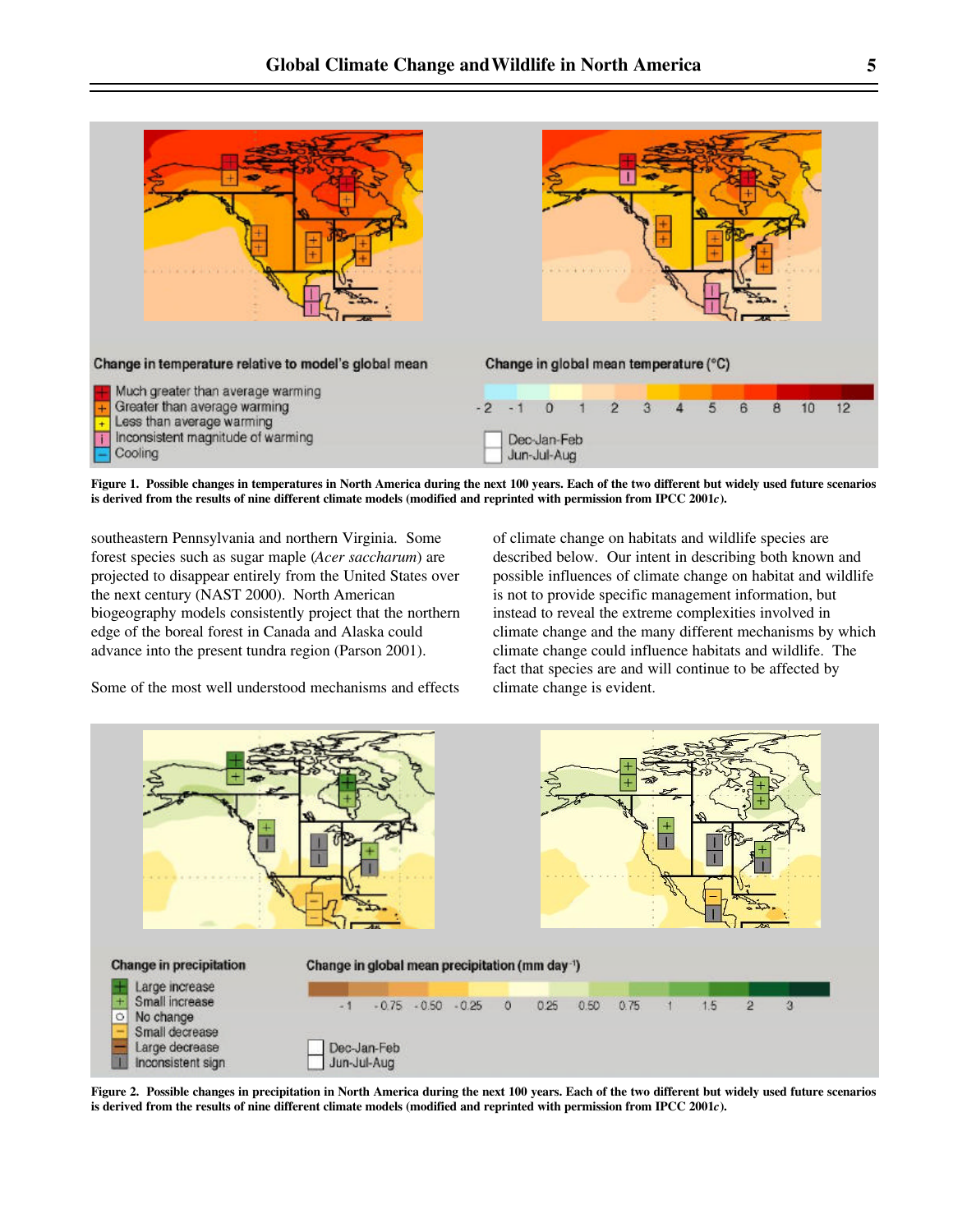

**Figure 1. Possible changes in temperatures in North America during the next 100 years. Each of the two different but widely used future scenarios** is derived from the results of nine different climate models (modified and reprinted with permission from IPCC 2001*c*).

southeastern Pennsylvania and northern Virginia. Some forest species such as sugar maple (*Acer saccharum*) are projected to disappear entirely from the United States over the next century (NAST 2000). North American biogeography models consistently project that the northern edge of the boreal forest in Canada and Alaska could advance into the present tundra region (Parson 2001).

Some of the most well understood mechanisms and effects

of climate change on habitats and wildlife species are described below. Our intent in describing both known and possible influences of climate change on habitat and wildlife is not to provide specific management information, but instead to reveal the extreme complexities involved in climate change and the many different mechanisms by which climate change could influence habitats and wildlife. The fact that species are and will continue to be affected by climate change is evident.



**Figure 2. Possible changes in precipitation in North America during the next 100 years. Each of the two different but widely used future scenarios** is derived from the results of nine different climate models (modified and reprinted with permission from IPCC 2001*c*).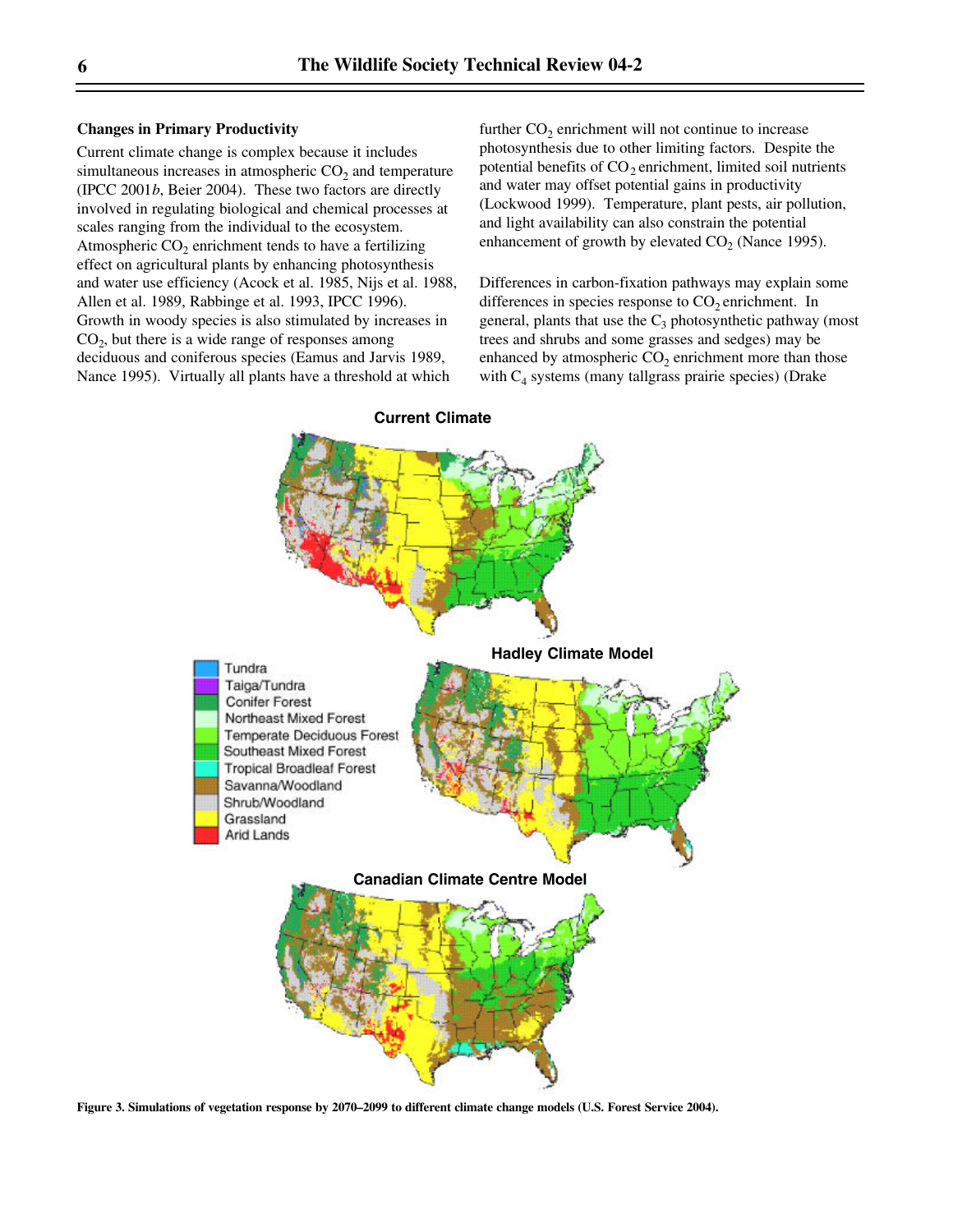#### **Changes in Primary Productivity**

Current climate change is complex because it includes simultaneous increases in atmospheric  $CO<sub>2</sub>$  and temperature (IPCC 2001*b*, Beier 2004). These two factors are directly involved in regulating biological and chemical processes at scales ranging from the individual to the ecosystem. Atmospheric  $CO<sub>2</sub>$  enrichment tends to have a fertilizing effect on agricultural plants by enhancing photosynthesis and water use efficiency (Acock et al. 1985, Nijs et al. 1988, Allen et al. 1989, Rabbinge et al. 1993, IPCC 1996). Growth in woody species is also stimulated by increases in  $CO<sub>2</sub>$ , but there is a wide range of responses among deciduous and coniferous species (Eamus and Jarvis 1989, Nance 1995). Virtually all plants have a threshold at which

further  $CO_2$  enrichment will not continue to increase photosynthesis due to other limiting factors. Despite the potential benefits of  $CO<sub>2</sub>$  enrichment, limited soil nutrients and water may offset potential gains in productivity (Lockwood 1999). Temperature, plant pests, air pollution, and light availability can also constrain the potential enhancement of growth by elevated  $CO_2$  (Nance 1995).

Differences in carbon-fixation pathways may explain some differences in species response to  $CO<sub>2</sub>$  enrichment. In general, plants that use the  $C_3$  photosynthetic pathway (most trees and shrubs and some grasses and sedges) may be enhanced by atmospheric  $CO_2$  enrichment more than those with C<sub>4</sub> systems (many tallgrass prairie species) (Drake



**Figure 3. Simulations of vegetation response by 2070–2099 to different climate change models (U.S. Forest Service 2004).**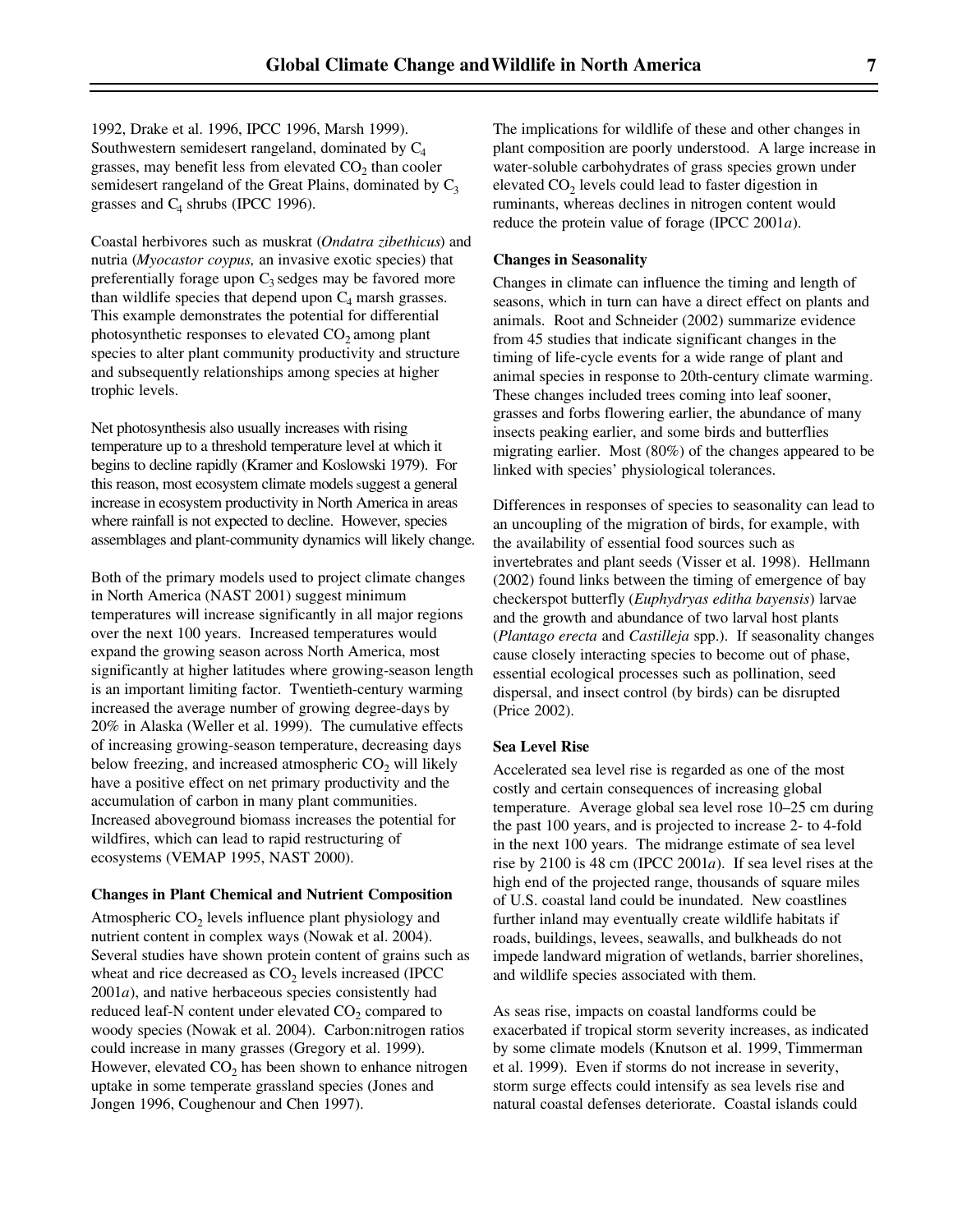1992, Drake et al. 1996, IPCC 1996, Marsh 1999). Southwestern semidesert rangeland, dominated by  $C_4$ grasses, may benefit less from elevated  $CO<sub>2</sub>$  than cooler semidesert rangeland of the Great Plains, dominated by  $C_3$ grasses and  $C_4$  shrubs (IPCC 1996).

Coastal herbivores such as muskrat (*Ondatra zibethicus*) and nutria (*Myocastor coypus,* an invasive exotic species) that preferentially forage upon  $C_3$  sedges may be favored more than wildlife species that depend upon  $C_4$  marsh grasses. This example demonstrates the potential for differential photosynthetic responses to elevated  $CO<sub>2</sub>$  among plant species to alter plant community productivity and structure and subsequently relationships among species at higher trophic levels.

Net photosynthesis also usually increases with rising temperature up to a threshold temperature level at which it begins to decline rapidly (Kramer and Koslowski 1979). For this reason, most ecosystem climate models suggest a general increase in ecosystem productivity in North America in areas where rainfall is not expected to decline. However, species assemblages and plant-community dynamics will likely change.

Both of the primary models used to project climate changes in North America (NAST 2001) suggest minimum temperatures will increase significantly in all major regions over the next 100 years. Increased temperatures would expand the growing season across North America, most significantly at higher latitudes where growing-season length is an important limiting factor. Twentieth-century warming increased the average number of growing degree-days by 20% in Alaska (Weller et al. 1999). The cumulative effects of increasing growing-season temperature, decreasing days below freezing, and increased atmospheric  $CO<sub>2</sub>$  will likely have a positive effect on net primary productivity and the accumulation of carbon in many plant communities. Increased aboveground biomass increases the potential for wildfires, which can lead to rapid restructuring of ecosystems (VEMAP 1995, NAST 2000).

#### **Changes in Plant Chemical and Nutrient Composition**

Atmospheric  $CO<sub>2</sub>$  levels influence plant physiology and nutrient content in complex ways (Nowak et al. 2004). Several studies have shown protein content of grains such as wheat and rice decreased as  $CO<sub>2</sub>$  levels increased (IPCC) 2001*a*), and native herbaceous species consistently had reduced leaf-N content under elevated  $CO<sub>2</sub>$  compared to woody species (Nowak et al. 2004). Carbon:nitrogen ratios could increase in many grasses (Gregory et al. 1999). However, elevated  $CO<sub>2</sub>$  has been shown to enhance nitrogen uptake in some temperate grassland species (Jones and Jongen 1996, Coughenour and Chen 1997).

The implications for wildlife of these and other changes in plant composition are poorly understood. A large increase in water-soluble carbohydrates of grass species grown under elevated  $CO<sub>2</sub>$  levels could lead to faster digestion in ruminants, whereas declines in nitrogen content would reduce the protein value of forage (IPCC 2001*a*).

#### **Changes in Seasonality**

Changes in climate can influence the timing and length of seasons, which in turn can have a direct effect on plants and animals. Root and Schneider (2002) summarize evidence from 45 studies that indicate significant changes in the timing of life-cycle events for a wide range of plant and animal species in response to 20th-century climate warming. These changes included trees coming into leaf sooner, grasses and forbs flowering earlier, the abundance of many insects peaking earlier, and some birds and butterflies migrating earlier. Most (80%) of the changes appeared to be linked with species' physiological tolerances.

Differences in responses of species to seasonality can lead to an uncoupling of the migration of birds, for example, with the availability of essential food sources such as invertebrates and plant seeds (Visser et al. 1998). Hellmann (2002) found links between the timing of emergence of bay checkerspot butterfly (*Euphydryas editha bayensis*) larvae and the growth and abundance of two larval host plants (*Plantago erecta* and *Castilleja* spp.). If seasonality changes cause closely interacting species to become out of phase, essential ecological processes such as pollination, seed dispersal, and insect control (by birds) can be disrupted (Price 2002).

#### **Sea Level Rise**

Accelerated sea level rise is regarded as one of the most costly and certain consequences of increasing global temperature. Average global sea level rose 10–25 cm during the past 100 years, and is projected to increase 2- to 4-fold in the next 100 years. The midrange estimate of sea level rise by 2100 is 48 cm (IPCC 2001*a*). If sea level rises at the high end of the projected range, thousands of square miles of U.S. coastal land could be inundated. New coastlines further inland may eventually create wildlife habitats if roads, buildings, levees, seawalls, and bulkheads do not impede landward migration of wetlands, barrier shorelines, and wildlife species associated with them.

As seas rise, impacts on coastal landforms could be exacerbated if tropical storm severity increases, as indicated by some climate models (Knutson et al. 1999, Timmerman et al. 1999). Even if storms do not increase in severity, storm surge effects could intensify as sea levels rise and natural coastal defenses deteriorate. Coastal islands could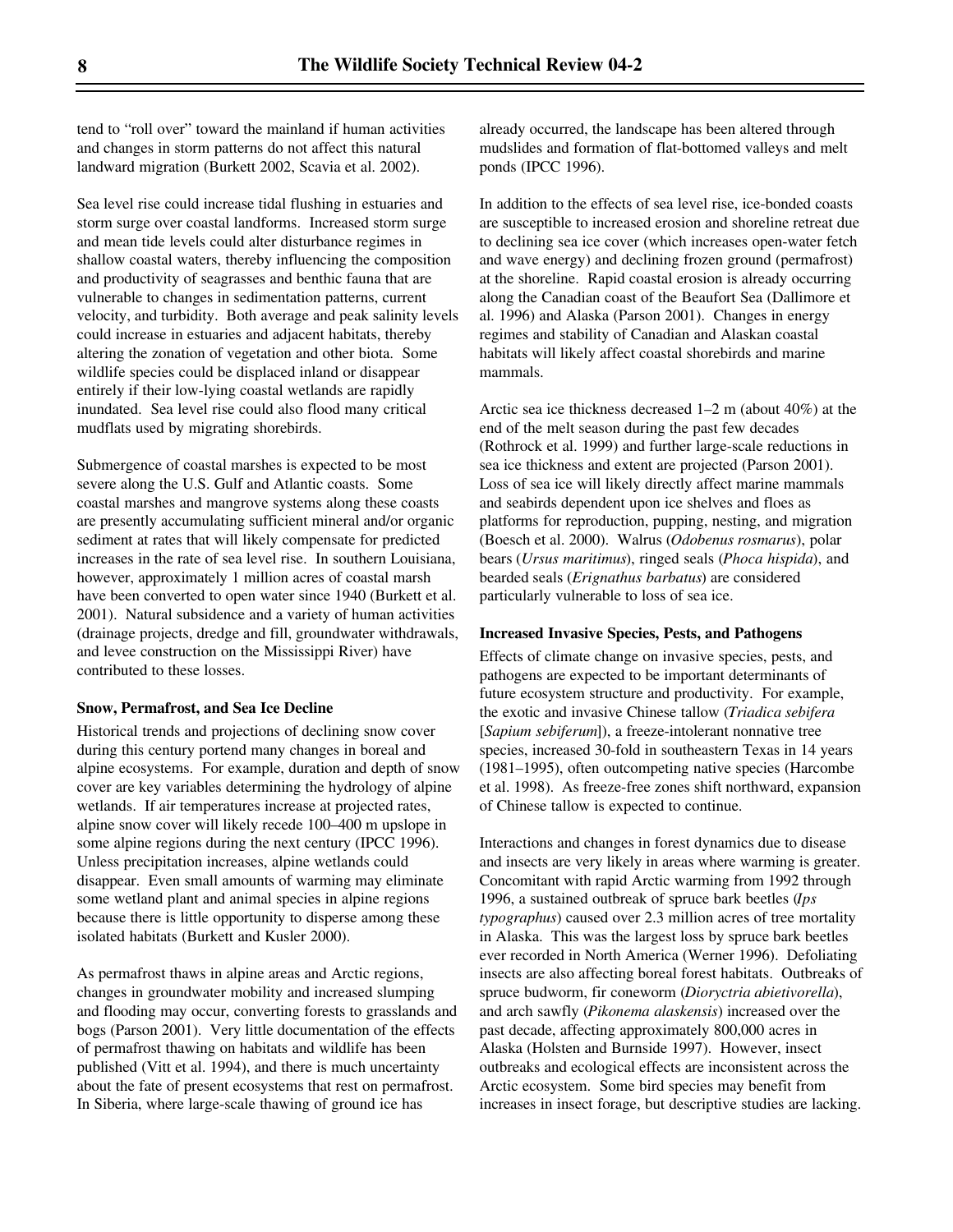tend to "roll over" toward the mainland if human activities and changes in storm patterns do not affect this natural landward migration (Burkett 2002, Scavia et al. 2002).

Sea level rise could increase tidal flushing in estuaries and storm surge over coastal landforms. Increased storm surge and mean tide levels could alter disturbance regimes in shallow coastal waters, thereby influencing the composition and productivity of seagrasses and benthic fauna that are vulnerable to changes in sedimentation patterns, current velocity, and turbidity. Both average and peak salinity levels could increase in estuaries and adjacent habitats, thereby altering the zonation of vegetation and other biota. Some wildlife species could be displaced inland or disappear entirely if their low-lying coastal wetlands are rapidly inundated. Sea level rise could also flood many critical mudflats used by migrating shorebirds.

Submergence of coastal marshes is expected to be most severe along the U.S. Gulf and Atlantic coasts. Some coastal marshes and mangrove systems along these coasts are presently accumulating sufficient mineral and/or organic sediment at rates that will likely compensate for predicted increases in the rate of sea level rise. In southern Louisiana, however, approximately 1 million acres of coastal marsh have been converted to open water since 1940 (Burkett et al. 2001). Natural subsidence and a variety of human activities (drainage projects, dredge and fill, groundwater withdrawals, and levee construction on the Mississippi River) have contributed to these losses.

#### **Snow, Permafrost, and Sea Ice Decline**

Historical trends and projections of declining snow cover during this century portend many changes in boreal and alpine ecosystems. For example, duration and depth of snow cover are key variables determining the hydrology of alpine wetlands. If air temperatures increase at projected rates, alpine snow cover will likely recede 100–400 m upslope in some alpine regions during the next century (IPCC 1996). Unless precipitation increases, alpine wetlands could disappear. Even small amounts of warming may eliminate some wetland plant and animal species in alpine regions because there is little opportunity to disperse among these isolated habitats (Burkett and Kusler 2000).

As permafrost thaws in alpine areas and Arctic regions, changes in groundwater mobility and increased slumping and flooding may occur, converting forests to grasslands and bogs (Parson 2001). Very little documentation of the effects of permafrost thawing on habitats and wildlife has been published (Vitt et al. 1994), and there is much uncertainty about the fate of present ecosystems that rest on permafrost. In Siberia, where large-scale thawing of ground ice has

already occurred, the landscape has been altered through mudslides and formation of flat-bottomed valleys and melt ponds (IPCC 1996).

In addition to the effects of sea level rise, ice-bonded coasts are susceptible to increased erosion and shoreline retreat due to declining sea ice cover (which increases open-water fetch and wave energy) and declining frozen ground (permafrost) at the shoreline. Rapid coastal erosion is already occurring along the Canadian coast of the Beaufort Sea (Dallimore et al. 1996) and Alaska (Parson 2001). Changes in energy regimes and stability of Canadian and Alaskan coastal habitats will likely affect coastal shorebirds and marine mammals.

Arctic sea ice thickness decreased 1–2 m (about 40%) at the end of the melt season during the past few decades (Rothrock et al. 1999) and further large-scale reductions in sea ice thickness and extent are projected (Parson 2001). Loss of sea ice will likely directly affect marine mammals and seabirds dependent upon ice shelves and floes as platforms for reproduction, pupping, nesting, and migration (Boesch et al. 2000). Walrus (*Odobenus rosmarus*), polar bears (*Ursus maritimus*), ringed seals (*Phoca hispida*), and bearded seals (*Erignathus barbatus*) are considered particularly vulnerable to loss of sea ice.

#### **Increased Invasive Species, Pests, and Pathogens**

Effects of climate change on invasive species, pests, and pathogens are expected to be important determinants of future ecosystem structure and productivity. For example, the exotic and invasive Chinese tallow (*Triadica sebifera* [*Sapium sebiferum*]), a freeze-intolerant nonnative tree species, increased 30-fold in southeastern Texas in 14 years (1981–1995), often outcompeting native species (Harcombe et al. 1998). As freeze-free zones shift northward, expansion of Chinese tallow is expected to continue.

Interactions and changes in forest dynamics due to disease and insects are very likely in areas where warming is greater. Concomitant with rapid Arctic warming from 1992 through 1996, a sustained outbreak of spruce bark beetles (*Ips typographus*) caused over 2.3 million acres of tree mortality in Alaska. This was the largest loss by spruce bark beetles ever recorded in North America (Werner 1996). Defoliating insects are also affecting boreal forest habitats. Outbreaks of spruce budworm, fir coneworm (*Dioryctria abietivorella*), and arch sawfly (*Pikonema alaskensis*) increased over the past decade, affecting approximately 800,000 acres in Alaska (Holsten and Burnside 1997). However, insect outbreaks and ecological effects are inconsistent across the Arctic ecosystem. Some bird species may benefit from increases in insect forage, but descriptive studies are lacking.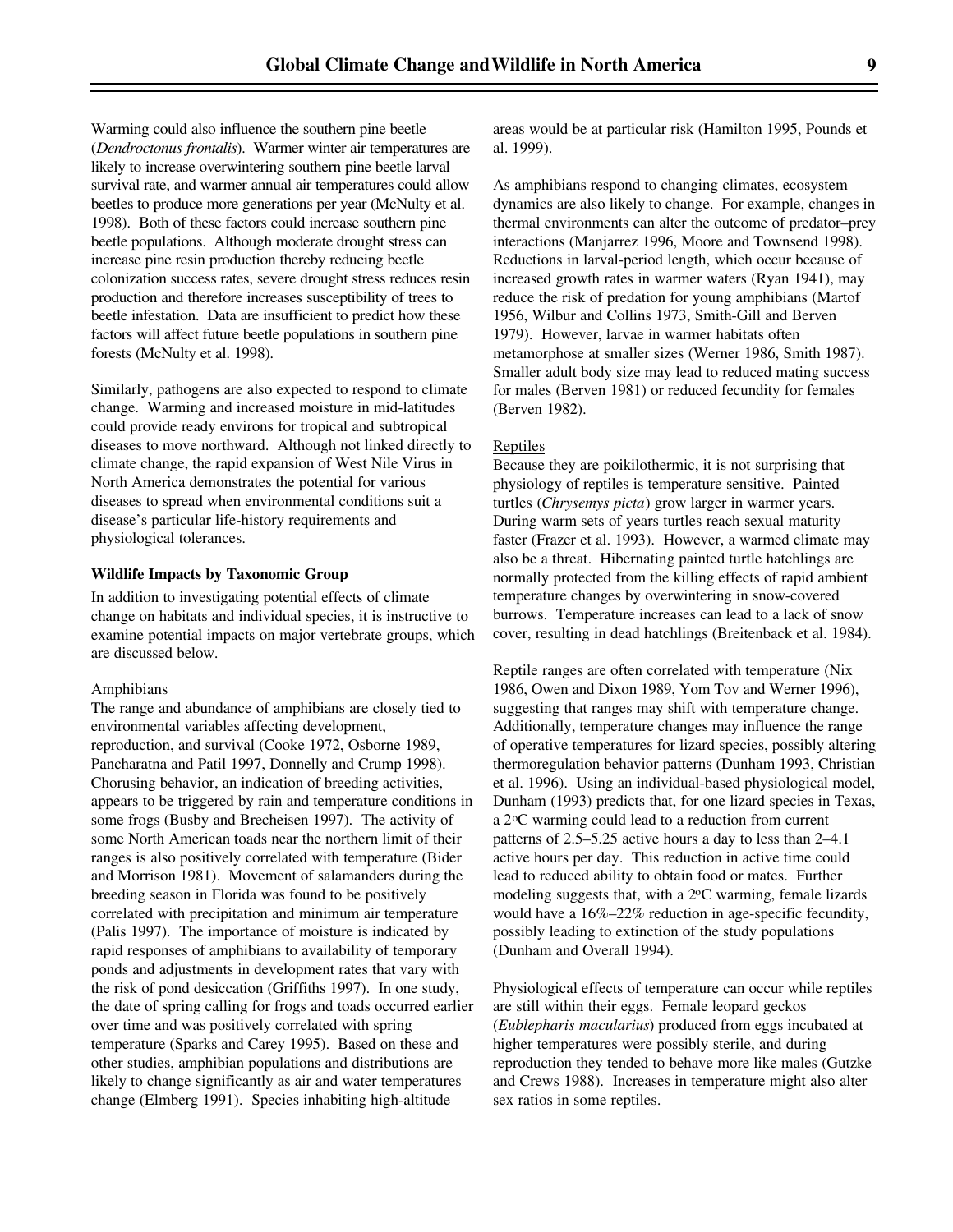Warming could also influence the southern pine beetle (*Dendroctonus frontalis*). Warmer winter air temperatures are likely to increase overwintering southern pine beetle larval survival rate, and warmer annual air temperatures could allow beetles to produce more generations per year (McNulty et al. 1998). Both of these factors could increase southern pine beetle populations. Although moderate drought stress can increase pine resin production thereby reducing beetle colonization success rates, severe drought stress reduces resin production and therefore increases susceptibility of trees to beetle infestation. Data are insufficient to predict how these factors will affect future beetle populations in southern pine forests (McNulty et al. 1998).

Similarly, pathogens are also expected to respond to climate change. Warming and increased moisture in mid-latitudes could provide ready environs for tropical and subtropical diseases to move northward. Although not linked directly to climate change, the rapid expansion of West Nile Virus in North America demonstrates the potential for various diseases to spread when environmental conditions suit a disease's particular life-history requirements and physiological tolerances.

#### **Wildlife Impacts by Taxonomic Group**

In addition to investigating potential effects of climate change on habitats and individual species, it is instructive to examine potential impacts on major vertebrate groups, which are discussed below.

#### Amphibians

The range and abundance of amphibians are closely tied to environmental variables affecting development, reproduction, and survival (Cooke 1972, Osborne 1989, Pancharatna and Patil 1997, Donnelly and Crump 1998). Chorusing behavior, an indication of breeding activities, appears to be triggered by rain and temperature conditions in some frogs (Busby and Brecheisen 1997). The activity of some North American toads near the northern limit of their ranges is also positively correlated with temperature (Bider and Morrison 1981). Movement of salamanders during the breeding season in Florida was found to be positively correlated with precipitation and minimum air temperature (Palis 1997). The importance of moisture is indicated by rapid responses of amphibians to availability of temporary ponds and adjustments in development rates that vary with the risk of pond desiccation (Griffiths 1997). In one study, the date of spring calling for frogs and toads occurred earlier over time and was positively correlated with spring temperature (Sparks and Carey 1995). Based on these and other studies, amphibian populations and distributions are likely to change significantly as air and water temperatures change (Elmberg 1991). Species inhabiting high-altitude

areas would be at particular risk (Hamilton 1995, Pounds et al. 1999).

As amphibians respond to changing climates, ecosystem dynamics are also likely to change. For example, changes in thermal environments can alter the outcome of predator–prey interactions (Manjarrez 1996, Moore and Townsend 1998). Reductions in larval-period length, which occur because of increased growth rates in warmer waters (Ryan 1941), may reduce the risk of predation for young amphibians (Martof 1956, Wilbur and Collins 1973, Smith-Gill and Berven 1979). However, larvae in warmer habitats often metamorphose at smaller sizes (Werner 1986, Smith 1987). Smaller adult body size may lead to reduced mating success for males (Berven 1981) or reduced fecundity for females (Berven 1982).

#### Reptiles

Because they are poikilothermic, it is not surprising that physiology of reptiles is temperature sensitive. Painted turtles (*Chrysemys picta*) grow larger in warmer years. During warm sets of years turtles reach sexual maturity faster (Frazer et al. 1993). However, a warmed climate may also be a threat. Hibernating painted turtle hatchlings are normally protected from the killing effects of rapid ambient temperature changes by overwintering in snow-covered burrows. Temperature increases can lead to a lack of snow cover, resulting in dead hatchlings (Breitenback et al. 1984).

Reptile ranges are often correlated with temperature (Nix 1986, Owen and Dixon 1989, Yom Tov and Werner 1996), suggesting that ranges may shift with temperature change. Additionally, temperature changes may influence the range of operative temperatures for lizard species, possibly altering thermoregulation behavior patterns (Dunham 1993, Christian et al. 1996). Using an individual-based physiological model, Dunham (1993) predicts that, for one lizard species in Texas, a 2oC warming could lead to a reduction from current patterns of 2.5–5.25 active hours a day to less than 2–4.1 active hours per day. This reduction in active time could lead to reduced ability to obtain food or mates. Further modeling suggests that, with a  $2^{\circ}$ C warming, female lizards would have a 16%–22% reduction in age-specific fecundity, possibly leading to extinction of the study populations (Dunham and Overall 1994).

Physiological effects of temperature can occur while reptiles are still within their eggs. Female leopard geckos (*Eublepharis macularius*) produced from eggs incubated at higher temperatures were possibly sterile, and during reproduction they tended to behave more like males (Gutzke and Crews 1988). Increases in temperature might also alter sex ratios in some reptiles.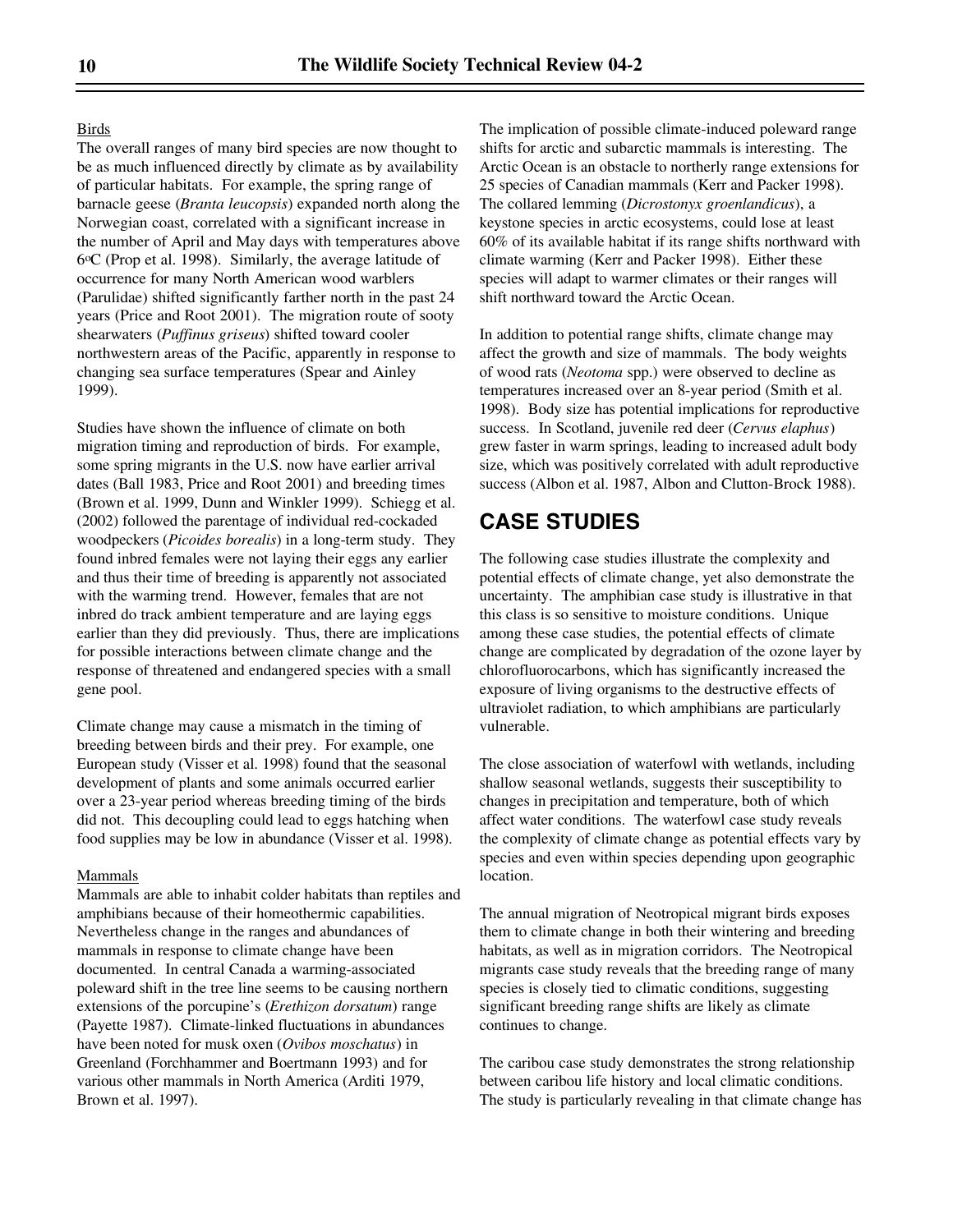#### **Birds**

The overall ranges of many bird species are now thought to be as much influenced directly by climate as by availability of particular habitats. For example, the spring range of barnacle geese (*Branta leucopsis*) expanded north along the Norwegian coast, correlated with a significant increase in the number of April and May days with temperatures above 6oC (Prop et al. 1998). Similarly, the average latitude of occurrence for many North American wood warblers (Parulidae) shifted significantly farther north in the past 24 years (Price and Root 2001). The migration route of sooty shearwaters (*Puffinus griseus*) shifted toward cooler northwestern areas of the Pacific, apparently in response to changing sea surface temperatures (Spear and Ainley 1999).

Studies have shown the influence of climate on both migration timing and reproduction of birds. For example, some spring migrants in the U.S. now have earlier arrival dates (Ball 1983, Price and Root 2001) and breeding times (Brown et al. 1999, Dunn and Winkler 1999). Schiegg et al. (2002) followed the parentage of individual red-cockaded woodpeckers (*Picoides borealis*) in a long-term study. They found inbred females were not laying their eggs any earlier and thus their time of breeding is apparently not associated with the warming trend. However, females that are not inbred do track ambient temperature and are laying eggs earlier than they did previously. Thus, there are implications for possible interactions between climate change and the response of threatened and endangered species with a small gene pool.

Climate change may cause a mismatch in the timing of breeding between birds and their prey. For example, one European study (Visser et al. 1998) found that the seasonal development of plants and some animals occurred earlier over a 23-year period whereas breeding timing of the birds did not. This decoupling could lead to eggs hatching when food supplies may be low in abundance (Visser et al. 1998).

#### Mammals

Mammals are able to inhabit colder habitats than reptiles and amphibians because of their homeothermic capabilities. Nevertheless change in the ranges and abundances of mammals in response to climate change have been documented. In central Canada a warming-associated poleward shift in the tree line seems to be causing northern extensions of the porcupine's (*Erethizon dorsatum*) range (Payette 1987). Climate-linked fluctuations in abundances have been noted for musk oxen (*Ovibos moschatus*) in Greenland (Forchhammer and Boertmann 1993) and for various other mammals in North America (Arditi 1979, Brown et al. 1997).

The implication of possible climate-induced poleward range shifts for arctic and subarctic mammals is interesting. The Arctic Ocean is an obstacle to northerly range extensions for 25 species of Canadian mammals (Kerr and Packer 1998). The collared lemming (*Dicrostonyx groenlandicus*), a keystone species in arctic ecosystems, could lose at least 60% of its available habitat if its range shifts northward with climate warming (Kerr and Packer 1998). Either these species will adapt to warmer climates or their ranges will shift northward toward the Arctic Ocean.

In addition to potential range shifts, climate change may affect the growth and size of mammals. The body weights of wood rats (*Neotoma* spp.) were observed to decline as temperatures increased over an 8-year period (Smith et al. 1998). Body size has potential implications for reproductive success. In Scotland, juvenile red deer (*Cervus elaphus*) grew faster in warm springs, leading to increased adult body size, which was positively correlated with adult reproductive success (Albon et al. 1987, Albon and Clutton-Brock 1988).

## **CASE STUDIES**

The following case studies illustrate the complexity and potential effects of climate change, yet also demonstrate the uncertainty. The amphibian case study is illustrative in that this class is so sensitive to moisture conditions. Unique among these case studies, the potential effects of climate change are complicated by degradation of the ozone layer by chlorofluorocarbons, which has significantly increased the exposure of living organisms to the destructive effects of ultraviolet radiation, to which amphibians are particularly vulnerable.

The close association of waterfowl with wetlands, including shallow seasonal wetlands, suggests their susceptibility to changes in precipitation and temperature, both of which affect water conditions. The waterfowl case study reveals the complexity of climate change as potential effects vary by species and even within species depending upon geographic location.

The annual migration of Neotropical migrant birds exposes them to climate change in both their wintering and breeding habitats, as well as in migration corridors. The Neotropical migrants case study reveals that the breeding range of many species is closely tied to climatic conditions, suggesting significant breeding range shifts are likely as climate continues to change.

The caribou case study demonstrates the strong relationship between caribou life history and local climatic conditions. The study is particularly revealing in that climate change has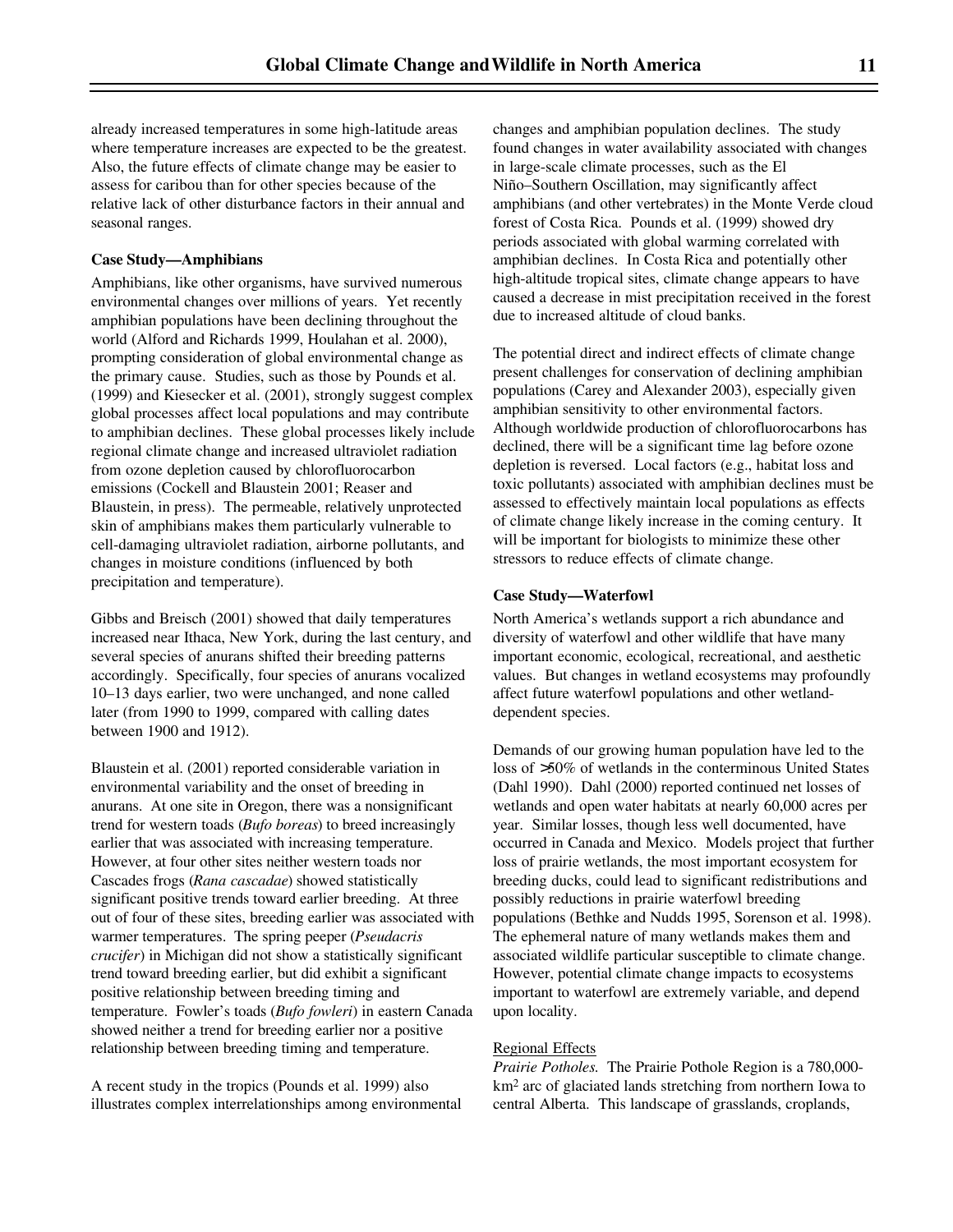already increased temperatures in some high-latitude areas where temperature increases are expected to be the greatest. Also, the future effects of climate change may be easier to assess for caribou than for other species because of the relative lack of other disturbance factors in their annual and seasonal ranges.

#### **Case Study—Amphibians**

Amphibians, like other organisms, have survived numerous environmental changes over millions of years. Yet recently amphibian populations have been declining throughout the world (Alford and Richards 1999, Houlahan et al. 2000), prompting consideration of global environmental change as the primary cause. Studies, such as those by Pounds et al. (1999) and Kiesecker et al. (2001), strongly suggest complex global processes affect local populations and may contribute to amphibian declines. These global processes likely include regional climate change and increased ultraviolet radiation from ozone depletion caused by chlorofluorocarbon emissions (Cockell and Blaustein 2001; Reaser and Blaustein, in press). The permeable, relatively unprotected skin of amphibians makes them particularly vulnerable to cell-damaging ultraviolet radiation, airborne pollutants, and changes in moisture conditions (influenced by both precipitation and temperature).

Gibbs and Breisch (2001) showed that daily temperatures increased near Ithaca, New York, during the last century, and several species of anurans shifted their breeding patterns accordingly. Specifically, four species of anurans vocalized 10–13 days earlier, two were unchanged, and none called later (from 1990 to 1999, compared with calling dates between 1900 and 1912).

Blaustein et al. (2001) reported considerable variation in environmental variability and the onset of breeding in anurans. At one site in Oregon, there was a nonsignificant trend for western toads (*Bufo boreas*) to breed increasingly earlier that was associated with increasing temperature. However, at four other sites neither western toads nor Cascades frogs (*Rana cascadae*) showed statistically significant positive trends toward earlier breeding. At three out of four of these sites, breeding earlier was associated with warmer temperatures. The spring peeper (*Pseudacris crucifer*) in Michigan did not show a statistically significant trend toward breeding earlier, but did exhibit a significant positive relationship between breeding timing and temperature. Fowler's toads (*Bufo fowleri*) in eastern Canada showed neither a trend for breeding earlier nor a positive relationship between breeding timing and temperature.

A recent study in the tropics (Pounds et al. 1999) also illustrates complex interrelationships among environmental changes and amphibian population declines. The study found changes in water availability associated with changes in large-scale climate processes, such as the El Niño–Southern Oscillation, may significantly affect amphibians (and other vertebrates) in the Monte Verde cloud forest of Costa Rica. Pounds et al. (1999) showed dry periods associated with global warming correlated with amphibian declines. In Costa Rica and potentially other high-altitude tropical sites, climate change appears to have caused a decrease in mist precipitation received in the forest due to increased altitude of cloud banks.

The potential direct and indirect effects of climate change present challenges for conservation of declining amphibian populations (Carey and Alexander 2003), especially given amphibian sensitivity to other environmental factors. Although worldwide production of chlorofluorocarbons has declined, there will be a significant time lag before ozone depletion is reversed. Local factors (e.g., habitat loss and toxic pollutants) associated with amphibian declines must be assessed to effectively maintain local populations as effects of climate change likely increase in the coming century. It will be important for biologists to minimize these other stressors to reduce effects of climate change.

#### **Case Study—Waterfowl**

North America's wetlands support a rich abundance and diversity of waterfowl and other wildlife that have many important economic, ecological, recreational, and aesthetic values. But changes in wetland ecosystems may profoundly affect future waterfowl populations and other wetlanddependent species.

Demands of our growing human population have led to the loss of >50% of wetlands in the conterminous United States (Dahl 1990). Dahl (2000) reported continued net losses of wetlands and open water habitats at nearly 60,000 acres per year. Similar losses, though less well documented, have occurred in Canada and Mexico. Models project that further loss of prairie wetlands, the most important ecosystem for breeding ducks, could lead to significant redistributions and possibly reductions in prairie waterfowl breeding populations (Bethke and Nudds 1995, Sorenson et al. 1998). The ephemeral nature of many wetlands makes them and associated wildlife particular susceptible to climate change. However, potential climate change impacts to ecosystems important to waterfowl are extremely variable, and depend upon locality.

#### Regional Effects

*Prairie Potholes.* The Prairie Pothole Region is a 780,000 km2 arc of glaciated lands stretching from northern Iowa to central Alberta. This landscape of grasslands, croplands,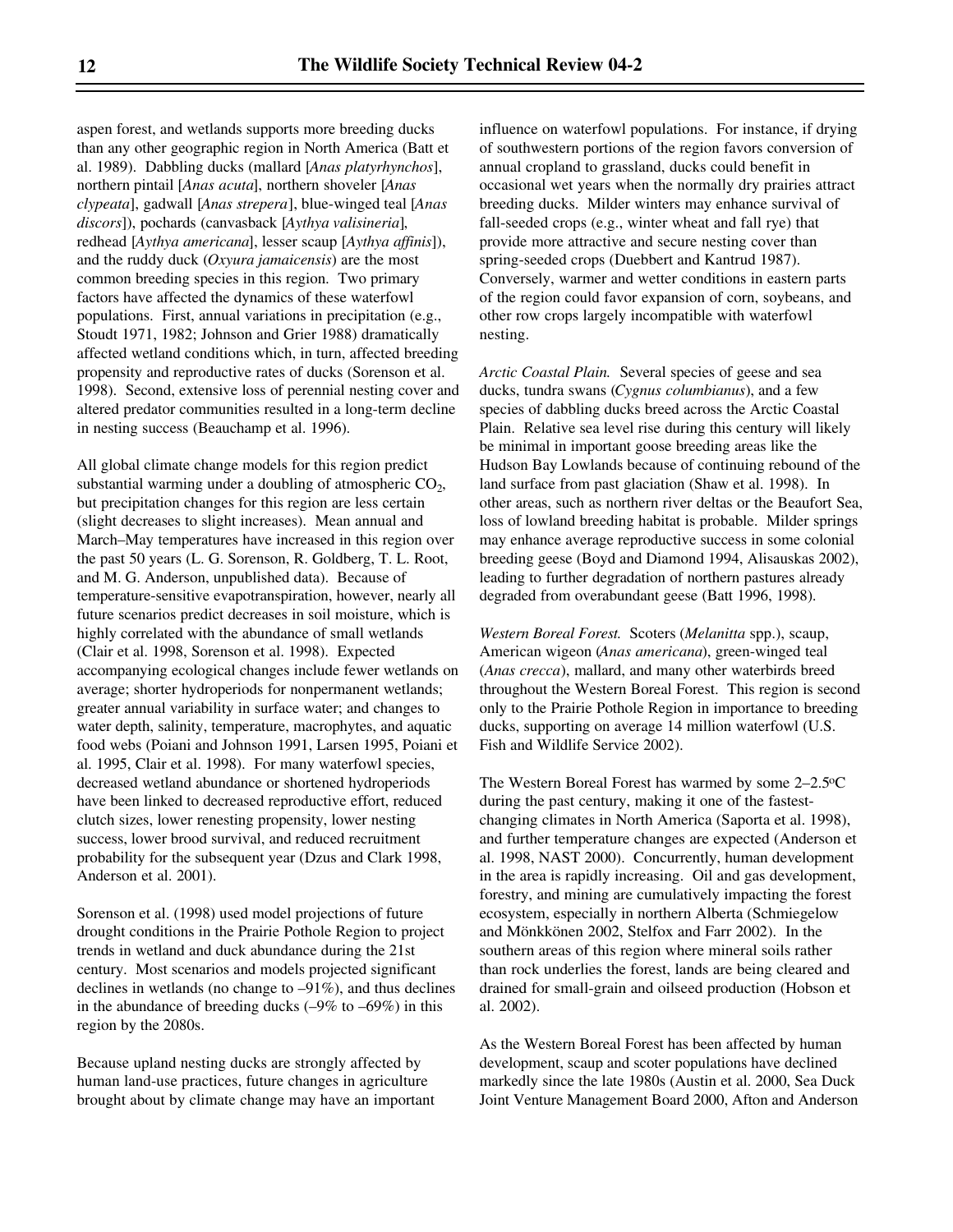aspen forest, and wetlands supports more breeding ducks than any other geographic region in North America (Batt et al. 1989). Dabbling ducks (mallard [*Anas platyrhynchos*], northern pintail [*Anas acuta*], northern shoveler [*Anas clypeata*], gadwall [*Anas strepera*], blue-winged teal [*Anas discors*]), pochards (canvasback [*Aythya valisineria*], redhead [*Aythya americana*], lesser scaup [*Aythya affinis*]), and the ruddy duck (*Oxyura jamaicensis*) are the most common breeding species in this region. Two primary factors have affected the dynamics of these waterfowl populations. First, annual variations in precipitation (e.g., Stoudt 1971, 1982; Johnson and Grier 1988) dramatically affected wetland conditions which, in turn, affected breeding propensity and reproductive rates of ducks (Sorenson et al. 1998). Second, extensive loss of perennial nesting cover and altered predator communities resulted in a long-term decline in nesting success (Beauchamp et al. 1996).

All global climate change models for this region predict substantial warming under a doubling of atmospheric  $CO<sub>2</sub>$ , but precipitation changes for this region are less certain (slight decreases to slight increases). Mean annual and March–May temperatures have increased in this region over the past 50 years (L. G. Sorenson, R. Goldberg, T. L. Root, and M. G. Anderson, unpublished data). Because of temperature-sensitive evapotranspiration, however, nearly all future scenarios predict decreases in soil moisture, which is highly correlated with the abundance of small wetlands (Clair et al. 1998, Sorenson et al. 1998). Expected accompanying ecological changes include fewer wetlands on average; shorter hydroperiods for nonpermanent wetlands; greater annual variability in surface water; and changes to water depth, salinity, temperature, macrophytes, and aquatic food webs (Poiani and Johnson 1991, Larsen 1995, Poiani et al. 1995, Clair et al. 1998). For many waterfowl species, decreased wetland abundance or shortened hydroperiods have been linked to decreased reproductive effort, reduced clutch sizes, lower renesting propensity, lower nesting success, lower brood survival, and reduced recruitment probability for the subsequent year (Dzus and Clark 1998, Anderson et al. 2001).

Sorenson et al. (1998) used model projections of future drought conditions in the Prairie Pothole Region to project trends in wetland and duck abundance during the 21st century. Most scenarios and models projected significant declines in wetlands (no change to –91%), and thus declines in the abundance of breeding ducks  $(-9\% \text{ to } -69\%)$  in this region by the 2080s.

Because upland nesting ducks are strongly affected by human land-use practices, future changes in agriculture brought about by climate change may have an important influence on waterfowl populations. For instance, if drying of southwestern portions of the region favors conversion of annual cropland to grassland, ducks could benefit in occasional wet years when the normally dry prairies attract breeding ducks. Milder winters may enhance survival of fall-seeded crops (e.g., winter wheat and fall rye) that provide more attractive and secure nesting cover than spring-seeded crops (Duebbert and Kantrud 1987). Conversely, warmer and wetter conditions in eastern parts of the region could favor expansion of corn, soybeans, and other row crops largely incompatible with waterfowl nesting.

*Arctic Coastal Plain.* Several species of geese and sea ducks, tundra swans (*Cygnus columbianus*), and a few species of dabbling ducks breed across the Arctic Coastal Plain. Relative sea level rise during this century will likely be minimal in important goose breeding areas like the Hudson Bay Lowlands because of continuing rebound of the land surface from past glaciation (Shaw et al. 1998). In other areas, such as northern river deltas or the Beaufort Sea, loss of lowland breeding habitat is probable. Milder springs may enhance average reproductive success in some colonial breeding geese (Boyd and Diamond 1994, Alisauskas 2002), leading to further degradation of northern pastures already degraded from overabundant geese (Batt 1996, 1998).

*Western Boreal Forest.* Scoters (*Melanitta* spp.), scaup, American wigeon (*Anas americana*), green-winged teal (*Anas crecca*), mallard, and many other waterbirds breed throughout the Western Boreal Forest. This region is second only to the Prairie Pothole Region in importance to breeding ducks, supporting on average 14 million waterfowl (U.S. Fish and Wildlife Service 2002).

The Western Boreal Forest has warmed by some 2–2.5oC during the past century, making it one of the fastestchanging climates in North America (Saporta et al. 1998), and further temperature changes are expected (Anderson et al. 1998, NAST 2000). Concurrently, human development in the area is rapidly increasing. Oil and gas development, forestry, and mining are cumulatively impacting the forest ecosystem, especially in northern Alberta (Schmiegelow and Mönkkönen 2002, Stelfox and Farr 2002). In the southern areas of this region where mineral soils rather than rock underlies the forest, lands are being cleared and drained for small-grain and oilseed production (Hobson et al. 2002).

As the Western Boreal Forest has been affected by human development, scaup and scoter populations have declined markedly since the late 1980s (Austin et al. 2000, Sea Duck Joint Venture Management Board 2000, Afton and Anderson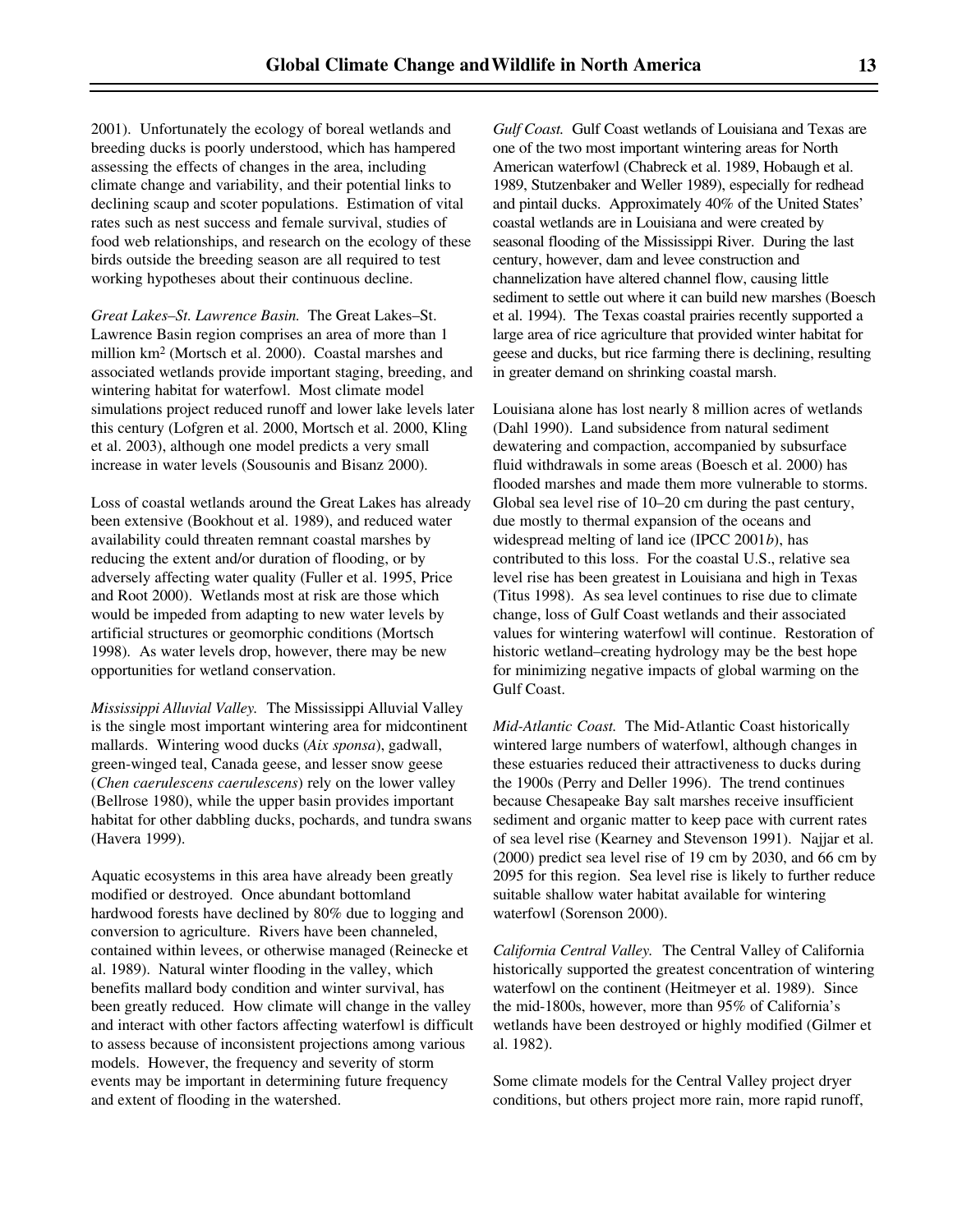2001). Unfortunately the ecology of boreal wetlands and breeding ducks is poorly understood, which has hampered assessing the effects of changes in the area, including climate change and variability, and their potential links to declining scaup and scoter populations. Estimation of vital rates such as nest success and female survival, studies of food web relationships, and research on the ecology of these birds outside the breeding season are all required to test working hypotheses about their continuous decline.

*Great Lakes–St. Lawrence Basin.* The Great Lakes–St. Lawrence Basin region comprises an area of more than 1 million km2 (Mortsch et al. 2000). Coastal marshes and associated wetlands provide important staging, breeding, and wintering habitat for waterfowl. Most climate model simulations project reduced runoff and lower lake levels later this century (Lofgren et al. 2000, Mortsch et al. 2000, Kling et al. 2003), although one model predicts a very small increase in water levels (Sousounis and Bisanz 2000).

Loss of coastal wetlands around the Great Lakes has already been extensive (Bookhout et al. 1989), and reduced water availability could threaten remnant coastal marshes by reducing the extent and/or duration of flooding, or by adversely affecting water quality (Fuller et al. 1995, Price and Root 2000). Wetlands most at risk are those which would be impeded from adapting to new water levels by artificial structures or geomorphic conditions (Mortsch 1998). As water levels drop, however, there may be new opportunities for wetland conservation.

*Mississippi Alluvial Valley.* The Mississippi Alluvial Valley is the single most important wintering area for midcontinent mallards. Wintering wood ducks (*Aix sponsa*), gadwall, green-winged teal, Canada geese, and lesser snow geese (*Chen caerulescens caerulescens*) rely on the lower valley (Bellrose 1980), while the upper basin provides important habitat for other dabbling ducks, pochards, and tundra swans (Havera 1999).

Aquatic ecosystems in this area have already been greatly modified or destroyed. Once abundant bottomland hardwood forests have declined by 80% due to logging and conversion to agriculture. Rivers have been channeled, contained within levees, or otherwise managed (Reinecke et al. 1989). Natural winter flooding in the valley, which benefits mallard body condition and winter survival, has been greatly reduced. How climate will change in the valley and interact with other factors affecting waterfowl is difficult to assess because of inconsistent projections among various models. However, the frequency and severity of storm events may be important in determining future frequency and extent of flooding in the watershed.

*Gulf Coast.* Gulf Coast wetlands of Louisiana and Texas are one of the two most important wintering areas for North American waterfowl (Chabreck et al. 1989, Hobaugh et al. 1989, Stutzenbaker and Weller 1989), especially for redhead and pintail ducks. Approximately 40% of the United States' coastal wetlands are in Louisiana and were created by seasonal flooding of the Mississippi River. During the last century, however, dam and levee construction and channelization have altered channel flow, causing little sediment to settle out where it can build new marshes (Boesch et al. 1994). The Texas coastal prairies recently supported a large area of rice agriculture that provided winter habitat for geese and ducks, but rice farming there is declining, resulting in greater demand on shrinking coastal marsh.

Louisiana alone has lost nearly 8 million acres of wetlands (Dahl 1990). Land subsidence from natural sediment dewatering and compaction, accompanied by subsurface fluid withdrawals in some areas (Boesch et al. 2000) has flooded marshes and made them more vulnerable to storms. Global sea level rise of 10–20 cm during the past century, due mostly to thermal expansion of the oceans and widespread melting of land ice (IPCC 2001*b*), has contributed to this loss. For the coastal U.S., relative sea level rise has been greatest in Louisiana and high in Texas (Titus 1998). As sea level continues to rise due to climate change, loss of Gulf Coast wetlands and their associated values for wintering waterfowl will continue. Restoration of historic wetland–creating hydrology may be the best hope for minimizing negative impacts of global warming on the Gulf Coast.

*Mid-Atlantic Coast.* The Mid-Atlantic Coast historically wintered large numbers of waterfowl, although changes in these estuaries reduced their attractiveness to ducks during the 1900s (Perry and Deller 1996). The trend continues because Chesapeake Bay salt marshes receive insufficient sediment and organic matter to keep pace with current rates of sea level rise (Kearney and Stevenson 1991). Najjar et al. (2000) predict sea level rise of 19 cm by 2030, and 66 cm by 2095 for this region. Sea level rise is likely to further reduce suitable shallow water habitat available for wintering waterfowl (Sorenson 2000).

*California Central Valley.* The Central Valley of California historically supported the greatest concentration of wintering waterfowl on the continent (Heitmeyer et al. 1989). Since the mid-1800s, however, more than 95% of California's wetlands have been destroyed or highly modified (Gilmer et al. 1982).

Some climate models for the Central Valley project dryer conditions, but others project more rain, more rapid runoff,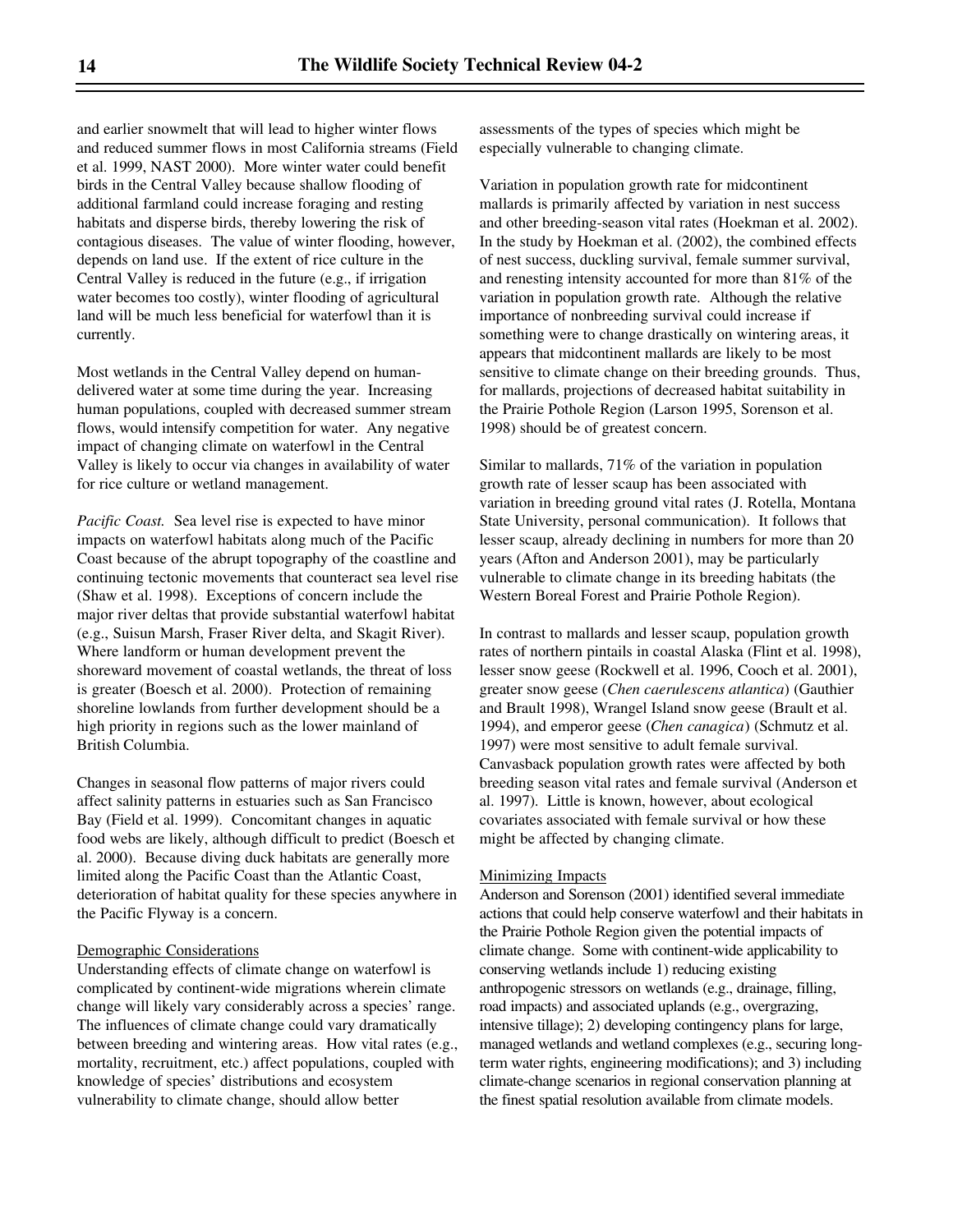and earlier snowmelt that will lead to higher winter flows and reduced summer flows in most California streams (Field et al. 1999, NAST 2000). More winter water could benefit birds in the Central Valley because shallow flooding of additional farmland could increase foraging and resting habitats and disperse birds, thereby lowering the risk of contagious diseases. The value of winter flooding, however, depends on land use. If the extent of rice culture in the Central Valley is reduced in the future (e.g., if irrigation water becomes too costly), winter flooding of agricultural land will be much less beneficial for waterfowl than it is currently.

Most wetlands in the Central Valley depend on humandelivered water at some time during the year. Increasing human populations, coupled with decreased summer stream flows, would intensify competition for water. Any negative impact of changing climate on waterfowl in the Central Valley is likely to occur via changes in availability of water for rice culture or wetland management.

*Pacific Coast.* Sea level rise is expected to have minor impacts on waterfowl habitats along much of the Pacific Coast because of the abrupt topography of the coastline and continuing tectonic movements that counteract sea level rise (Shaw et al. 1998). Exceptions of concern include the major river deltas that provide substantial waterfowl habitat (e.g., Suisun Marsh, Fraser River delta, and Skagit River). Where landform or human development prevent the shoreward movement of coastal wetlands, the threat of loss is greater (Boesch et al. 2000). Protection of remaining shoreline lowlands from further development should be a high priority in regions such as the lower mainland of British Columbia.

Changes in seasonal flow patterns of major rivers could affect salinity patterns in estuaries such as San Francisco Bay (Field et al. 1999). Concomitant changes in aquatic food webs are likely, although difficult to predict (Boesch et al. 2000). Because diving duck habitats are generally more limited along the Pacific Coast than the Atlantic Coast, deterioration of habitat quality for these species anywhere in the Pacific Flyway is a concern.

#### Demographic Considerations

Understanding effects of climate change on waterfowl is complicated by continent-wide migrations wherein climate change will likely vary considerably across a species' range. The influences of climate change could vary dramatically between breeding and wintering areas. How vital rates (e.g., mortality, recruitment, etc.) affect populations, coupled with knowledge of species' distributions and ecosystem vulnerability to climate change, should allow better

assessments of the types of species which might be especially vulnerable to changing climate.

Variation in population growth rate for midcontinent mallards is primarily affected by variation in nest success and other breeding-season vital rates (Hoekman et al. 2002). In the study by Hoekman et al. (2002), the combined effects of nest success, duckling survival, female summer survival, and renesting intensity accounted for more than 81% of the variation in population growth rate. Although the relative importance of nonbreeding survival could increase if something were to change drastically on wintering areas, it appears that midcontinent mallards are likely to be most sensitive to climate change on their breeding grounds. Thus, for mallards, projections of decreased habitat suitability in the Prairie Pothole Region (Larson 1995, Sorenson et al. 1998) should be of greatest concern.

Similar to mallards, 71% of the variation in population growth rate of lesser scaup has been associated with variation in breeding ground vital rates (J. Rotella, Montana State University, personal communication). It follows that lesser scaup, already declining in numbers for more than 20 years (Afton and Anderson 2001), may be particularly vulnerable to climate change in its breeding habitats (the Western Boreal Forest and Prairie Pothole Region).

In contrast to mallards and lesser scaup, population growth rates of northern pintails in coastal Alaska (Flint et al. 1998), lesser snow geese (Rockwell et al. 1996, Cooch et al. 2001), greater snow geese (*Chen caerulescens atlantica*) (Gauthier and Brault 1998), Wrangel Island snow geese (Brault et al. 1994), and emperor geese (*Chen canagica*) (Schmutz et al. 1997) were most sensitive to adult female survival. Canvasback population growth rates were affected by both breeding season vital rates and female survival (Anderson et al. 1997). Little is known, however, about ecological covariates associated with female survival or how these might be affected by changing climate.

#### Minimizing Impacts

Anderson and Sorenson (2001) identified several immediate actions that could help conserve waterfowl and their habitats in the Prairie Pothole Region given the potential impacts of climate change. Some with continent-wide applicability to conserving wetlands include 1) reducing existing anthropogenic stressors on wetlands (e.g., drainage, filling, road impacts) and associated uplands (e.g., overgrazing, intensive tillage); 2) developing contingency plans for large, managed wetlands and wetland complexes (e.g., securing longterm water rights, engineering modifications); and 3) including climate-change scenarios in regional conservation planning at the finest spatial resolution available from climate models.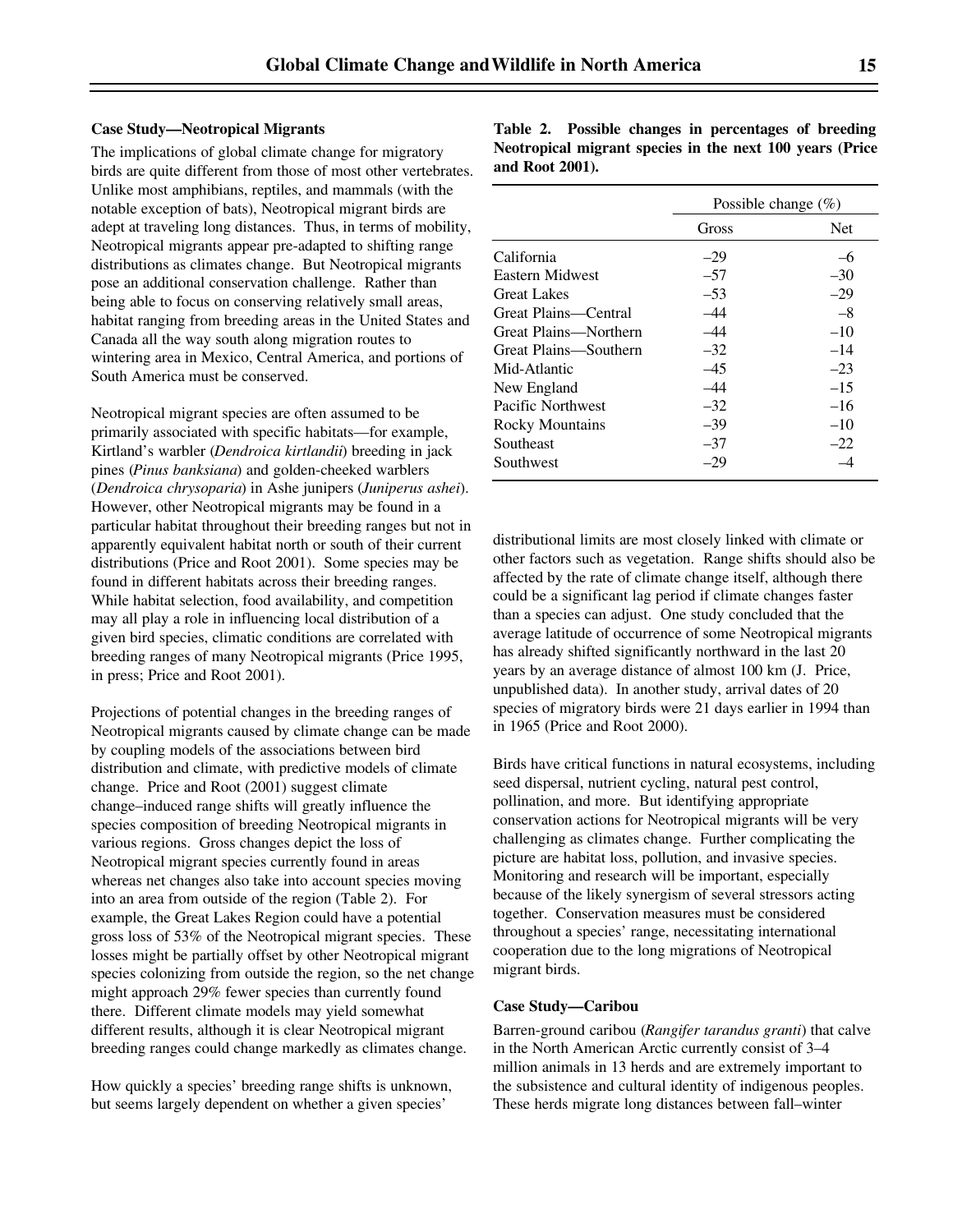#### **Case Study—Neotropical Migrants**

The implications of global climate change for migratory birds are quite different from those of most other vertebrates. Unlike most amphibians, reptiles, and mammals (with the notable exception of bats), Neotropical migrant birds are adept at traveling long distances. Thus, in terms of mobility, Neotropical migrants appear pre-adapted to shifting range distributions as climates change. But Neotropical migrants pose an additional conservation challenge. Rather than being able to focus on conserving relatively small areas, habitat ranging from breeding areas in the United States and Canada all the way south along migration routes to wintering area in Mexico, Central America, and portions of South America must be conserved.

Neotropical migrant species are often assumed to be primarily associated with specific habitats—for example, Kirtland's warbler (*Dendroica kirtlandii*) breeding in jack pines (*Pinus banksiana*) and golden-cheeked warblers (*Dendroica chrysoparia*) in Ashe junipers (*Juniperus ashei*). However, other Neotropical migrants may be found in a particular habitat throughout their breeding ranges but not in apparently equivalent habitat north or south of their current distributions (Price and Root 2001). Some species may be found in different habitats across their breeding ranges. While habitat selection, food availability, and competition may all play a role in influencing local distribution of a given bird species, climatic conditions are correlated with breeding ranges of many Neotropical migrants (Price 1995, in press; Price and Root 2001).

Projections of potential changes in the breeding ranges of Neotropical migrants caused by climate change can be made by coupling models of the associations between bird distribution and climate, with predictive models of climate change. Price and Root (2001) suggest climate change–induced range shifts will greatly influence the species composition of breeding Neotropical migrants in various regions. Gross changes depict the loss of Neotropical migrant species currently found in areas whereas net changes also take into account species moving into an area from outside of the region (Table 2). For example, the Great Lakes Region could have a potential gross loss of 53% of the Neotropical migrant species. These losses might be partially offset by other Neotropical migrant species colonizing from outside the region, so the net change might approach 29% fewer species than currently found there. Different climate models may yield somewhat different results, although it is clear Neotropical migrant breeding ranges could change markedly as climates change.

How quickly a species' breeding range shifts is unknown, but seems largely dependent on whether a given species'

**Table 2. Possible changes in percentages of breeding Neotropical migrant species in the next 100 years (Price and Root 2001).**

|                        | Possible change $(\%)$ |            |
|------------------------|------------------------|------------|
|                        | Gross                  | <b>Net</b> |
| California             | $-29$                  | -6         |
| Eastern Midwest        | $-57$                  | $-30$      |
| <b>Great Lakes</b>     | $-53$                  | $-29$      |
| Great Plains—Central   | -44                    | $-8$       |
| Great Plains—Northern  | $-44$                  | $-10$      |
| Great Plains—Southern  | $-32$                  | $-14$      |
| Mid-Atlantic           | $-45$                  | $-23$      |
| New England            | $-44$                  | $-15$      |
| Pacific Northwest      | $-32$                  | $-16$      |
| <b>Rocky Mountains</b> | $-39$                  | $-10$      |
| Southeast              | $-37$                  | $-22$      |
| Southwest              | $-29$                  |            |

distributional limits are most closely linked with climate or other factors such as vegetation. Range shifts should also be affected by the rate of climate change itself, although there could be a significant lag period if climate changes faster than a species can adjust. One study concluded that the average latitude of occurrence of some Neotropical migrants has already shifted significantly northward in the last 20 years by an average distance of almost 100 km (J. Price, unpublished data). In another study, arrival dates of 20 species of migratory birds were 21 days earlier in 1994 than in 1965 (Price and Root 2000).

Birds have critical functions in natural ecosystems, including seed dispersal, nutrient cycling, natural pest control, pollination, and more. But identifying appropriate conservation actions for Neotropical migrants will be very challenging as climates change. Further complicating the picture are habitat loss, pollution, and invasive species. Monitoring and research will be important, especially because of the likely synergism of several stressors acting together. Conservation measures must be considered throughout a species' range, necessitating international cooperation due to the long migrations of Neotropical migrant birds.

#### **Case Study—Caribou**

Barren-ground caribou (*Rangifer tarandus granti*) that calve in the North American Arctic currently consist of 3–4 million animals in 13 herds and are extremely important to the subsistence and cultural identity of indigenous peoples. These herds migrate long distances between fall–winter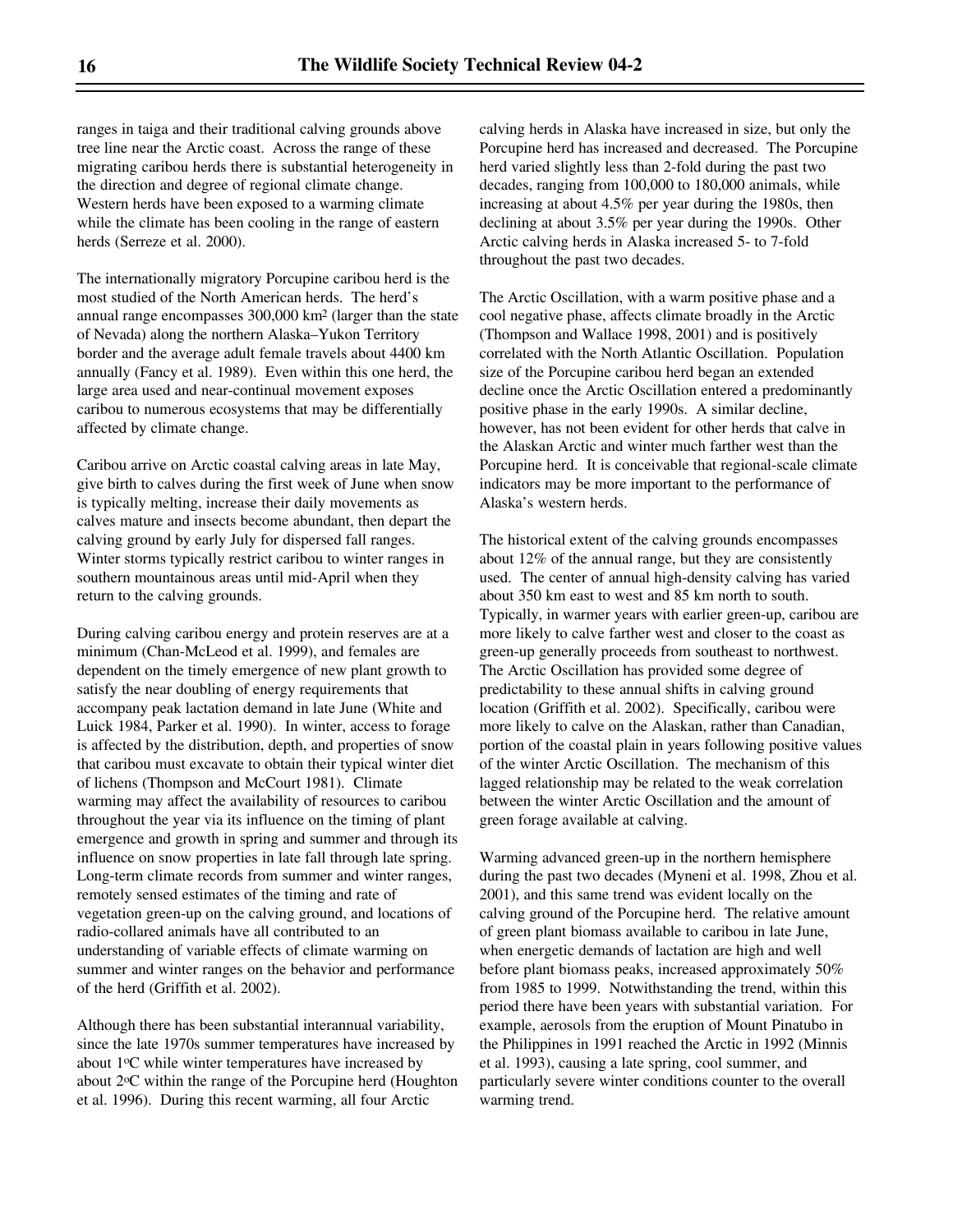ranges in taiga and their traditional calving grounds above tree line near the Arctic coast. Across the range of these migrating caribou herds there is substantial heterogeneity in the direction and degree of regional climate change. Western herds have been exposed to a warming climate while the climate has been cooling in the range of eastern herds (Serreze et al. 2000).

The internationally migratory Porcupine caribou herd is the most studied of the North American herds. The herd's annual range encompasses 300,000 km2 (larger than the state of Nevada) along the northern Alaska–Yukon Territory border and the average adult female travels about 4400 km annually (Fancy et al. 1989). Even within this one herd, the large area used and near-continual movement exposes caribou to numerous ecosystems that may be differentially affected by climate change.

Caribou arrive on Arctic coastal calving areas in late May, give birth to calves during the first week of June when snow is typically melting, increase their daily movements as calves mature and insects become abundant, then depart the calving ground by early July for dispersed fall ranges. Winter storms typically restrict caribou to winter ranges in southern mountainous areas until mid-April when they return to the calving grounds.

During calving caribou energy and protein reserves are at a minimum (Chan-McLeod et al. 1999), and females are dependent on the timely emergence of new plant growth to satisfy the near doubling of energy requirements that accompany peak lactation demand in late June (White and Luick 1984, Parker et al. 1990). In winter, access to forage is affected by the distribution, depth, and properties of snow that caribou must excavate to obtain their typical winter diet of lichens (Thompson and McCourt 1981). Climate warming may affect the availability of resources to caribou throughout the year via its influence on the timing of plant emergence and growth in spring and summer and through its influence on snow properties in late fall through late spring. Long-term climate records from summer and winter ranges, remotely sensed estimates of the timing and rate of vegetation green-up on the calving ground, and locations of radio-collared animals have all contributed to an understanding of variable effects of climate warming on summer and winter ranges on the behavior and performance of the herd (Griffith et al. 2002).

Although there has been substantial interannual variability, since the late 1970s summer temperatures have increased by about 1oC while winter temperatures have increased by about 2oC within the range of the Porcupine herd (Houghton et al. 1996). During this recent warming, all four Arctic

calving herds in Alaska have increased in size, but only the Porcupine herd has increased and decreased. The Porcupine herd varied slightly less than 2-fold during the past two decades, ranging from 100,000 to 180,000 animals, while increasing at about 4.5% per year during the 1980s, then declining at about 3.5% per year during the 1990s. Other Arctic calving herds in Alaska increased 5- to 7-fold throughout the past two decades.

The Arctic Oscillation, with a warm positive phase and a cool negative phase, affects climate broadly in the Arctic (Thompson and Wallace 1998, 2001) and is positively correlated with the North Atlantic Oscillation. Population size of the Porcupine caribou herd began an extended decline once the Arctic Oscillation entered a predominantly positive phase in the early 1990s. A similar decline, however, has not been evident for other herds that calve in the Alaskan Arctic and winter much farther west than the Porcupine herd. It is conceivable that regional-scale climate indicators may be more important to the performance of Alaska's western herds.

The historical extent of the calving grounds encompasses about 12% of the annual range, but they are consistently used. The center of annual high-density calving has varied about 350 km east to west and 85 km north to south. Typically, in warmer years with earlier green-up, caribou are more likely to calve farther west and closer to the coast as green-up generally proceeds from southeast to northwest. The Arctic Oscillation has provided some degree of predictability to these annual shifts in calving ground location (Griffith et al. 2002). Specifically, caribou were more likely to calve on the Alaskan, rather than Canadian, portion of the coastal plain in years following positive values of the winter Arctic Oscillation. The mechanism of this lagged relationship may be related to the weak correlation between the winter Arctic Oscillation and the amount of green forage available at calving.

Warming advanced green-up in the northern hemisphere during the past two decades (Myneni et al. 1998, Zhou et al. 2001), and this same trend was evident locally on the calving ground of the Porcupine herd. The relative amount of green plant biomass available to caribou in late June, when energetic demands of lactation are high and well before plant biomass peaks, increased approximately 50% from 1985 to 1999. Notwithstanding the trend, within this period there have been years with substantial variation. For example, aerosols from the eruption of Mount Pinatubo in the Philippines in 1991 reached the Arctic in 1992 (Minnis et al. 1993), causing a late spring, cool summer, and particularly severe winter conditions counter to the overall warming trend.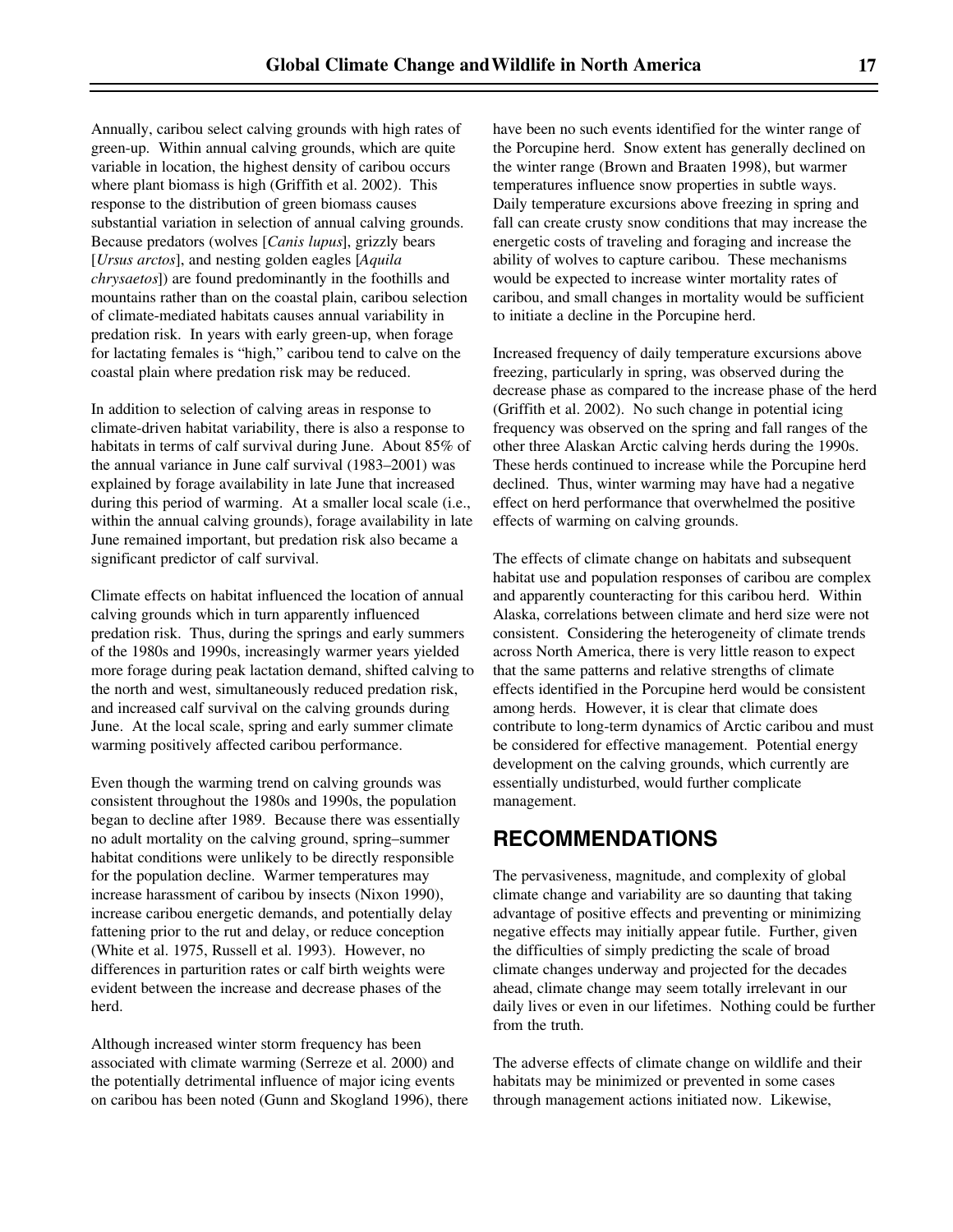Annually, caribou select calving grounds with high rates of green-up. Within annual calving grounds, which are quite variable in location, the highest density of caribou occurs where plant biomass is high (Griffith et al. 2002). This response to the distribution of green biomass causes substantial variation in selection of annual calving grounds. Because predators (wolves [*Canis lupus*], grizzly bears [*Ursus arctos*], and nesting golden eagles [*Aquila chrysaetos*]) are found predominantly in the foothills and mountains rather than on the coastal plain, caribou selection of climate-mediated habitats causes annual variability in predation risk. In years with early green-up, when forage for lactating females is "high," caribou tend to calve on the coastal plain where predation risk may be reduced.

In addition to selection of calving areas in response to climate-driven habitat variability, there is also a response to habitats in terms of calf survival during June. About 85% of the annual variance in June calf survival (1983–2001) was explained by forage availability in late June that increased during this period of warming. At a smaller local scale (i.e., within the annual calving grounds), forage availability in late June remained important, but predation risk also became a significant predictor of calf survival.

Climate effects on habitat influenced the location of annual calving grounds which in turn apparently influenced predation risk. Thus, during the springs and early summers of the 1980s and 1990s, increasingly warmer years yielded more forage during peak lactation demand, shifted calving to the north and west, simultaneously reduced predation risk, and increased calf survival on the calving grounds during June. At the local scale, spring and early summer climate warming positively affected caribou performance.

Even though the warming trend on calving grounds was consistent throughout the 1980s and 1990s, the population began to decline after 1989. Because there was essentially no adult mortality on the calving ground, spring–summer habitat conditions were unlikely to be directly responsible for the population decline. Warmer temperatures may increase harassment of caribou by insects (Nixon 1990), increase caribou energetic demands, and potentially delay fattening prior to the rut and delay, or reduce conception (White et al. 1975, Russell et al. 1993). However, no differences in parturition rates or calf birth weights were evident between the increase and decrease phases of the herd.

Although increased winter storm frequency has been associated with climate warming (Serreze et al. 2000) and the potentially detrimental influence of major icing events on caribou has been noted (Gunn and Skogland 1996), there have been no such events identified for the winter range of the Porcupine herd. Snow extent has generally declined on the winter range (Brown and Braaten 1998), but warmer temperatures influence snow properties in subtle ways. Daily temperature excursions above freezing in spring and fall can create crusty snow conditions that may increase the energetic costs of traveling and foraging and increase the ability of wolves to capture caribou. These mechanisms would be expected to increase winter mortality rates of caribou, and small changes in mortality would be sufficient to initiate a decline in the Porcupine herd.

Increased frequency of daily temperature excursions above freezing, particularly in spring, was observed during the decrease phase as compared to the increase phase of the herd (Griffith et al. 2002). No such change in potential icing frequency was observed on the spring and fall ranges of the other three Alaskan Arctic calving herds during the 1990s. These herds continued to increase while the Porcupine herd declined. Thus, winter warming may have had a negative effect on herd performance that overwhelmed the positive effects of warming on calving grounds.

The effects of climate change on habitats and subsequent habitat use and population responses of caribou are complex and apparently counteracting for this caribou herd. Within Alaska, correlations between climate and herd size were not consistent. Considering the heterogeneity of climate trends across North America, there is very little reason to expect that the same patterns and relative strengths of climate effects identified in the Porcupine herd would be consistent among herds. However, it is clear that climate does contribute to long-term dynamics of Arctic caribou and must be considered for effective management. Potential energy development on the calving grounds, which currently are essentially undisturbed, would further complicate management.

## **RECOMMENDATIONS**

The pervasiveness, magnitude, and complexity of global climate change and variability are so daunting that taking advantage of positive effects and preventing or minimizing negative effects may initially appear futile. Further, given the difficulties of simply predicting the scale of broad climate changes underway and projected for the decades ahead, climate change may seem totally irrelevant in our daily lives or even in our lifetimes. Nothing could be further from the truth.

The adverse effects of climate change on wildlife and their habitats may be minimized or prevented in some cases through management actions initiated now. Likewise,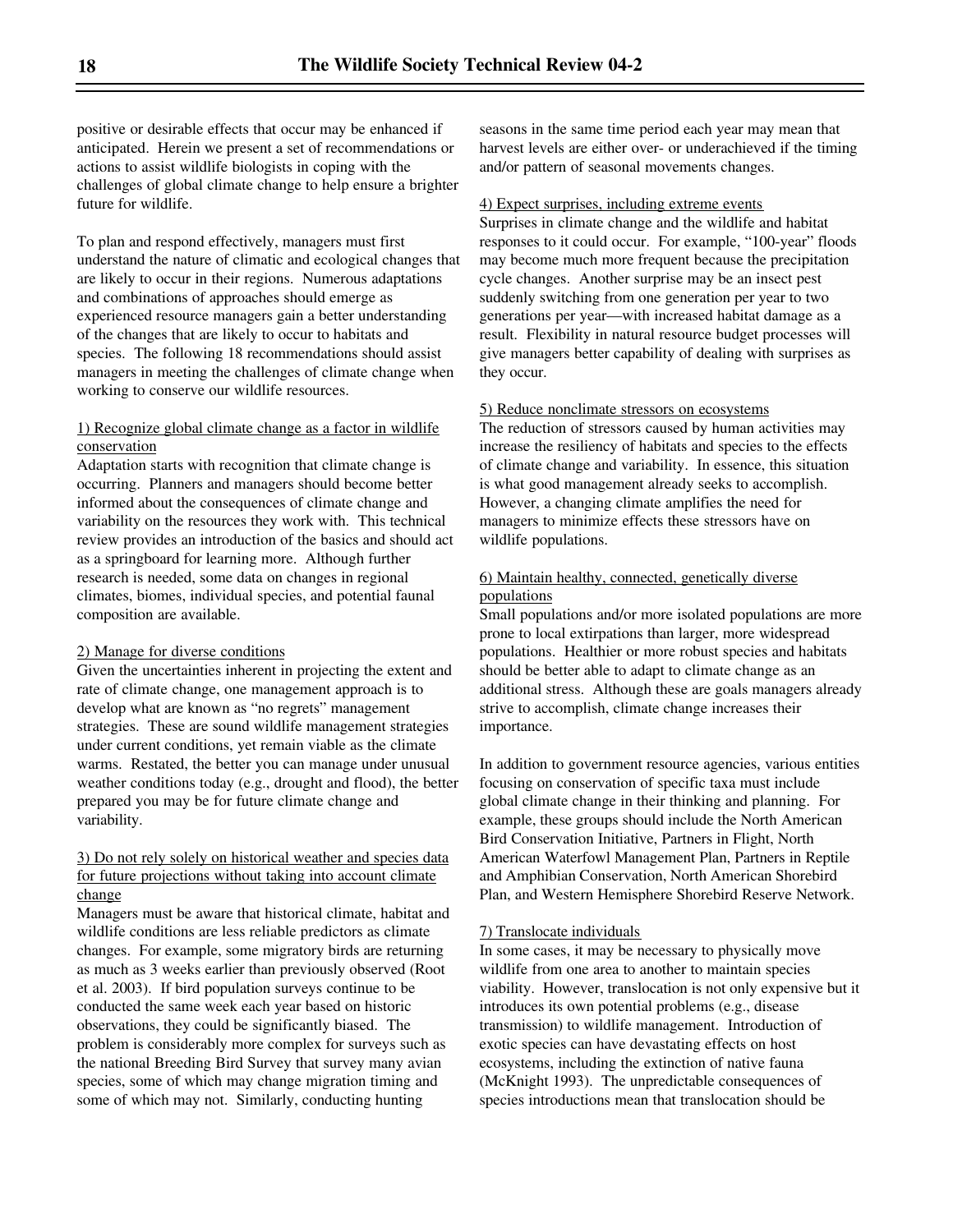positive or desirable effects that occur may be enhanced if anticipated. Herein we present a set of recommendations or actions to assist wildlife biologists in coping with the challenges of global climate change to help ensure a brighter future for wildlife.

To plan and respond effectively, managers must first understand the nature of climatic and ecological changes that are likely to occur in their regions. Numerous adaptations and combinations of approaches should emerge as experienced resource managers gain a better understanding of the changes that are likely to occur to habitats and species. The following 18 recommendations should assist managers in meeting the challenges of climate change when working to conserve our wildlife resources.

#### 1) Recognize global climate change as a factor in wildlife conservation

Adaptation starts with recognition that climate change is occurring. Planners and managers should become better informed about the consequences of climate change and variability on the resources they work with. This technical review provides an introduction of the basics and should act as a springboard for learning more. Although further research is needed, some data on changes in regional climates, biomes, individual species, and potential faunal composition are available.

#### 2) Manage for diverse conditions

Given the uncertainties inherent in projecting the extent and rate of climate change, one management approach is to develop what are known as "no regrets" management strategies. These are sound wildlife management strategies under current conditions, yet remain viable as the climate warms. Restated, the better you can manage under unusual weather conditions today (e.g., drought and flood), the better prepared you may be for future climate change and variability.

#### 3) Do not rely solely on historical weather and species data for future projections without taking into account climate change

Managers must be aware that historical climate, habitat and wildlife conditions are less reliable predictors as climate changes. For example, some migratory birds are returning as much as 3 weeks earlier than previously observed (Root et al. 2003). If bird population surveys continue to be conducted the same week each year based on historic observations, they could be significantly biased. The problem is considerably more complex for surveys such as the national Breeding Bird Survey that survey many avian species, some of which may change migration timing and some of which may not. Similarly, conducting hunting

seasons in the same time period each year may mean that harvest levels are either over- or underachieved if the timing and/or pattern of seasonal movements changes.

#### 4) Expect surprises, including extreme events

Surprises in climate change and the wildlife and habitat responses to it could occur. For example, "100-year" floods may become much more frequent because the precipitation cycle changes. Another surprise may be an insect pest suddenly switching from one generation per year to two generations per year—with increased habitat damage as a result. Flexibility in natural resource budget processes will give managers better capability of dealing with surprises as they occur.

#### 5) Reduce nonclimate stressors on ecosystems

The reduction of stressors caused by human activities may increase the resiliency of habitats and species to the effects of climate change and variability. In essence, this situation is what good management already seeks to accomplish. However, a changing climate amplifies the need for managers to minimize effects these stressors have on wildlife populations.

#### 6) Maintain healthy, connected, genetically diverse populations

Small populations and/or more isolated populations are more prone to local extirpations than larger, more widespread populations. Healthier or more robust species and habitats should be better able to adapt to climate change as an additional stress. Although these are goals managers already strive to accomplish, climate change increases their importance.

In addition to government resource agencies, various entities focusing on conservation of specific taxa must include global climate change in their thinking and planning. For example, these groups should include the North American Bird Conservation Initiative, Partners in Flight, North American Waterfowl Management Plan, Partners in Reptile and Amphibian Conservation, North American Shorebird Plan, and Western Hemisphere Shorebird Reserve Network.

#### 7) Translocate individuals

In some cases, it may be necessary to physically move wildlife from one area to another to maintain species viability. However, translocation is not only expensive but it introduces its own potential problems (e.g., disease transmission) to wildlife management. Introduction of exotic species can have devastating effects on host ecosystems, including the extinction of native fauna (McKnight 1993). The unpredictable consequences of species introductions mean that translocation should be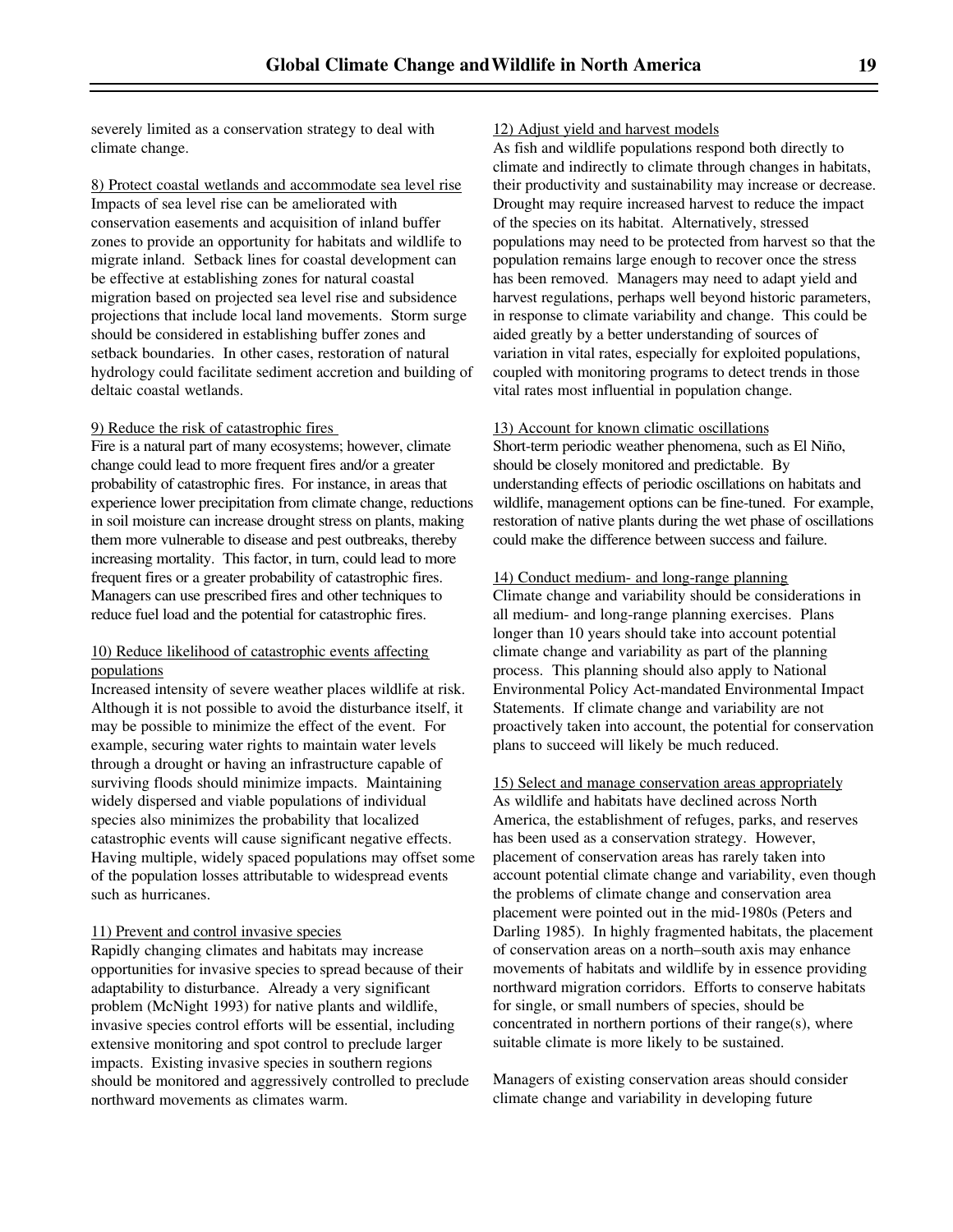severely limited as a conservation strategy to deal with climate change.

8) Protect coastal wetlands and accommodate sea level rise Impacts of sea level rise can be ameliorated with conservation easements and acquisition of inland buffer zones to provide an opportunity for habitats and wildlife to migrate inland. Setback lines for coastal development can be effective at establishing zones for natural coastal migration based on projected sea level rise and subsidence projections that include local land movements. Storm surge should be considered in establishing buffer zones and setback boundaries. In other cases, restoration of natural hydrology could facilitate sediment accretion and building of deltaic coastal wetlands.

#### 9) Reduce the risk of catastrophic fires

Fire is a natural part of many ecosystems; however, climate change could lead to more frequent fires and/or a greater probability of catastrophic fires. For instance, in areas that experience lower precipitation from climate change, reductions in soil moisture can increase drought stress on plants, making them more vulnerable to disease and pest outbreaks, thereby increasing mortality. This factor, in turn, could lead to more frequent fires or a greater probability of catastrophic fires. Managers can use prescribed fires and other techniques to reduce fuel load and the potential for catastrophic fires.

#### 10) Reduce likelihood of catastrophic events affecting populations

Increased intensity of severe weather places wildlife at risk. Although it is not possible to avoid the disturbance itself, it may be possible to minimize the effect of the event. For example, securing water rights to maintain water levels through a drought or having an infrastructure capable of surviving floods should minimize impacts. Maintaining widely dispersed and viable populations of individual species also minimizes the probability that localized catastrophic events will cause significant negative effects. Having multiple, widely spaced populations may offset some of the population losses attributable to widespread events such as hurricanes.

#### 11) Prevent and control invasive species

Rapidly changing climates and habitats may increase opportunities for invasive species to spread because of their adaptability to disturbance. Already a very significant problem (McNight 1993) for native plants and wildlife, invasive species control efforts will be essential, including extensive monitoring and spot control to preclude larger impacts. Existing invasive species in southern regions should be monitored and aggressively controlled to preclude northward movements as climates warm.

#### 12) Adjust yield and harvest models

As fish and wildlife populations respond both directly to climate and indirectly to climate through changes in habitats, their productivity and sustainability may increase or decrease. Drought may require increased harvest to reduce the impact of the species on its habitat. Alternatively, stressed populations may need to be protected from harvest so that the population remains large enough to recover once the stress has been removed. Managers may need to adapt yield and harvest regulations, perhaps well beyond historic parameters, in response to climate variability and change. This could be aided greatly by a better understanding of sources of variation in vital rates, especially for exploited populations, coupled with monitoring programs to detect trends in those vital rates most influential in population change.

#### 13) Account for known climatic oscillations

Short-term periodic weather phenomena, such as El Niño, should be closely monitored and predictable. By understanding effects of periodic oscillations on habitats and wildlife, management options can be fine-tuned. For example, restoration of native plants during the wet phase of oscillations could make the difference between success and failure.

#### 14) Conduct medium- and long-range planning

Climate change and variability should be considerations in all medium- and long-range planning exercises. Plans longer than 10 years should take into account potential climate change and variability as part of the planning process. This planning should also apply to National Environmental Policy Act-mandated Environmental Impact Statements. If climate change and variability are not proactively taken into account, the potential for conservation plans to succeed will likely be much reduced.

15) Select and manage conservation areas appropriately As wildlife and habitats have declined across North America, the establishment of refuges, parks, and reserves has been used as a conservation strategy. However, placement of conservation areas has rarely taken into account potential climate change and variability, even though the problems of climate change and conservation area placement were pointed out in the mid-1980s (Peters and Darling 1985). In highly fragmented habitats, the placement of conservation areas on a north–south axis may enhance movements of habitats and wildlife by in essence providing northward migration corridors. Efforts to conserve habitats for single, or small numbers of species, should be concentrated in northern portions of their range(s), where suitable climate is more likely to be sustained.

Managers of existing conservation areas should consider climate change and variability in developing future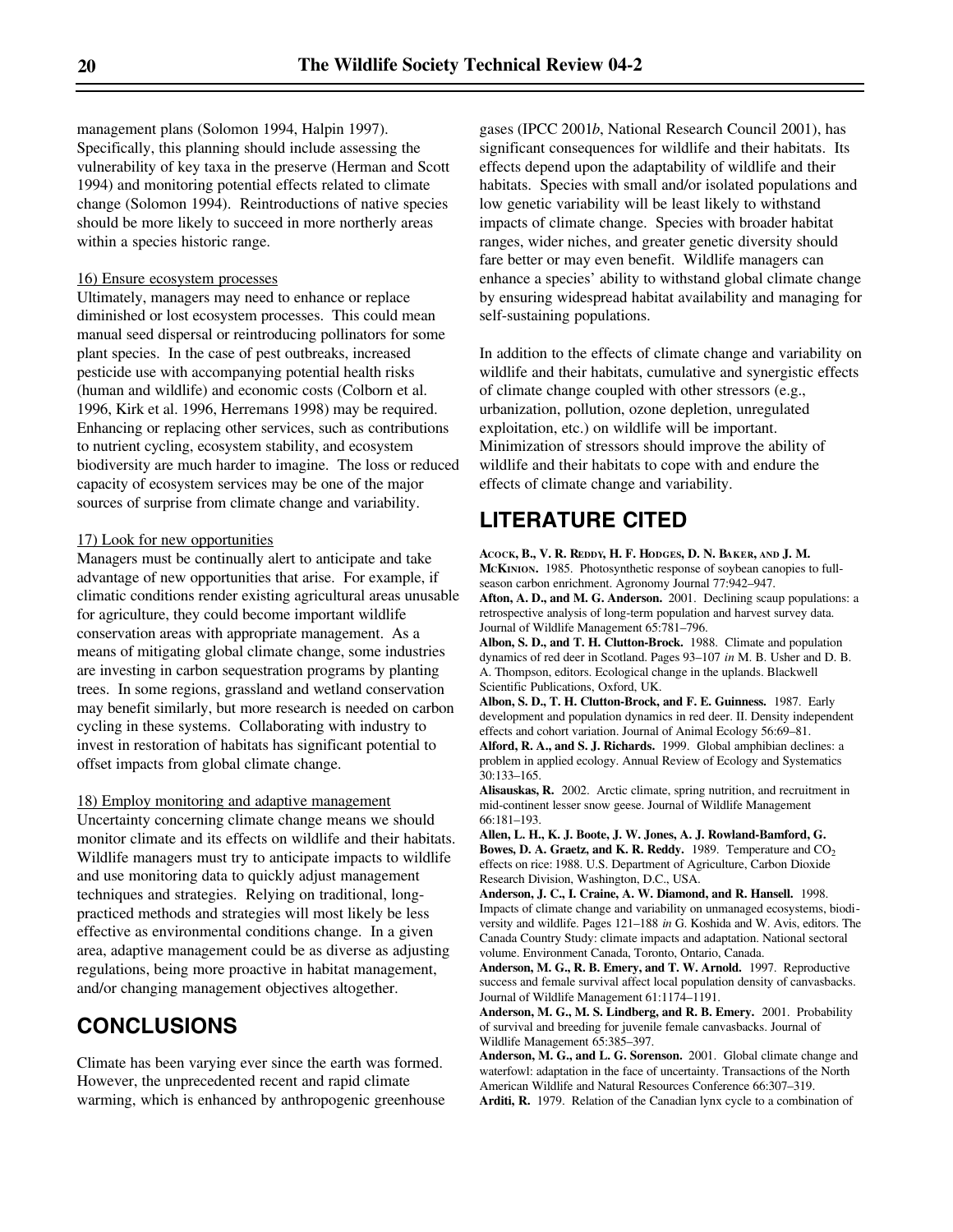management plans (Solomon 1994, Halpin 1997). Specifically, this planning should include assessing the vulnerability of key taxa in the preserve (Herman and Scott 1994) and monitoring potential effects related to climate change (Solomon 1994). Reintroductions of native species should be more likely to succeed in more northerly areas within a species historic range.

#### 16) Ensure ecosystem processes

Ultimately, managers may need to enhance or replace diminished or lost ecosystem processes. This could mean manual seed dispersal or reintroducing pollinators for some plant species. In the case of pest outbreaks, increased pesticide use with accompanying potential health risks (human and wildlife) and economic costs (Colborn et al. 1996, Kirk et al. 1996, Herremans 1998) may be required. Enhancing or replacing other services, such as contributions to nutrient cycling, ecosystem stability, and ecosystem biodiversity are much harder to imagine. The loss or reduced capacity of ecosystem services may be one of the major sources of surprise from climate change and variability.

#### 17) Look for new opportunities

Managers must be continually alert to anticipate and take advantage of new opportunities that arise. For example, if climatic conditions render existing agricultural areas unusable for agriculture, they could become important wildlife conservation areas with appropriate management. As a means of mitigating global climate change, some industries are investing in carbon sequestration programs by planting trees. In some regions, grassland and wetland conservation may benefit similarly, but more research is needed on carbon cycling in these systems. Collaborating with industry to invest in restoration of habitats has significant potential to offset impacts from global climate change.

18) Employ monitoring and adaptive management Uncertainty concerning climate change means we should monitor climate and its effects on wildlife and their habitats. Wildlife managers must try to anticipate impacts to wildlife and use monitoring data to quickly adjust management techniques and strategies. Relying on traditional, longpracticed methods and strategies will most likely be less effective as environmental conditions change. In a given area, adaptive management could be as diverse as adjusting regulations, being more proactive in habitat management, and/or changing management objectives altogether.

## **CONCLUSIONS**

Climate has been varying ever since the earth was formed. However, the unprecedented recent and rapid climate warming, which is enhanced by anthropogenic greenhouse gases (IPCC 2001*b*, National Research Council 2001), has significant consequences for wildlife and their habitats. Its effects depend upon the adaptability of wildlife and their habitats. Species with small and/or isolated populations and low genetic variability will be least likely to withstand impacts of climate change. Species with broader habitat ranges, wider niches, and greater genetic diversity should fare better or may even benefit. Wildlife managers can enhance a species' ability to withstand global climate change by ensuring widespread habitat availability and managing for self-sustaining populations.

In addition to the effects of climate change and variability on wildlife and their habitats, cumulative and synergistic effects of climate change coupled with other stressors (e.g., urbanization, pollution, ozone depletion, unregulated exploitation, etc.) on wildlife will be important. Minimization of stressors should improve the ability of wildlife and their habitats to cope with and endure the effects of climate change and variability.

## **LITERATURE CITED**

**ACOCK, B., V. R. REDDY, H. F. HODGES, D. N. BAKER, AND J. M. MCKINION.** 1985. Photosynthetic response of soybean canopies to fullseason carbon enrichment. Agronomy Journal 77:942–947. **Afton, A. D., and M. G. Anderson.** 2001. Declining scaup populations: a retrospective analysis of long-term population and harvest survey data. Journal of Wildlife Management 65:781–796.

**Albon, S. D., and T. H. Clutton-Brock.** 1988. Climate and population dynamics of red deer in Scotland. Pages 93–107 *in* M. B. Usher and D. B. A. Thompson, editors. Ecological change in the uplands. Blackwell Scientific Publications, Oxford, UK.

**Albon, S. D., T. H. Clutton-Brock, and F. E. Guinness.** 1987. Early development and population dynamics in red deer. II. Density independent effects and cohort variation. Journal of Animal Ecology 56:69–81. **Alford, R. A., and S. J. Richards.** 1999. Global amphibian declines: a problem in applied ecology. Annual Review of Ecology and Systematics

30:133–165. **Alisauskas, R.** 2002. Arctic climate, spring nutrition, and recruitment in mid-continent lesser snow geese. Journal of Wildlife Management 66:181–193.

**Allen, L. H., K. J. Boote, J. W. Jones, A. J. Rowland-Bamford, G. Bowes, D. A. Graetz, and K. R. Reddy.** 1989. Temperature and CO<sub>2</sub> effects on rice: 1988. U.S. Department of Agriculture, Carbon Dioxide Research Division, Washington, D.C., USA.

**Anderson, J. C., I. Craine, A. W. Diamond, and R. Hansell.** 1998. Impacts of climate change and variability on unmanaged ecosystems, biodiversity and wildlife. Pages 121–188 *in* G. Koshida and W. Avis, editors. The Canada Country Study: climate impacts and adaptation. National sectoral volume. Environment Canada, Toronto, Ontario, Canada.

**Anderson, M. G., R. B. Emery, and T. W. Arnold.** 1997. Reproductive success and female survival affect local population density of canvasbacks. Journal of Wildlife Management 61:1174–1191.

**Anderson, M. G., M. S. Lindberg, and R. B. Emery.** 2001. Probability of survival and breeding for juvenile female canvasbacks. Journal of Wildlife Management 65:385–397.

**Anderson, M. G., and L. G. Sorenson.** 2001. Global climate change and waterfowl: adaptation in the face of uncertainty. Transactions of the North American Wildlife and Natural Resources Conference 66:307–319.

**Arditi, R.** 1979. Relation of the Canadian lynx cycle to a combination of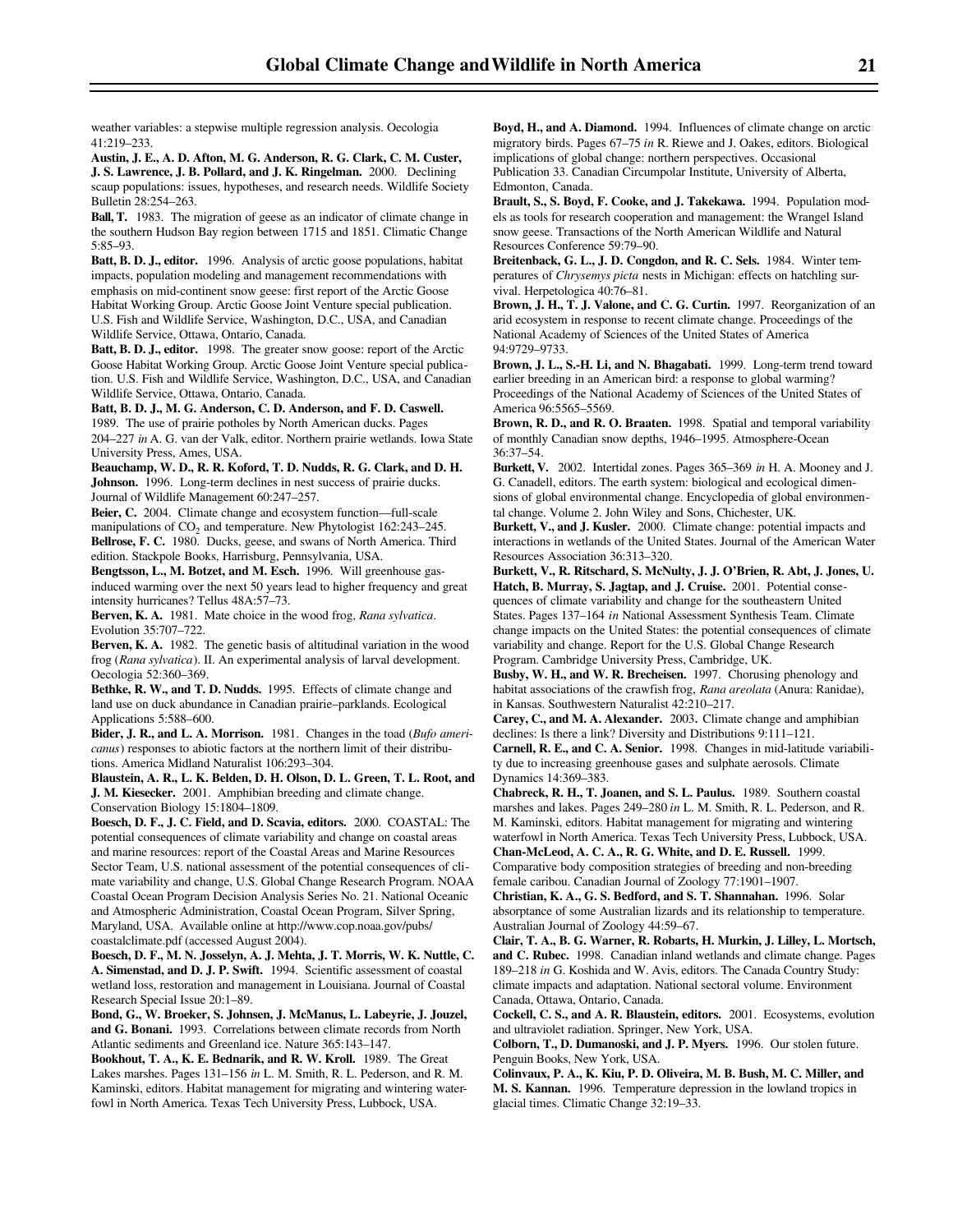weather variables: a stepwise multiple regression analysis. Oecologia 41:219–233.

**Austin, J. E., A. D. Afton, M. G. Anderson, R. G. Clark, C. M. Custer, J. S. Lawrence, J. B. Pollard, and J. K. Ringelman.** 2000. Declining scaup populations: issues, hypotheses, and research needs. Wildlife Society Bulletin 28:254–263.

**Ball, T.** 1983. The migration of geese as an indicator of climate change in the southern Hudson Bay region between 1715 and 1851. Climatic Change 5:85–93.

**Batt, B. D. J., editor.** 1996. Analysis of arctic goose populations, habitat impacts, population modeling and management recommendations with emphasis on mid-continent snow geese: first report of the Arctic Goose Habitat Working Group. Arctic Goose Joint Venture special publication. U.S. Fish and Wildlife Service, Washington, D.C., USA, and Canadian Wildlife Service, Ottawa, Ontario, Canada.

**Batt, B. D. J., editor.** 1998. The greater snow goose: report of the Arctic Goose Habitat Working Group. Arctic Goose Joint Venture special publication. U.S. Fish and Wildlife Service, Washington, D.C., USA, and Canadian Wildlife Service, Ottawa, Ontario, Canada.

**Batt, B. D. J., M. G. Anderson, C. D. Anderson, and F. D. Caswell.** 1989. The use of prairie potholes by North American ducks. Pages 204–227 *in* A. G. van der Valk, editor. Northern prairie wetlands. Iowa State University Press, Ames, USA.

**Beauchamp, W. D., R. R. Koford, T. D. Nudds, R. G. Clark, and D. H. Johnson.** 1996. Long-term declines in nest success of prairie ducks. Journal of Wildlife Management 60:247–257.

**Beier, C.** 2004. Climate change and ecosystem function—full-scale manipulations of  $CO<sub>2</sub>$  and temperature. New Phytologist 162:243–245. **Bellrose, F. C.** 1980. Ducks, geese, and swans of North America. Third edition. Stackpole Books, Harrisburg, Pennsylvania, USA.

**Bengtsson, L., M. Botzet, and M. Esch.** 1996. Will greenhouse gasinduced warming over the next 50 years lead to higher frequency and great intensity hurricanes? Tellus 48A:57–73.

**Berven, K. A.** 1981. Mate choice in the wood frog, *Rana sylvatica*. Evolution 35:707–722.

**Berven, K. A.** 1982. The genetic basis of altitudinal variation in the wood frog (*Rana sylvatica*). II. An experimental analysis of larval development. Oecologia 52:360–369.

**Bethke, R. W., and T. D. Nudds.** 1995. Effects of climate change and land use on duck abundance in Canadian prairie–parklands. Ecological Applications 5:588–600.

**Bider, J. R., and L. A. Morrison.** 1981. Changes in the toad (*Bufo americanus*) responses to abiotic factors at the northern limit of their distributions. America Midland Naturalist 106:293–304.

**Blaustein, A. R., L. K. Belden, D. H. Olson, D. L. Green, T. L. Root, and J. M. Kiesecker.** 2001. Amphibian breeding and climate change. Conservation Biology 15:1804–1809.

**Boesch, D. F., J. C. Field, and D. Scavia, editors.** 2000. COASTAL: The potential consequences of climate variability and change on coastal areas and marine resources: report of the Coastal Areas and Marine Resources Sector Team, U.S. national assessment of the potential consequences of climate variability and change, U.S. Global Change Research Program. NOAA Coastal Ocean Program Decision Analysis Series No. 21. National Oceanic and Atmospheric Administration, Coastal Ocean Program, Silver Spring, Maryland, USA. Available online at http://www.cop.noaa.gov/pubs/ coastalclimate.pdf (accessed August 2004).

**Boesch, D. F., M. N. Josselyn, A. J. Mehta, J. T. Morris, W. K. Nuttle, C. A. Simenstad, and D. J. P. Swift.** 1994. Scientific assessment of coastal wetland loss, restoration and management in Louisiana. Journal of Coastal Research Special Issue 20:1–89.

**Bond, G., W. Broeker, S. Johnsen, J. McManus, L. Labeyrie, J. Jouzel, and G. Bonani.** 1993. Correlations between climate records from North Atlantic sediments and Greenland ice. Nature 365:143–147.

**Bookhout, T. A., K. E. Bednarik, and R. W. Kroll.** 1989. The Great Lakes marshes. Pages 131–156 *in* L. M. Smith, R. L. Pederson, and R. M. Kaminski, editors. Habitat management for migrating and wintering waterfowl in North America. Texas Tech University Press, Lubbock, USA.

**Boyd, H., and A. Diamond.** 1994. Influences of climate change on arctic migratory birds. Pages 67–75 *in* R. Riewe and J. Oakes, editors. Biological implications of global change: northern perspectives. Occasional Publication 33. Canadian Circumpolar Institute, University of Alberta, Edmonton, Canada.

**Brault, S., S. Boyd, F. Cooke, and J. Takekawa.** 1994. Population models as tools for research cooperation and management: the Wrangel Island snow geese. Transactions of the North American Wildlife and Natural Resources Conference 59:79–90.

**Breitenback, G. L., J. D. Congdon, and R. C. Sels.** 1984. Winter temperatures of *Chrysemys picta* nests in Michigan: effects on hatchling survival. Herpetologica 40:76–81.

**Brown, J. H., T. J. Valone, and C. G. Curtin.** 1997. Reorganization of an arid ecosystem in response to recent climate change. Proceedings of the National Academy of Sciences of the United States of America 94:9729–9733.

**Brown, J. L., S.-H. Li, and N. Bhagabati.** 1999. Long-term trend toward earlier breeding in an American bird: a response to global warming? Proceedings of the National Academy of Sciences of the United States of America 96:5565–5569.

**Brown, R. D., and R. O. Braaten.** 1998. Spatial and temporal variability of monthly Canadian snow depths, 1946–1995. Atmosphere-Ocean 36:37–54.

**Burkett, V.** 2002. Intertidal zones. Pages 365–369 *in* H. A. Mooney and J. G. Canadell, editors. The earth system: biological and ecological dimensions of global environmental change. Encyclopedia of global environmental change. Volume 2. John Wiley and Sons, Chichester, UK.

**Burkett, V., and J. Kusler.** 2000. Climate change: potential impacts and interactions in wetlands of the United States. Journal of the American Water Resources Association 36:313–320.

**Burkett, V., R. Ritschard, S. McNulty, J. J. O'Brien, R. Abt, J. Jones, U. Hatch, B. Murray, S. Jagtap, and J. Cruise.** 2001. Potential consequences of climate variability and change for the southeastern United States. Pages 137–164 *in* National Assessment Synthesis Team. Climate change impacts on the United States: the potential consequences of climate variability and change. Report for the U.S. Global Change Research Program. Cambridge University Press, Cambridge, UK.

**Busby, W. H., and W. R. Brecheisen.** 1997. Chorusing phenology and habitat associations of the crawfish frog, *Rana areolata* (Anura: Ranidae), in Kansas. Southwestern Naturalist 42:210–217.

**Carey, C., and M. A. Alexander.** 2003. Climate change and amphibian declines: Is there a link? Diversity and Distributions 9:111–121.

**Carnell, R. E., and C. A. Senior.** 1998. Changes in mid-latitude variability due to increasing greenhouse gases and sulphate aerosols. Climate Dynamics 14:369–383.

**Chabreck, R. H., T. Joanen, and S. L. Paulus.** 1989. Southern coastal marshes and lakes. Pages 249–280 *in* L. M. Smith, R. L. Pederson, and R. M. Kaminski, editors. Habitat management for migrating and wintering waterfowl in North America. Texas Tech University Press, Lubbock, USA. **Chan-McLeod, A. C. A., R. G. White, and D. E. Russell.** 1999.

Comparative body composition strategies of breeding and non-breeding female caribou. Canadian Journal of Zoology 77:1901–1907.

**Christian, K. A., G. S. Bedford, and S. T. Shannahan.** 1996. Solar absorptance of some Australian lizards and its relationship to temperature. Australian Journal of Zoology 44:59–67.

**Clair, T. A., B. G. Warner, R. Robarts, H. Murkin, J. Lilley, L. Mortsch, and C. Rubec.** 1998. Canadian inland wetlands and climate change. Pages 189–218 *in* G. Koshida and W. Avis, editors. The Canada Country Study: climate impacts and adaptation. National sectoral volume. Environment Canada, Ottawa, Ontario, Canada.

**Cockell, C. S., and A. R. Blaustein, editors.** 2001. Ecosystems, evolution and ultraviolet radiation. Springer, New York, USA.

**Colborn, T., D. Dumanoski, and J. P. Myers.** 1996. Our stolen future. Penguin Books, New York, USA.

**Colinvaux, P. A., K. Kiu, P. D. Oliveira, M. B. Bush, M. C. Miller, and M. S. Kannan.** 1996. Temperature depression in the lowland tropics in glacial times. Climatic Change 32:19–33.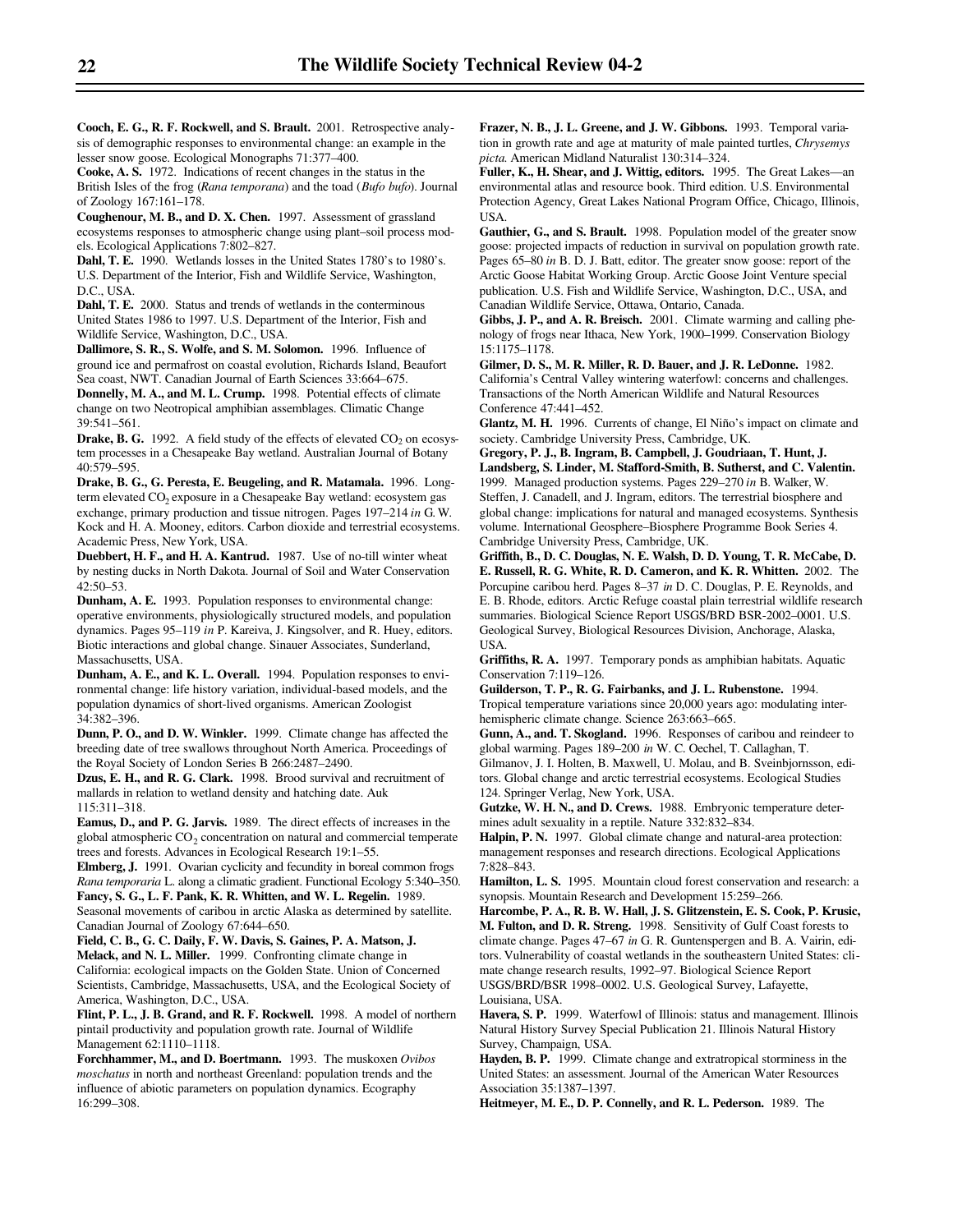**Cooch, E. G., R. F. Rockwell, and S. Brault.** 2001. Retrospective analysis of demographic responses to environmental change: an example in the lesser snow goose. Ecological Monographs 71:377–400.

**Cooke, A. S.** 1972. Indications of recent changes in the status in the British Isles of the frog (*Rana temporana*) and the toad (*Bufo bufo*). Journal of Zoology 167:161–178.

**Coughenour, M. B., and D. X. Chen.** 1997. Assessment of grassland ecosystems responses to atmospheric change using plant–soil process models. Ecological Applications 7:802–827.

**Dahl, T. E.** 1990. Wetlands losses in the United States 1780's to 1980's. U.S. Department of the Interior, Fish and Wildlife Service, Washington, D.C., USA.

**Dahl, T. E.** 2000. Status and trends of wetlands in the conterminous United States 1986 to 1997. U.S. Department of the Interior, Fish and Wildlife Service, Washington, D.C., USA.

**Dallimore, S. R., S. Wolfe, and S. M. Solomon.** 1996. Influence of ground ice and permafrost on coastal evolution, Richards Island, Beaufort Sea coast, NWT. Canadian Journal of Earth Sciences 33:664–675.

**Donnelly, M. A., and M. L. Crump.** 1998. Potential effects of climate change on two Neotropical amphibian assemblages. Climatic Change 39:541–561.

**Drake, B. G.** 1992. A field study of the effects of elevated  $CO<sub>2</sub>$  on ecosystem processes in a Chesapeake Bay wetland. Australian Journal of Botany 40:579–595.

**Drake, B. G., G. Peresta, E. Beugeling, and R. Matamala.** 1996. Longterm elevated CO<sub>2</sub> exposure in a Chesapeake Bay wetland: ecosystem gas exchange, primary production and tissue nitrogen. Pages 197–214 *in* G. W. Kock and H. A. Mooney, editors. Carbon dioxide and terrestrial ecosystems. Academic Press, New York, USA.

**Duebbert, H. F., and H. A. Kantrud.** 1987. Use of no-till winter wheat by nesting ducks in North Dakota. Journal of Soil and Water Conservation 42:50–53.

**Dunham, A. E.** 1993. Population responses to environmental change: operative environments, physiologically structured models, and population dynamics. Pages 95–119 *in* P. Kareiva, J. Kingsolver, and R. Huey, editors. Biotic interactions and global change. Sinauer Associates, Sunderland, Massachusetts, USA.

**Dunham, A. E., and K. L. Overall.** 1994. Population responses to environmental change: life history variation, individual-based models, and the population dynamics of short-lived organisms. American Zoologist 34:382–396.

**Dunn, P. O., and D. W. Winkler.** 1999. Climate change has affected the breeding date of tree swallows throughout North America. Proceedings of the Royal Society of London Series B 266:2487–2490.

**Dzus, E. H., and R. G. Clark.** 1998. Brood survival and recruitment of mallards in relation to wetland density and hatching date. Auk 115:311–318.

**Eamus, D., and P. G. Jarvis.** 1989. The direct effects of increases in the global atmospheric  $CO_2$  concentration on natural and commercial temperate trees and forests. Advances in Ecological Research 19:1–55.

**Elmberg, J.** 1991. Ovarian cyclicity and fecundity in boreal common frogs *Rana temporaria* L. along a climatic gradient. Functional Ecology 5:340–350. **Fancy, S. G., L. F. Pank, K. R. Whitten, and W. L. Regelin.** 1989.

Seasonal movements of caribou in arctic Alaska as determined by satellite. Canadian Journal of Zoology 67:644–650.

**Field, C. B., G. C. Daily, F. W. Davis, S. Gaines, P. A. Matson, J.**

**Melack, and N. L. Miller.** 1999. Confronting climate change in California: ecological impacts on the Golden State. Union of Concerned Scientists, Cambridge, Massachusetts, USA, and the Ecological Society of America, Washington, D.C., USA.

**Flint, P. L., J. B. Grand, and R. F. Rockwell.** 1998. A model of northern pintail productivity and population growth rate. Journal of Wildlife Management 62:1110–1118.

**Forchhammer, M., and D. Boertmann.** 1993. The muskoxen *Ovibos moschatus* in north and northeast Greenland: population trends and the influence of abiotic parameters on population dynamics. Ecography 16:299–308.

**Frazer, N. B., J. L. Greene, and J. W. Gibbons.** 1993. Temporal variation in growth rate and age at maturity of male painted turtles, *Chrysemys picta*. American Midland Naturalist 130:314–324.

**Fuller, K., H. Shear, and J. Wittig, editors.** 1995. The Great Lakes—an environmental atlas and resource book. Third edition. U.S. Environmental Protection Agency, Great Lakes National Program Office, Chicago, Illinois, USA.

**Gauthier, G., and S. Brault.** 1998. Population model of the greater snow goose: projected impacts of reduction in survival on population growth rate. Pages 65–80 *in* B. D. J. Batt, editor. The greater snow goose: report of the Arctic Goose Habitat Working Group. Arctic Goose Joint Venture special publication. U.S. Fish and Wildlife Service, Washington, D.C., USA, and Canadian Wildlife Service, Ottawa, Ontario, Canada.

**Gibbs, J. P., and A. R. Breisch.** 2001. Climate warming and calling phenology of frogs near Ithaca, New York, 1900–1999. Conservation Biology 15:1175–1178.

**Gilmer, D. S., M. R. Miller, R. D. Bauer, and J. R. LeDonne.** 1982. California's Central Valley wintering waterfowl: concerns and challenges. Transactions of the North American Wildlife and Natural Resources Conference 47:441–452.

**Glantz, M. H.** 1996. Currents of change, El Niño's impact on climate and society. Cambridge University Press, Cambridge, UK.

**Gregory, P. J., B. Ingram, B. Campbell, J. Goudriaan, T. Hunt, J. Landsberg, S. Linder, M. Stafford-Smith, B. Sutherst, and C. Valentin.** 1999. Managed production systems. Pages 229–270 *in* B. Walker, W. Steffen, J. Canadell, and J. Ingram, editors. The terrestrial biosphere and global change: implications for natural and managed ecosystems. Synthesis volume. International Geosphere–Biosphere Programme Book Series 4. Cambridge University Press, Cambridge, UK.

**Griffith, B., D. C. Douglas, N. E. Walsh, D. D. Young, T. R. McCabe, D. E. Russell, R. G. White, R. D. Cameron, and K. R. Whitten.** 2002. The Porcupine caribou herd. Pages 8–37 *in* D. C. Douglas, P. E. Reynolds, and E. B. Rhode, editors. Arctic Refuge coastal plain terrestrial wildlife research summaries. Biological Science Report USGS/BRD BSR-2002–0001. U.S. Geological Survey, Biological Resources Division, Anchorage, Alaska, USA.

**Griffiths, R. A.** 1997. Temporary ponds as amphibian habitats. Aquatic Conservation 7:119–126.

**Guilderson, T. P., R. G. Fairbanks, and J. L. Rubenstone.** 1994. Tropical temperature variations since 20,000 years ago: modulating interhemispheric climate change. Science 263:663–665.

**Gunn, A., and. T. Skogland.** 1996. Responses of caribou and reindeer to global warming. Pages 189–200 *in* W. C. Oechel, T. Callaghan, T.

Gilmanov, J. I. Holten, B. Maxwell, U. Molau, and B. Sveinbjornsson, editors. Global change and arctic terrestrial ecosystems. Ecological Studies 124. Springer Verlag, New York, USA.

**Gutzke, W. H. N., and D. Crews.** 1988. Embryonic temperature determines adult sexuality in a reptile. Nature 332:832–834.

**Halpin, P. N.** 1997. Global climate change and natural-area protection: management responses and research directions. Ecological Applications 7:828–843.

**Hamilton, L. S.** 1995. Mountain cloud forest conservation and research: a synopsis. Mountain Research and Development 15:259–266.

**Harcombe, P. A., R. B. W. Hall, J. S. Glitzenstein, E. S. Cook, P. Krusic, M. Fulton, and D. R. Streng.** 1998. Sensitivity of Gulf Coast forests to climate change. Pages 47–67 *in* G. R. Guntenspergen and B. A. Vairin, editors. Vulnerability of coastal wetlands in the southeastern United States: climate change research results, 1992–97. Biological Science Report USGS/BRD/BSR 1998–0002. U.S. Geological Survey, Lafayette, Louisiana, USA.

**Havera, S. P.** 1999. Waterfowl of Illinois: status and management. Illinois Natural History Survey Special Publication 21. Illinois Natural History Survey, Champaign, USA.

**Hayden, B. P.** 1999. Climate change and extratropical storminess in the United States: an assessment. Journal of the American Water Resources Association 35:1387–1397.

**Heitmeyer, M. E., D. P. Connelly, and R. L. Pederson.** 1989. The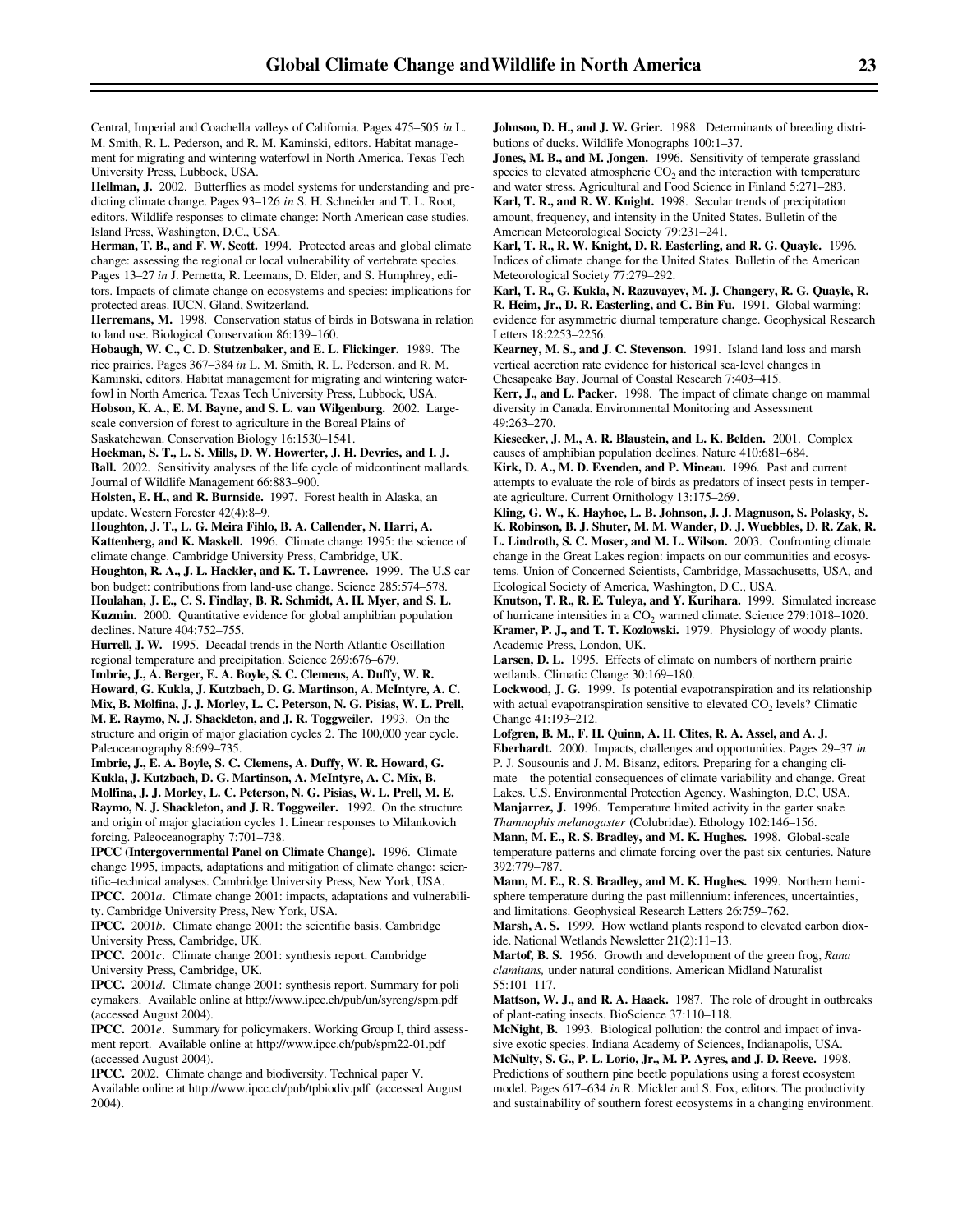Central, Imperial and Coachella valleys of California. Pages 475–505 *in* L. M. Smith, R. L. Pederson, and R. M. Kaminski, editors. Habitat management for migrating and wintering waterfowl in North America. Texas Tech University Press, Lubbock, USA.

**Hellman, J.** 2002. Butterflies as model systems for understanding and predicting climate change. Pages 93–126 *in* S. H. Schneider and T. L. Root, editors. Wildlife responses to climate change: North American case studies. Island Press, Washington, D.C., USA.

**Herman, T. B., and F. W. Scott.** 1994. Protected areas and global climate change: assessing the regional or local vulnerability of vertebrate species. Pages 13–27 *in* J. Pernetta, R. Leemans, D. Elder, and S. Humphrey, editors. Impacts of climate change on ecosystems and species: implications for protected areas. IUCN, Gland, Switzerland.

**Herremans, M.** 1998. Conservation status of birds in Botswana in relation to land use. Biological Conservation 86:139–160.

**Hobaugh, W. C., C. D. Stutzenbaker, and E. L. Flickinger.** 1989. The rice prairies. Pages 367–384 *in* L. M. Smith, R. L. Pederson, and R. M. Kaminski, editors. Habitat management for migrating and wintering waterfowl in North America. Texas Tech University Press, Lubbock, USA.

**Hobson, K. A., E. M. Bayne, and S. L. van Wilgenburg.** 2002. Largescale conversion of forest to agriculture in the Boreal Plains of Saskatchewan. Conservation Biology 16:1530–1541.

**Hoekman, S. T., L. S. Mills, D. W. Howerter, J. H. Devries, and I. J. Ball.** 2002. Sensitivity analyses of the life cycle of midcontinent mallards. Journal of Wildlife Management 66:883–900.

**Holsten, E. H., and R. Burnside.** 1997. Forest health in Alaska, an update. Western Forester 42(4):8–9.

**Houghton, J. T., L. G. Meira Fihlo, B. A. Callender, N. Harri, A.** Kattenberg, and K. Maskell. 1996. Climate change 1995: the science of climate change. Cambridge University Press, Cambridge, UK.

**Houghton, R. A., J. L. Hackler, and K. T. Lawrence.** 1999. The U.S carbon budget: contributions from land-use change. Science 285:574–578. **Houlahan, J. E., C. S. Findlay, B. R. Schmidt, A. H. Myer, and S. L.**

**Kuzmin.** 2000. Quantitative evidence for global amphibian population declines. Nature 404:752–755.

**Hurrell, J. W.** 1995. Decadal trends in the North Atlantic Oscillation regional temperature and precipitation. Science 269:676–679.

**Imbrie, J., A. Berger, E. A. Boyle, S. C. Clemens, A. Duffy, W. R. Howard, G. Kukla, J. Kutzbach, D. G. Martinson, A. McIntyre, A. C. Mix, B. Molfina, J. J. Morley, L. C. Peterson, N. G. Pisias, W. L. Prell, M. E. Raymo, N. J. Shackleton, and J. R. Toggweiler.** 1993. On the structure and origin of major glaciation cycles 2. The 100,000 year cycle. Paleoceanography 8:699–735.

**Imbrie, J., E. A. Boyle, S. C. Clemens, A. Duffy, W. R. Howard, G. Kukla, J. Kutzbach, D. G. Martinson, A. McIntyre, A. C. Mix, B. Molfina, J. J. Morley, L. C. Peterson, N. G. Pisias, W. L. Prell, M. E. Raymo, N. J. Shackleton, and J. R. Toggweiler.** 1992. On the structure and origin of major glaciation cycles 1. Linear responses to Milankovich forcing. Paleoceanography 7:701–738.

**IPCC (Intergovernmental Panel on Climate Change).** 1996. Climate change 1995, impacts, adaptations and mitigation of climate change: scientific–technical analyses. Cambridge University Press, New York, USA. **IPCC.** 2001*a*. Climate change 2001: impacts, adaptations and vulnerabili-

ty. Cambridge University Press, New York, USA. **IPCC.** 2001*b*. Climate change 2001: the scientific basis. Cambridge

University Press, Cambridge, UK.

**IPCC.** 2001*c*. Climate change 2001: synthesis report. Cambridge University Press, Cambridge, UK.

**IPCC.** 2001*d*. Climate change 2001: synthesis report. Summary for policymakers. Available online at http://www.ipcc.ch/pub/un/syreng/spm.pdf (accessed August 2004).

**IPCC.** 2001*e*. Summary for policymakers. Working Group I, third assessment report. Available online at http://www.ipcc.ch/pub/spm22-01.pdf (accessed August 2004).

**IPCC.** 2002. Climate change and biodiversity. Technical paper V. Available online at http://www.ipcc.ch/pub/tpbiodiv.pdf (accessed August 2004).

**Johnson, D. H., and J. W. Grier.** 1988. Determinants of breeding distributions of ducks. Wildlife Monographs 100:1–37.

**Jones, M. B., and M. Jongen.** 1996. Sensitivity of temperate grassland species to elevated atmospheric  $CO<sub>2</sub>$  and the interaction with temperature and water stress. Agricultural and Food Science in Finland 5:271–283. **Karl, T. R., and R. W. Knight.** 1998. Secular trends of precipitation

amount, frequency, and intensity in the United States. Bulletin of the American Meteorological Society 79:231–241. **Karl, T. R., R. W. Knight, D. R. Easterling, and R. G. Quayle.** 1996.

Indices of climate change for the United States. Bulletin of the American Meteorological Society 77:279–292.

**Karl, T. R., G. Kukla, N. Razuvayev, M. J. Changery, R. G. Quayle, R. R. Heim, Jr., D. R. Easterling, and C. Bin Fu.** 1991. Global warming: evidence for asymmetric diurnal temperature change. Geophysical Research Letters 18:2253–2256.

**Kearney, M. S., and J. C. Stevenson.** 1991. Island land loss and marsh vertical accretion rate evidence for historical sea-level changes in Chesapeake Bay. Journal of Coastal Research 7:403–415.

**Kerr, J., and L. Packer.** 1998. The impact of climate change on mammal diversity in Canada. Environmental Monitoring and Assessment 49:263–270.

**Kiesecker, J. M., A. R. Blaustein, and L. K. Belden.** 2001. Complex causes of amphibian population declines. Nature 410:681–684.

**Kirk, D. A., M. D. Evenden, and P. Mineau.** 1996. Past and current attempts to evaluate the role of birds as predators of insect pests in temperate agriculture. Current Ornithology 13:175–269.

**Kling, G. W., K. Hayhoe, L. B. Johnson, J. J. Magnuson, S. Polasky, S. K. Robinson, B. J. Shuter, M. M. Wander, D. J. Wuebbles, D. R. Zak, R. L. Lindroth, S. C. Moser, and M. L. Wilson.** 2003. Confronting climate change in the Great Lakes region: impacts on our communities and ecosystems. Union of Concerned Scientists, Cambridge, Massachusetts, USA, and Ecological Society of America, Washington, D.C., USA.

**Knutson, T. R., R. E. Tuleya, and Y. Kurihara.** 1999. Simulated increase of hurricane intensities in a CO<sub>2</sub> warmed climate. Science 279:1018-1020. **Kramer, P. J., and T. T. Kozlowski.** 1979. Physiology of woody plants. Academic Press, London, UK.

Larsen, D. L. 1995. Effects of climate on numbers of northern prairie wetlands. Climatic Change 30:169–180.

**Lockwood, J. G.** 1999. Is potential evapotranspiration and its relationship with actual evapotranspiration sensitive to elevated  $CO<sub>2</sub>$  levels? Climatic Change 41:193–212.

**Lofgren, B. M., F. H. Quinn, A. H. Clites, R. A. Assel, and A. J. Eberhardt.** 2000. Impacts, challenges and opportunities. Pages 29–37 *in* P. J. Sousounis and J. M. Bisanz, editors. Preparing for a changing climate—the potential consequences of climate variability and change. Great Lakes. U.S. Environmental Protection Agency, Washington, D.C, USA. **Manjarrez, J.** 1996. Temperature limited activity in the garter snake *Thamnophis melanogaster* (Colubridae). Ethology 102:146–156.

**Mann, M. E., R. S. Bradley, and M. K. Hughes.** 1998. Global-scale temperature patterns and climate forcing over the past six centuries. Nature 392:779–787.

**Mann, M. E., R. S. Bradley, and M. K. Hughes.** 1999. Northern hemisphere temperature during the past millennium: inferences, uncertainties, and limitations. Geophysical Research Letters 26:759–762.

**Marsh, A. S.** 1999. How wetland plants respond to elevated carbon dioxide. National Wetlands Newsletter 21(2):11–13.

**Martof, B. S.** 1956. Growth and development of the green frog, *Rana clamitans,* under natural conditions. American Midland Naturalist 55:101–117.

**Mattson, W. J., and R. A. Haack.** 1987. The role of drought in outbreaks of plant-eating insects. BioScience 37:110–118.

**McNight, B.** 1993. Biological pollution: the control and impact of invasive exotic species. Indiana Academy of Sciences, Indianapolis, USA.

**McNulty, S. G., P. L. Lorio, Jr., M. P. Ayres, and J. D. Reeve.** 1998. Predictions of southern pine beetle populations using a forest ecosystem model. Pages 617–634 *in* R. Mickler and S. Fox, editors. The productivity and sustainability of southern forest ecosystems in a changing environment.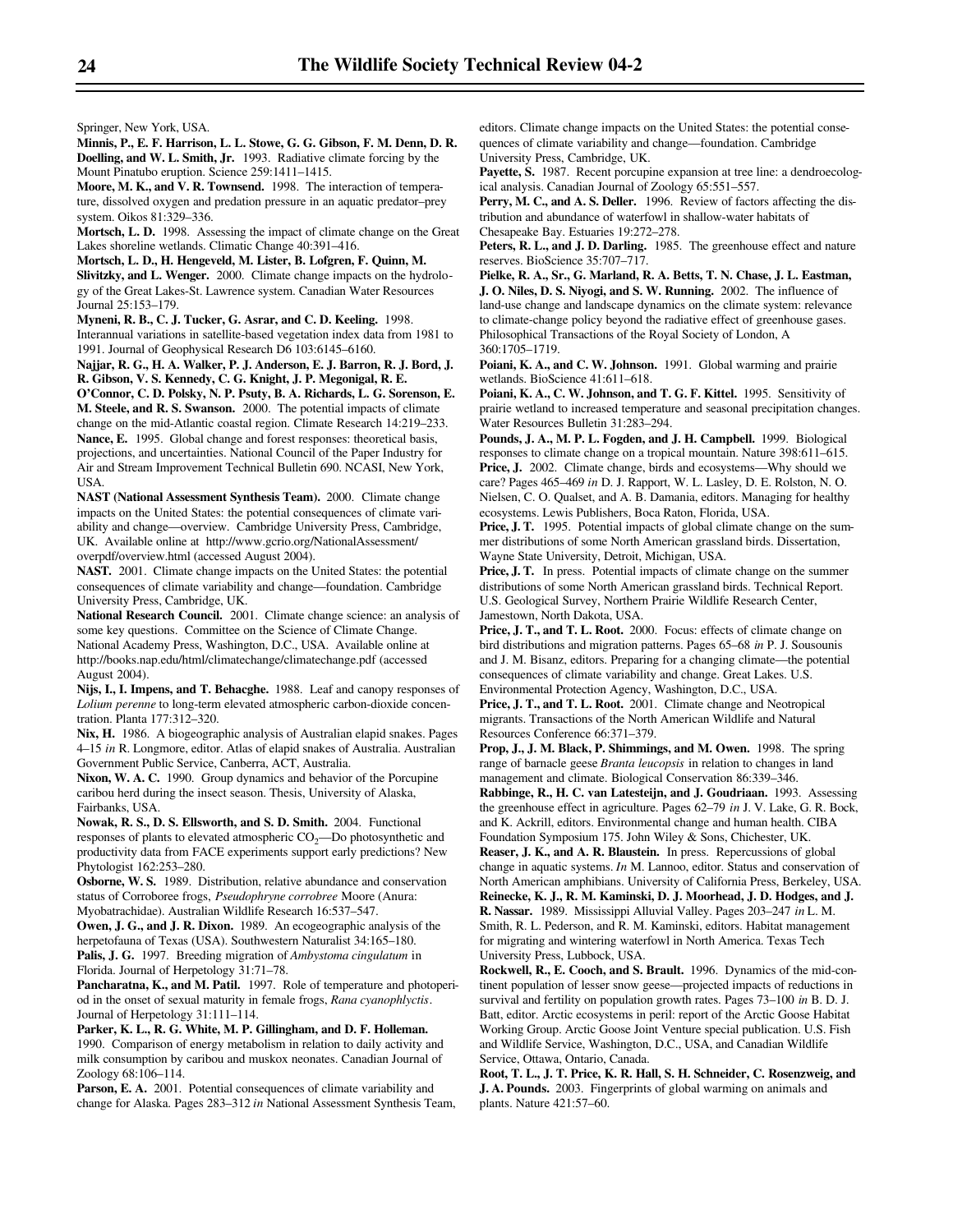Springer, New York, USA.

**Minnis, P., E. F. Harrison, L. L. Stowe, G. G. Gibson, F. M. Denn, D. R. Doelling, and W. L. Smith, Jr.** 1993. Radiative climate forcing by the Mount Pinatubo eruption. Science 259:1411–1415.

**Moore, M. K., and V. R. Townsend.** 1998. The interaction of temperature, dissolved oxygen and predation pressure in an aquatic predator–prey system. Oikos 81:329–336.

**Mortsch, L. D.** 1998. Assessing the impact of climate change on the Great Lakes shoreline wetlands. Climatic Change 40:391–416.

**Mortsch, L. D., H. Hengeveld, M. Lister, B. Lofgren, F. Quinn, M. Slivitzky, and L. Wenger.** 2000. Climate change impacts on the hydrology of the Great Lakes-St. Lawrence system. Canadian Water Resources Journal 25:153–179.

**Myneni, R. B., C. J. Tucker, G. Asrar, and C. D. Keeling.** 1998. Interannual variations in satellite-based vegetation index data from 1981 to 1991. Journal of Geophysical Research D6 103:6145–6160.

**Najjar, R. G., H. A. Walker, P. J. Anderson, E. J. Barron, R. J. Bord, J. R. Gibson, V. S. Kennedy, C. G. Knight, J. P. Megonigal, R. E.**

**O'Connor, C. D. Polsky, N. P. Psuty, B. A. Richards, L. G. Sorenson, E. M. Steele, and R. S. Swanson.** 2000. The potential impacts of climate change on the mid-Atlantic coastal region. Climate Research 14:219–233. **Nance, E.** 1995. Global change and forest responses: theoretical basis, projections, and uncertainties. National Council of the Paper Industry for Air and Stream Improvement Technical Bulletin 690. NCASI, New York, USA.

**NAST (National Assessment Synthesis Team).** 2000. Climate change impacts on the United States: the potential consequences of climate variability and change—overview. Cambridge University Press, Cambridge, UK. Available online at http://www.gcrio.org/NationalAssessment/ overpdf/overview.html (accessed August 2004).

**NAST.** 2001. Climate change impacts on the United States: the potential consequences of climate variability and change—foundation. Cambridge University Press, Cambridge, UK.

**National Research Council.** 2001. Climate change science: an analysis of some key questions. Committee on the Science of Climate Change. National Academy Press, Washington, D.C., USA. Available online at http://books.nap.edu/html/climatechange/climatechange.pdf (accessed August 2004).

**Nijs, I., I. Impens, and T. Behacghe.** 1988. Leaf and canopy responses of *Lolium perenne* to long-term elevated atmospheric carbon-dioxide concentration. Planta 177:312–320.

**Nix, H.** 1986. A biogeographic analysis of Australian elapid snakes. Pages 4–15 *in* R. Longmore, editor. Atlas of elapid snakes of Australia. Australian Government Public Service, Canberra, ACT, Australia.

**Nixon, W. A. C.** 1990. Group dynamics and behavior of the Porcupine caribou herd during the insect season. Thesis, University of Alaska, Fairbanks, USA.

**Nowak, R. S., D. S. Ellsworth, and S. D. Smith.** 2004. Functional responses of plants to elevated atmospheric CO<sub>2</sub>—Do photosynthetic and productivity data from FACE experiments support early predictions? New Phytologist 162:253–280.

**Osborne, W. S.** 1989. Distribution, relative abundance and conservation status of Corroboree frogs, *Pseudophryne corrobree* Moore (Anura: Myobatrachidae). Australian Wildlife Research 16:537–547.

**Owen, J. G., and J. R. Dixon.** 1989. An ecogeographic analysis of the herpetofauna of Texas (USA). Southwestern Naturalist 34:165–180. **Palis, J. G.** 1997. Breeding migration of *Ambystoma cingulatum* in Florida. Journal of Herpetology 31:71–78.

Pancharatna, K., and M. Patil. 1997. Role of temperature and photoperiod in the onset of sexual maturity in female frogs, *Rana cyanophlyctis*. Journal of Herpetology 31:111–114.

**Parker, K. L., R. G. White, M. P. Gillingham, and D. F. Holleman.** 1990. Comparison of energy metabolism in relation to daily activity and milk consumption by caribou and muskox neonates. Canadian Journal of Zoology 68:106–114.

Parson, E. A. 2001. Potential consequences of climate variability and change for Alaska. Pages 283–312 *in* National Assessment Synthesis Team,

editors. Climate change impacts on the United States: the potential consequences of climate variability and change—foundation. Cambridge University Press, Cambridge, UK.

Payette, S. 1987. Recent porcupine expansion at tree line: a dendroecological analysis. Canadian Journal of Zoology 65:551–557.

**Perry, M. C., and A. S. Deller.** 1996. Review of factors affecting the distribution and abundance of waterfowl in shallow-water habitats of Chesapeake Bay. Estuaries 19:272–278.

**Peters, R. L., and J. D. Darling.** 1985. The greenhouse effect and nature reserves. BioScience 35:707–717.

**Pielke, R. A., Sr., G. Marland, R. A. Betts, T. N. Chase, J. L. Eastman, J. O. Niles, D. S. Niyogi, and S. W. Running.** 2002. The influence of land-use change and landscape dynamics on the climate system: relevance to climate-change policy beyond the radiative effect of greenhouse gases. Philosophical Transactions of the Royal Society of London, A 360:1705–1719.

Poiani, K. A., and C. W. Johnson. 1991. Global warming and prairie wetlands. BioScience 41:611–618.

**Poiani, K. A., C. W. Johnson, and T. G. F. Kittel.** 1995. Sensitivity of prairie wetland to increased temperature and seasonal precipitation changes. Water Resources Bulletin 31:283–294.

**Pounds, J. A., M. P. L. Fogden, and J. H. Campbell.** 1999. Biological responses to climate change on a tropical mountain. Nature 398:611–615. Price, J. 2002. Climate change, birds and ecosystems—Why should we care? Pages 465–469 *in* D. J. Rapport, W. L. Lasley, D. E. Rolston, N. O. Nielsen, C. O. Qualset, and A. B. Damania, editors. Managing for healthy ecosystems. Lewis Publishers, Boca Raton, Florida, USA.

Price, J. T. 1995. Potential impacts of global climate change on the summer distributions of some North American grassland birds. Dissertation, Wayne State University, Detroit, Michigan, USA.

**Price, J. T.** In press. Potential impacts of climate change on the summer distributions of some North American grassland birds. Technical Report. U.S. Geological Survey, Northern Prairie Wildlife Research Center, Jamestown, North Dakota, USA.

Price, J. T., and T. L. Root. 2000. Focus: effects of climate change on bird distributions and migration patterns. Pages 65–68 *in* P. J. Sousounis and J. M. Bisanz, editors. Preparing for a changing climate—the potential consequences of climate variability and change. Great Lakes. U.S. Environmental Protection Agency, Washington, D.C., USA.

**Price, J. T., and T. L. Root.** 2001. Climate change and Neotropical migrants. Transactions of the North American Wildlife and Natural Resources Conference 66:371–379.

**Prop, J., J. M. Black, P. Shimmings, and M. Owen.** 1998. The spring range of barnacle geese *Branta leucopsis* in relation to changes in land management and climate. Biological Conservation 86:339–346.

**Rabbinge, R., H. C. van Latesteijn, and J. Goudriaan.** 1993. Assessing the greenhouse effect in agriculture. Pages 62–79 *in* J. V. Lake, G. R. Bock, and K. Ackrill, editors. Environmental change and human health. CIBA Foundation Symposium 175. John Wiley & Sons, Chichester, UK.

**Reaser, J. K., and A. R. Blaustein.** In press. Repercussions of global change in aquatic systems. *In* M. Lannoo, editor. Status and conservation of North American amphibians. University of California Press, Berkeley, USA. **Reinecke, K. J., R. M. Kaminski, D. J. Moorhead, J. D. Hodges, and J. R. Nassar.** 1989. Mississippi Alluvial Valley. Pages 203–247 *in* L. M. Smith, R. L. Pederson, and R. M. Kaminski, editors. Habitat management for migrating and wintering waterfowl in North America. Texas Tech University Press, Lubbock, USA.

**Rockwell, R., E. Cooch, and S. Brault.** 1996. Dynamics of the mid-continent population of lesser snow geese—projected impacts of reductions in survival and fertility on population growth rates. Pages 73–100 *in* B. D. J. Batt, editor. Arctic ecosystems in peril: report of the Arctic Goose Habitat Working Group. Arctic Goose Joint Venture special publication. U.S. Fish and Wildlife Service, Washington, D.C., USA, and Canadian Wildlife Service, Ottawa, Ontario, Canada.

**Root, T. L., J. T. Price, K. R. Hall, S. H. Schneider, C. Rosenzweig, and J. A. Pounds.** 2003. Fingerprints of global warming on animals and plants. Nature 421:57–60.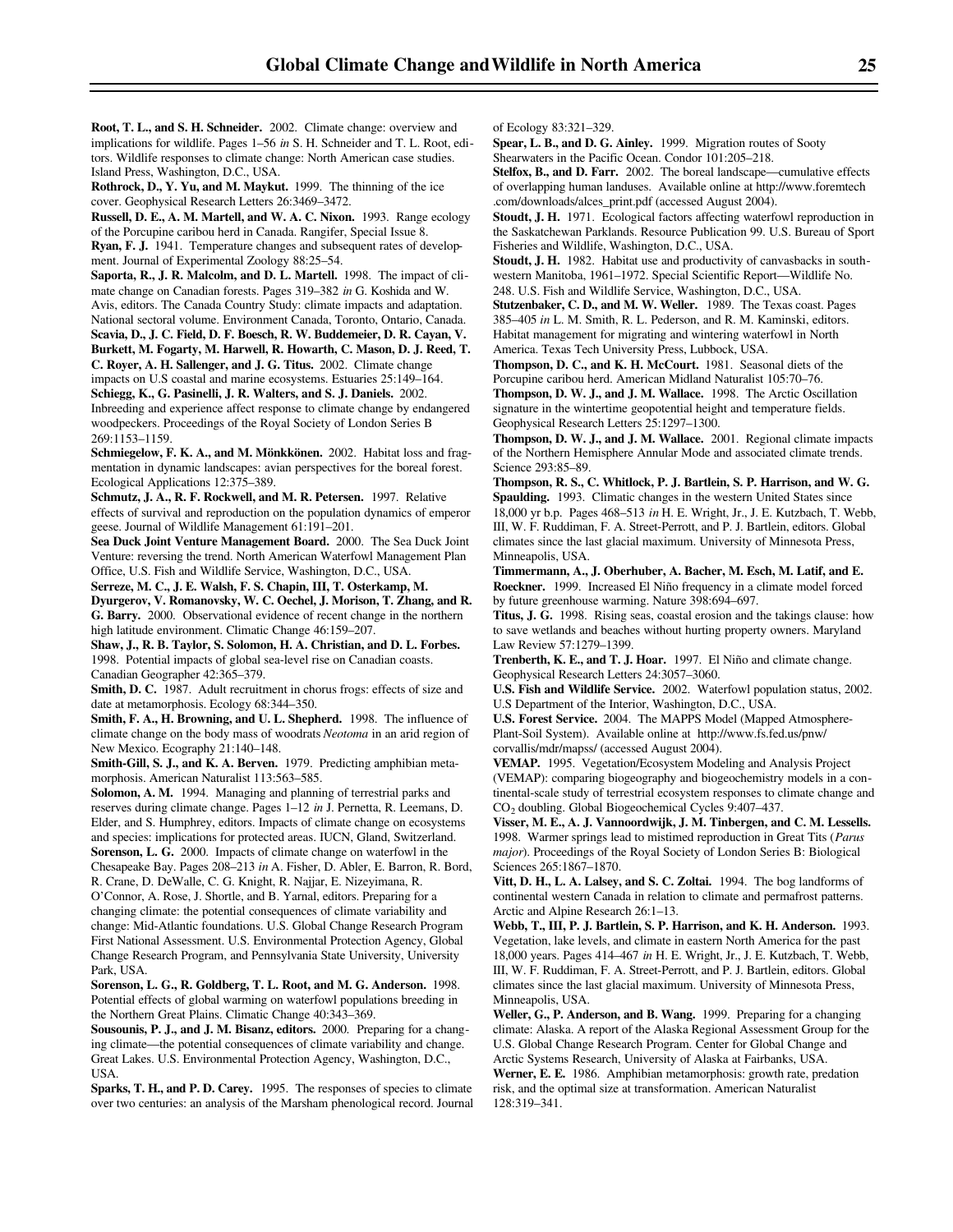**Root, T. L., and S. H. Schneider.** 2002. Climate change: overview and implications for wildlife. Pages 1–56 *in* S. H. Schneider and T. L. Root, editors. Wildlife responses to climate change: North American case studies. Island Press, Washington, D.C., USA.

**Rothrock, D., Y. Yu, and M. Maykut.** 1999. The thinning of the ice cover. Geophysical Research Letters 26:3469–3472.

**Russell, D. E., A. M. Martell, and W. A. C. Nixon.** 1993. Range ecology of the Porcupine caribou herd in Canada. Rangifer, Special Issue 8. **Ryan, F. J.** 1941. Temperature changes and subsequent rates of develop-

ment. Journal of Experimental Zoology 88:25–54.

**Saporta, R., J. R. Malcolm, and D. L. Martell.** 1998. The impact of climate change on Canadian forests. Pages 319–382 *in* G. Koshida and W. Avis, editors. The Canada Country Study: climate impacts and adaptation. National sectoral volume. Environment Canada, Toronto, Ontario, Canada. **Scavia, D., J. C. Field, D. F. Boesch, R. W. Buddemeier, D. R. Cayan, V.**

**Burkett, M. Fogarty, M. Harwell, R. Howarth, C. Mason, D. J. Reed, T. C. Royer, A. H. Sallenger, and J. G. Titus.** 2002. Climate change impacts on U.S coastal and marine ecosystems. Estuaries 25:149–164.

**Schiegg, K., G. Pasinelli, J. R. Walters, and S. J. Daniels.** 2002. Inbreeding and experience affect response to climate change by endangered woodpeckers. Proceedings of the Royal Society of London Series B 269:1153–1159.

**Schmiegelow, F. K. A., and M. Mönkkönen.** 2002. Habitat loss and fragmentation in dynamic landscapes: avian perspectives for the boreal forest. Ecological Applications 12:375–389.

**Schmutz, J. A., R. F. Rockwell, and M. R. Petersen.** 1997. Relative effects of survival and reproduction on the population dynamics of emperor geese. Journal of Wildlife Management 61:191–201.

**Sea Duck Joint Venture Management Board.** 2000. The Sea Duck Joint Venture: reversing the trend. North American Waterfowl Management Plan Office, U.S. Fish and Wildlife Service, Washington, D.C., USA.

**Serreze, M. C., J. E. Walsh, F. S. Chapin, III, T. Osterkamp, M. Dyurgerov, V. Romanovsky, W. C. Oechel, J. Morison, T. Zhang, and R. G. Barry.** 2000. Observational evidence of recent change in the northern high latitude environment. Climatic Change 46:159–207.

**Shaw, J., R. B. Taylor, S. Solomon, H. A. Christian, and D. L. Forbes.** 1998. Potential impacts of global sea-level rise on Canadian coasts. Canadian Geographer 42:365–379.

**Smith, D. C.** 1987. Adult recruitment in chorus frogs: effects of size and date at metamorphosis. Ecology 68:344–350.

**Smith, F. A., H. Browning, and U. L. Shepherd.** 1998. The influence of climate change on the body mass of woodrats *Neotoma* in an arid region of New Mexico. Ecography 21:140–148.

**Smith-Gill, S. J., and K. A. Berven.** 1979. Predicting amphibian metamorphosis. American Naturalist 113:563–585.

**Solomon, A. M.** 1994. Managing and planning of terrestrial parks and reserves during climate change. Pages 1–12 *in* J. Pernetta, R. Leemans, D. Elder, and S. Humphrey, editors. Impacts of climate change on ecosystems and species: implications for protected areas. IUCN, Gland, Switzerland. **Sorenson, L. G.** 2000. Impacts of climate change on waterfowl in the

Chesapeake Bay. Pages 208–213 *in* A. Fisher, D. Abler, E. Barron, R. Bord, R. Crane, D. DeWalle, C. G. Knight, R. Najjar, E. Nizeyimana, R.

O'Connor, A. Rose, J. Shortle, and B. Yarnal, editors. Preparing for a changing climate: the potential consequences of climate variability and change: Mid-Atlantic foundations. U.S. Global Change Research Program First National Assessment. U.S. Environmental Protection Agency, Global Change Research Program, and Pennsylvania State University, University Park, USA.

**Sorenson, L. G., R. Goldberg, T. L. Root, and M. G. Anderson.** 1998. Potential effects of global warming on waterfowl populations breeding in the Northern Great Plains. Climatic Change 40:343–369.

**Sousounis, P. J., and J. M. Bisanz, editors.** 2000. Preparing for a changing climate—the potential consequences of climate variability and change. Great Lakes. U.S. Environmental Protection Agency, Washington, D.C., USA.

**Sparks, T. H., and P. D. Carey.** 1995. The responses of species to climate over two centuries: an analysis of the Marsham phenological record. Journal of Ecology 83:321–329.

**Spear, L. B., and D. G. Ainley.** 1999. Migration routes of Sooty Shearwaters in the Pacific Ocean. Condor 101:205–218.

**Stelfox, B., and D. Farr.** 2002. The boreal landscape—cumulative effects of overlapping human landuses. Available online at http://www.foremtech .com/downloads/alces\_print.pdf (accessed August 2004).

**Stoudt, J. H.** 1971. Ecological factors affecting waterfowl reproduction in the Saskatchewan Parklands. Resource Publication 99. U.S. Bureau of Sport Fisheries and Wildlife, Washington, D.C., USA.

**Stoudt, J. H.** 1982. Habitat use and productivity of canvasbacks in southwestern Manitoba, 1961–1972. Special Scientific Report—Wildlife No.

248. U.S. Fish and Wildlife Service, Washington, D.C., USA.

**Stutzenbaker, C. D., and M. W. Weller.** 1989. The Texas coast. Pages 385–405 *in* L. M. Smith, R. L. Pederson, and R. M. Kaminski, editors. Habitat management for migrating and wintering waterfowl in North America. Texas Tech University Press, Lubbock, USA.

**Thompson, D. C., and K. H. McCourt.** 1981. Seasonal diets of the Porcupine caribou herd. American Midland Naturalist 105:70–76.

**Thompson, D. W. J., and J. M. Wallace.** 1998. The Arctic Oscillation signature in the wintertime geopotential height and temperature fields. Geophysical Research Letters 25:1297–1300.

**Thompson, D. W. J., and J. M. Wallace.** 2001. Regional climate impacts of the Northern Hemisphere Annular Mode and associated climate trends. Science 293:85–89.

**Thompson, R. S., C. Whitlock, P. J. Bartlein, S. P. Harrison, and W. G. Spaulding.** 1993. Climatic changes in the western United States since 18,000 yr b.p. Pages 468–513 *in* H. E. Wright, Jr., J. E. Kutzbach, T. Webb, III, W. F. Ruddiman, F. A. Street-Perrott, and P. J. Bartlein, editors. Global climates since the last glacial maximum. University of Minnesota Press, Minneapolis, USA.

**Timmermann, A., J. Oberhuber, A. Bacher, M. Esch, M. Latif, and E. Roeckner.** 1999. Increased El Niño frequency in a climate model forced by future greenhouse warming. Nature 398:694–697.

**Titus, J. G.** 1998. Rising seas, coastal erosion and the takings clause: how to save wetlands and beaches without hurting property owners. Maryland Law Review 57:1279–1399.

**Trenberth, K. E., and T. J. Hoar.** 1997. El Niño and climate change. Geophysical Research Letters 24:3057–3060.

**U.S. Fish and Wildlife Service.** 2002. Waterfowl population status, 2002. U.S Department of the Interior, Washington, D.C., USA.

**U.S. Forest Service.** 2004. The MAPPS Model (Mapped Atmosphere-Plant-Soil System). Available online at http://www.fs.fed.us/pnw/ corvallis/mdr/mapss/ (accessed August 2004).

**VEMAP.** 1995. Vegetation/Ecosystem Modeling and Analysis Project (VEMAP): comparing biogeography and biogeochemistry models in a continental-scale study of terrestrial ecosystem responses to climate change and CO<sub>2</sub> doubling. Global Biogeochemical Cycles 9:407-437.

**Visser, M. E., A. J. Vannoordwijk, J. M. Tinbergen, and C. M. Lessells.** 1998. Warmer springs lead to mistimed reproduction in Great Tits (*Parus major*). Proceedings of the Royal Society of London Series B: Biological Sciences 265:1867–1870.

**Vitt, D. H., L. A. Lalsey, and S. C. Zoltai.** 1994. The bog landforms of continental western Canada in relation to climate and permafrost patterns. Arctic and Alpine Research 26:1–13.

**Webb, T., III, P. J. Bartlein, S. P. Harrison, and K. H. Anderson.** 1993. Vegetation, lake levels, and climate in eastern North America for the past 18,000 years. Pages 414–467 *in* H. E. Wright, Jr., J. E. Kutzbach, T. Webb, III, W. F. Ruddiman, F. A. Street-Perrott, and P. J. Bartlein, editors. Global climates since the last glacial maximum. University of Minnesota Press, Minneapolis, USA.

**Weller, G., P. Anderson, and B. Wang.** 1999. Preparing for a changing climate: Alaska. A report of the Alaska Regional Assessment Group for the U.S. Global Change Research Program. Center for Global Change and Arctic Systems Research, University of Alaska at Fairbanks, USA.

**Werner, E. E.** 1986. Amphibian metamorphosis: growth rate, predation risk, and the optimal size at transformation. American Naturalist 128:319–341.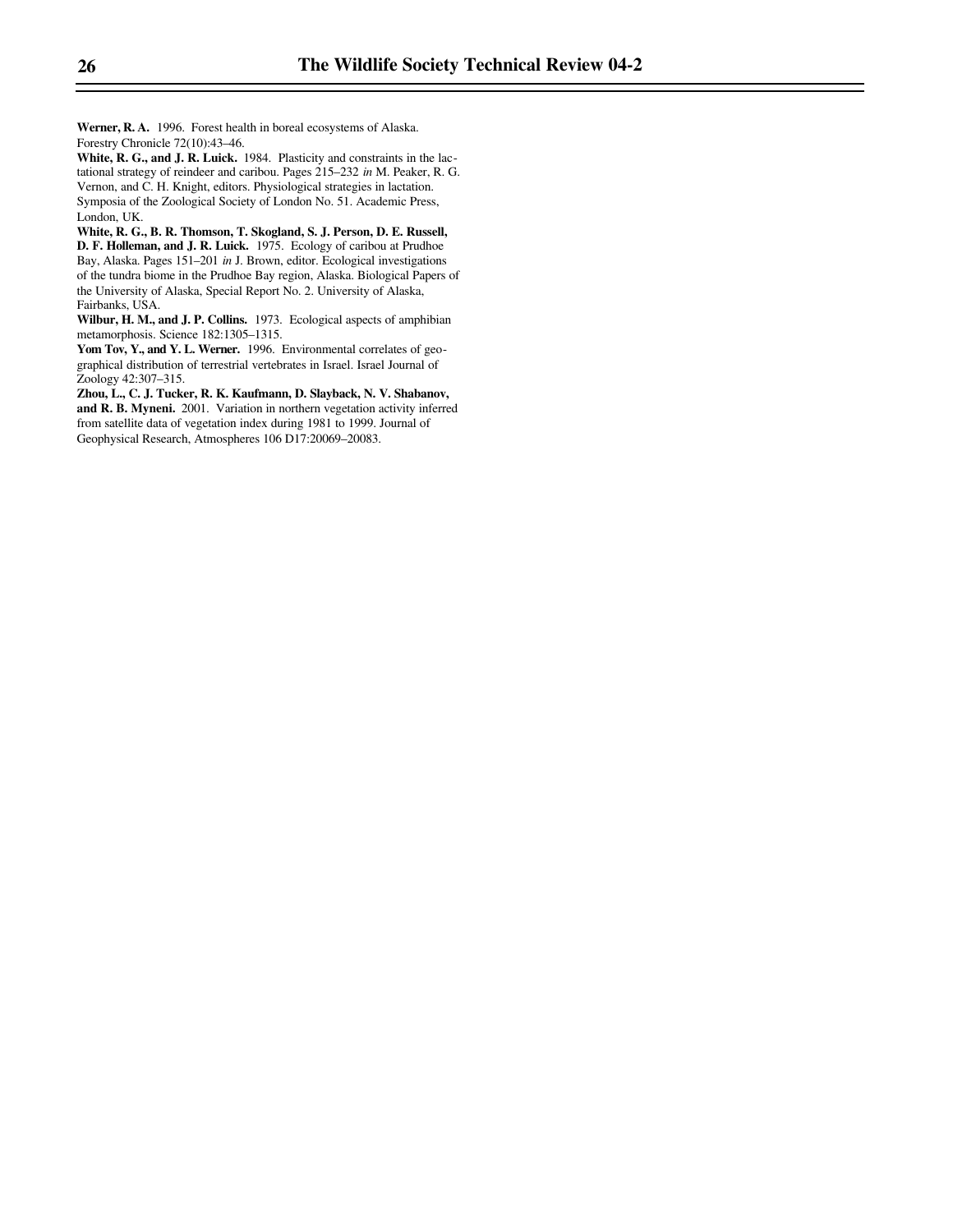**Werner, R. A.** 1996. Forest health in boreal ecosystems of Alaska. Forestry Chronicle 72(10):43–46.

**White, R. G., and J. R. Luick.** 1984. Plasticity and constraints in the lactational strategy of reindeer and caribou. Pages 215–232 *in* M. Peaker, R. G. Vernon, and C. H. Knight, editors. Physiological strategies in lactation. Symposia of the Zoological Society of London No. 51. Academic Press, London, UK.

**White, R. G., B. R. Thomson, T. Skogland, S. J. Person, D. E. Russell, D. F. Holleman, and J. R. Luick.** 1975. Ecology of caribou at Prudhoe Bay, Alaska. Pages 151–201 *in* J. Brown, editor. Ecological investigations of the tundra biome in the Prudhoe Bay region, Alaska. Biological Papers of the University of Alaska, Special Report No. 2. University of Alaska, Fairbanks, USA.

**Wilbur, H. M., and J. P. Collins.** 1973. Ecological aspects of amphibian metamorphosis. Science 182:1305–1315.

Yom Tov, Y., and Y. L. Werner. 1996. Environmental correlates of geographical distribution of terrestrial vertebrates in Israel. Israel Journal of Zoology 42:307–315.

**Zhou, L., C. J. Tucker, R. K. Kaufmann, D. Slayback, N. V. Shabanov, and R. B. Myneni.** 2001. Variation in northern vegetation activity inferred from satellite data of vegetation index during 1981 to 1999. Journal of Geophysical Research, Atmospheres 106 D17:20069–20083.